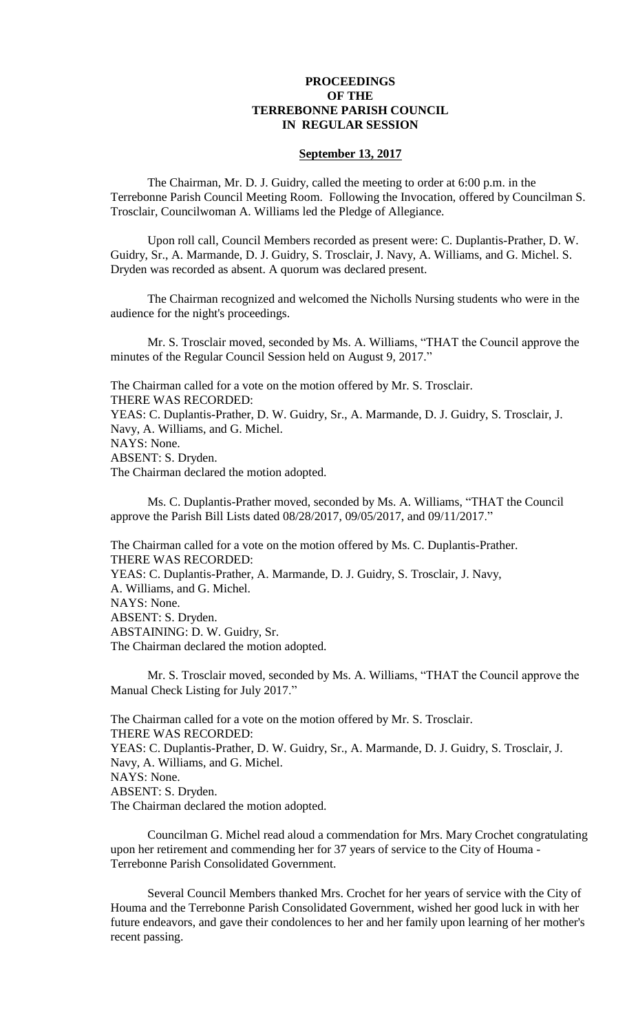## **PROCEEDINGS OF THE TERREBONNE PARISH COUNCIL IN REGULAR SESSION**

### **September 13, 2017**

The Chairman, Mr. D. J. Guidry, called the meeting to order at 6:00 p.m. in the Terrebonne Parish Council Meeting Room. Following the Invocation, offered by Councilman S. Trosclair, Councilwoman A. Williams led the Pledge of Allegiance.

Upon roll call, Council Members recorded as present were: C. Duplantis-Prather, D. W. Guidry, Sr., A. Marmande, D. J. Guidry, S. Trosclair, J. Navy, A. Williams, and G. Michel. S. Dryden was recorded as absent. A quorum was declared present.

The Chairman recognized and welcomed the Nicholls Nursing students who were in the audience for the night's proceedings.

Mr. S. Trosclair moved, seconded by Ms. A. Williams, "THAT the Council approve the minutes of the Regular Council Session held on August 9, 2017."

The Chairman called for a vote on the motion offered by Mr. S. Trosclair. THERE WAS RECORDED: YEAS: C. Duplantis-Prather, D. W. Guidry, Sr., A. Marmande, D. J. Guidry, S. Trosclair, J. Navy, A. Williams, and G. Michel. NAYS: None. ABSENT: S. Dryden. The Chairman declared the motion adopted.

Ms. C. Duplantis-Prather moved, seconded by Ms. A. Williams, "THAT the Council approve the Parish Bill Lists dated 08/28/2017, 09/05/2017, and 09/11/2017."

The Chairman called for a vote on the motion offered by Ms. C. Duplantis-Prather. THERE WAS RECORDED: YEAS: C. Duplantis-Prather, A. Marmande, D. J. Guidry, S. Trosclair, J. Navy, A. Williams, and G. Michel. NAYS: None. ABSENT: S. Dryden. ABSTAINING: D. W. Guidry, Sr. The Chairman declared the motion adopted.

Mr. S. Trosclair moved, seconded by Ms. A. Williams, "THAT the Council approve the Manual Check Listing for July 2017."

The Chairman called for a vote on the motion offered by Mr. S. Trosclair. THERE WAS RECORDED: YEAS: C. Duplantis-Prather, D. W. Guidry, Sr., A. Marmande, D. J. Guidry, S. Trosclair, J. Navy, A. Williams, and G. Michel. NAYS: None. ABSENT: S. Dryden. The Chairman declared the motion adopted.

Councilman G. Michel read aloud a commendation for Mrs. Mary Crochet congratulating upon her retirement and commending her for 37 years of service to the City of Houma - Terrebonne Parish Consolidated Government.

Several Council Members thanked Mrs. Crochet for her years of service with the City of Houma and the Terrebonne Parish Consolidated Government, wished her good luck in with her future endeavors, and gave their condolences to her and her family upon learning of her mother's recent passing.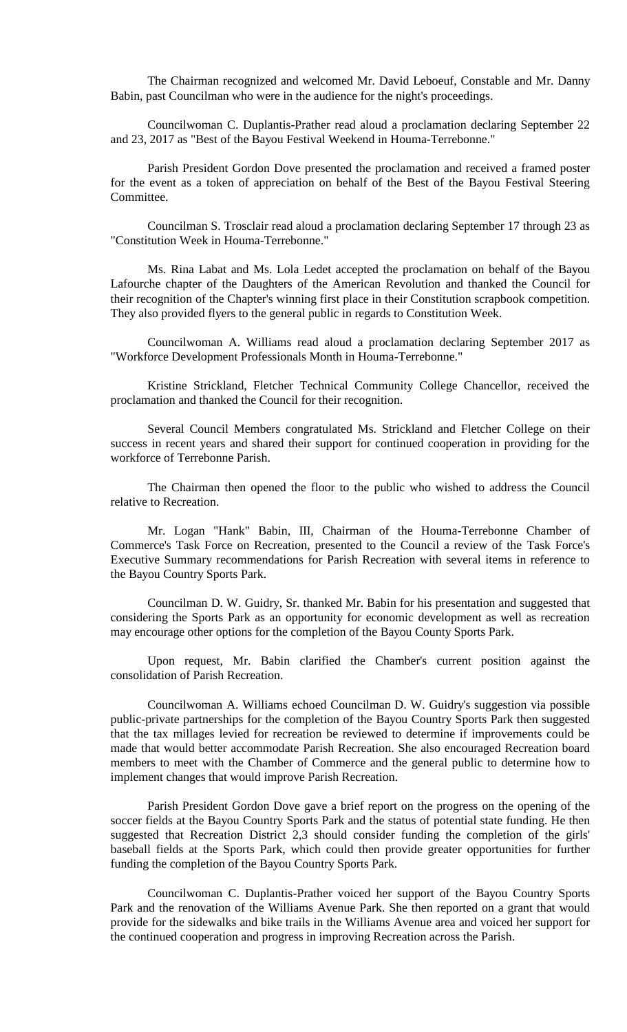The Chairman recognized and welcomed Mr. David Leboeuf, Constable and Mr. Danny Babin, past Councilman who were in the audience for the night's proceedings.

Councilwoman C. Duplantis-Prather read aloud a proclamation declaring September 22 and 23, 2017 as "Best of the Bayou Festival Weekend in Houma-Terrebonne."

Parish President Gordon Dove presented the proclamation and received a framed poster for the event as a token of appreciation on behalf of the Best of the Bayou Festival Steering Committee.

Councilman S. Trosclair read aloud a proclamation declaring September 17 through 23 as "Constitution Week in Houma-Terrebonne."

Ms. Rina Labat and Ms. Lola Ledet accepted the proclamation on behalf of the Bayou Lafourche chapter of the Daughters of the American Revolution and thanked the Council for their recognition of the Chapter's winning first place in their Constitution scrapbook competition. They also provided flyers to the general public in regards to Constitution Week.

Councilwoman A. Williams read aloud a proclamation declaring September 2017 as "Workforce Development Professionals Month in Houma-Terrebonne."

Kristine Strickland, Fletcher Technical Community College Chancellor, received the proclamation and thanked the Council for their recognition.

Several Council Members congratulated Ms. Strickland and Fletcher College on their success in recent years and shared their support for continued cooperation in providing for the workforce of Terrebonne Parish.

The Chairman then opened the floor to the public who wished to address the Council relative to Recreation.

Mr. Logan "Hank" Babin, III, Chairman of the Houma-Terrebonne Chamber of Commerce's Task Force on Recreation, presented to the Council a review of the Task Force's Executive Summary recommendations for Parish Recreation with several items in reference to the Bayou Country Sports Park.

Councilman D. W. Guidry, Sr. thanked Mr. Babin for his presentation and suggested that considering the Sports Park as an opportunity for economic development as well as recreation may encourage other options for the completion of the Bayou County Sports Park.

Upon request, Mr. Babin clarified the Chamber's current position against the consolidation of Parish Recreation.

Councilwoman A. Williams echoed Councilman D. W. Guidry's suggestion via possible public-private partnerships for the completion of the Bayou Country Sports Park then suggested that the tax millages levied for recreation be reviewed to determine if improvements could be made that would better accommodate Parish Recreation. She also encouraged Recreation board members to meet with the Chamber of Commerce and the general public to determine how to implement changes that would improve Parish Recreation.

Parish President Gordon Dove gave a brief report on the progress on the opening of the soccer fields at the Bayou Country Sports Park and the status of potential state funding. He then suggested that Recreation District 2,3 should consider funding the completion of the girls' baseball fields at the Sports Park, which could then provide greater opportunities for further funding the completion of the Bayou Country Sports Park.

Councilwoman C. Duplantis-Prather voiced her support of the Bayou Country Sports Park and the renovation of the Williams Avenue Park. She then reported on a grant that would provide for the sidewalks and bike trails in the Williams Avenue area and voiced her support for the continued cooperation and progress in improving Recreation across the Parish.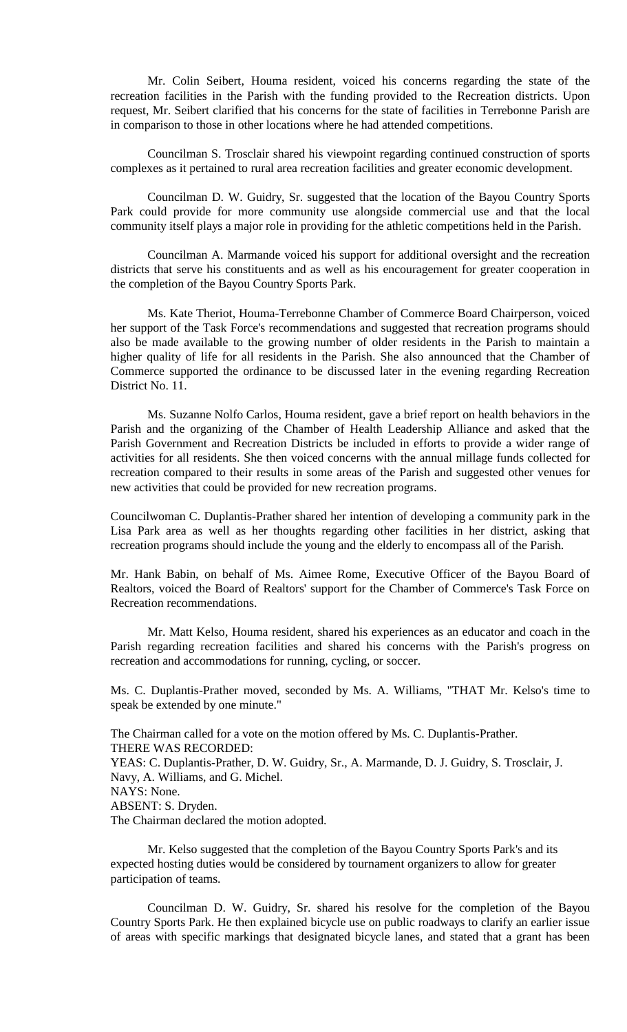Mr. Colin Seibert, Houma resident, voiced his concerns regarding the state of the recreation facilities in the Parish with the funding provided to the Recreation districts. Upon request, Mr. Seibert clarified that his concerns for the state of facilities in Terrebonne Parish are in comparison to those in other locations where he had attended competitions.

Councilman S. Trosclair shared his viewpoint regarding continued construction of sports complexes as it pertained to rural area recreation facilities and greater economic development.

Councilman D. W. Guidry, Sr. suggested that the location of the Bayou Country Sports Park could provide for more community use alongside commercial use and that the local community itself plays a major role in providing for the athletic competitions held in the Parish.

Councilman A. Marmande voiced his support for additional oversight and the recreation districts that serve his constituents and as well as his encouragement for greater cooperation in the completion of the Bayou Country Sports Park.

Ms. Kate Theriot, Houma-Terrebonne Chamber of Commerce Board Chairperson, voiced her support of the Task Force's recommendations and suggested that recreation programs should also be made available to the growing number of older residents in the Parish to maintain a higher quality of life for all residents in the Parish. She also announced that the Chamber of Commerce supported the ordinance to be discussed later in the evening regarding Recreation District No. 11.

Ms. Suzanne Nolfo Carlos, Houma resident, gave a brief report on health behaviors in the Parish and the organizing of the Chamber of Health Leadership Alliance and asked that the Parish Government and Recreation Districts be included in efforts to provide a wider range of activities for all residents. She then voiced concerns with the annual millage funds collected for recreation compared to their results in some areas of the Parish and suggested other venues for new activities that could be provided for new recreation programs.

Councilwoman C. Duplantis-Prather shared her intention of developing a community park in the Lisa Park area as well as her thoughts regarding other facilities in her district, asking that recreation programs should include the young and the elderly to encompass all of the Parish.

Mr. Hank Babin, on behalf of Ms. Aimee Rome, Executive Officer of the Bayou Board of Realtors, voiced the Board of Realtors' support for the Chamber of Commerce's Task Force on Recreation recommendations.

Mr. Matt Kelso, Houma resident, shared his experiences as an educator and coach in the Parish regarding recreation facilities and shared his concerns with the Parish's progress on recreation and accommodations for running, cycling, or soccer.

Ms. C. Duplantis-Prather moved, seconded by Ms. A. Williams, "THAT Mr. Kelso's time to speak be extended by one minute."

The Chairman called for a vote on the motion offered by Ms. C. Duplantis-Prather. THERE WAS RECORDED:

YEAS: C. Duplantis-Prather, D. W. Guidry, Sr., A. Marmande, D. J. Guidry, S. Trosclair, J. Navy, A. Williams, and G. Michel.

NAYS: None.

ABSENT: S. Dryden.

The Chairman declared the motion adopted.

Mr. Kelso suggested that the completion of the Bayou Country Sports Park's and its expected hosting duties would be considered by tournament organizers to allow for greater participation of teams.

Councilman D. W. Guidry, Sr. shared his resolve for the completion of the Bayou Country Sports Park. He then explained bicycle use on public roadways to clarify an earlier issue of areas with specific markings that designated bicycle lanes, and stated that a grant has been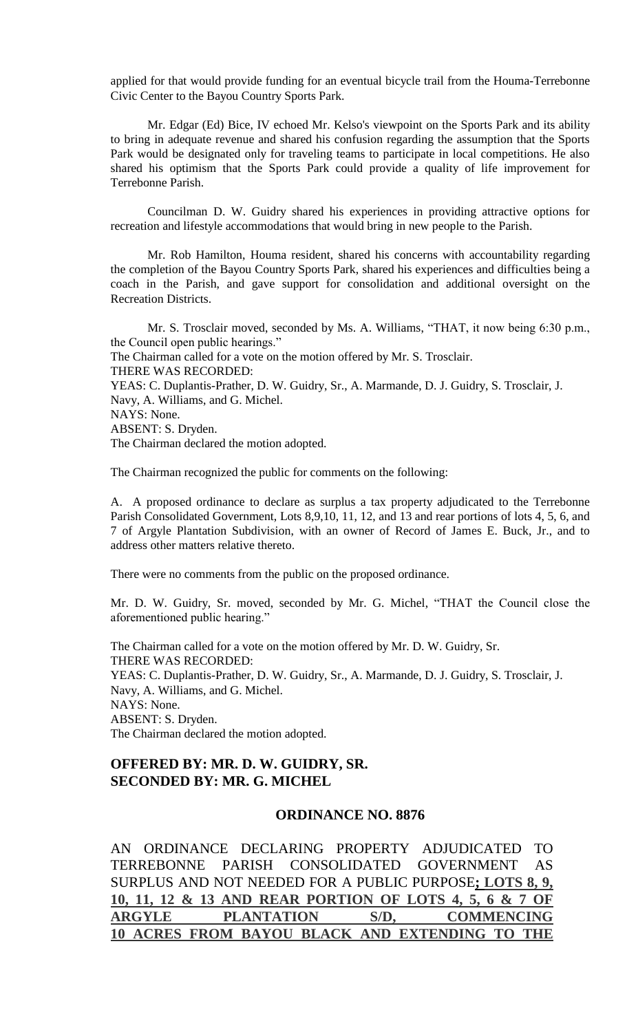applied for that would provide funding for an eventual bicycle trail from the Houma-Terrebonne Civic Center to the Bayou Country Sports Park.

Mr. Edgar (Ed) Bice, IV echoed Mr. Kelso's viewpoint on the Sports Park and its ability to bring in adequate revenue and shared his confusion regarding the assumption that the Sports Park would be designated only for traveling teams to participate in local competitions. He also shared his optimism that the Sports Park could provide a quality of life improvement for Terrebonne Parish.

Councilman D. W. Guidry shared his experiences in providing attractive options for recreation and lifestyle accommodations that would bring in new people to the Parish.

Mr. Rob Hamilton, Houma resident, shared his concerns with accountability regarding the completion of the Bayou Country Sports Park, shared his experiences and difficulties being a coach in the Parish, and gave support for consolidation and additional oversight on the Recreation Districts.

Mr. S. Trosclair moved, seconded by Ms. A. Williams, "THAT, it now being 6:30 p.m., the Council open public hearings." The Chairman called for a vote on the motion offered by Mr. S. Trosclair. THERE WAS RECORDED: YEAS: C. Duplantis-Prather, D. W. Guidry, Sr., A. Marmande, D. J. Guidry, S. Trosclair, J. Navy, A. Williams, and G. Michel. NAYS: None. ABSENT: S. Dryden. The Chairman declared the motion adopted.

The Chairman recognized the public for comments on the following:

A. A proposed ordinance to declare as surplus a tax property adjudicated to the Terrebonne Parish Consolidated Government, Lots 8,9,10, 11, 12, and 13 and rear portions of lots 4, 5, 6, and 7 of Argyle Plantation Subdivision, with an owner of Record of James E. Buck, Jr., and to address other matters relative thereto.

There were no comments from the public on the proposed ordinance.

Mr. D. W. Guidry, Sr. moved, seconded by Mr. G. Michel, "THAT the Council close the aforementioned public hearing."

The Chairman called for a vote on the motion offered by Mr. D. W. Guidry, Sr. THERE WAS RECORDED: YEAS: C. Duplantis-Prather, D. W. Guidry, Sr., A. Marmande, D. J. Guidry, S. Trosclair, J. Navy, A. Williams, and G. Michel. NAYS: None. ABSENT: S. Dryden. The Chairman declared the motion adopted.

# **OFFERED BY: MR. D. W. GUIDRY, SR. SECONDED BY: MR. G. MICHEL**

#### **ORDINANCE NO. 8876**

AN ORDINANCE DECLARING PROPERTY ADJUDICATED TO TERREBONNE PARISH CONSOLIDATED GOVERNMENT AS SURPLUS AND NOT NEEDED FOR A PUBLIC PURPOSE**; LOTS 8, 9, 10, 11, 12 & 13 AND REAR PORTION OF LOTS 4, 5, 6 & 7 OF ARGYLE PLANTATION S/D, COMMENCING 10 ACRES FROM BAYOU BLACK AND EXTENDING TO THE**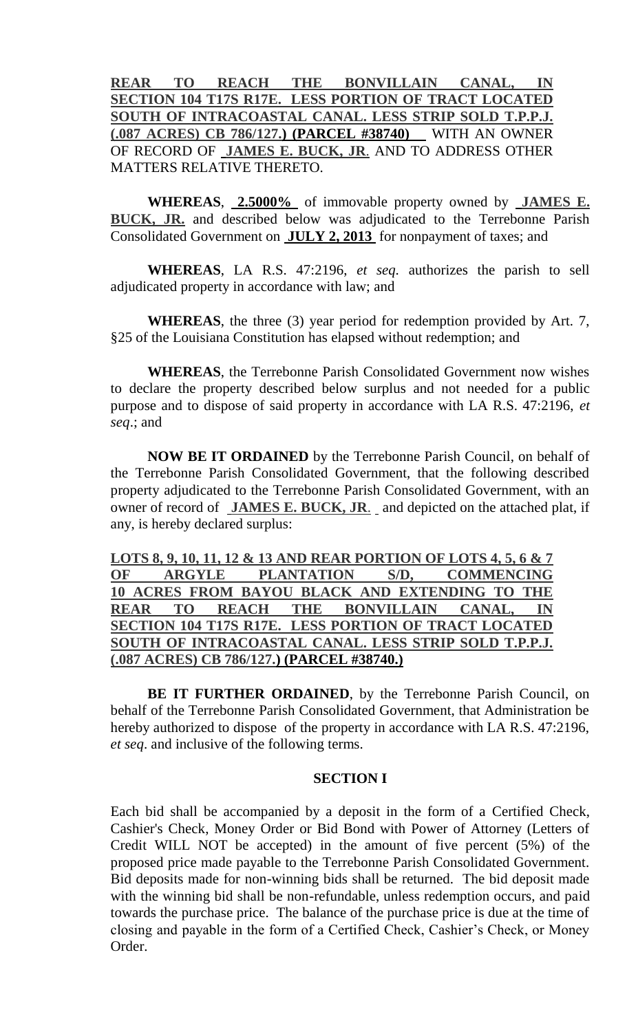**REAR TO REACH THE BONVILLAIN CANAL, IN SECTION 104 T17S R17E. LESS PORTION OF TRACT LOCATED SOUTH OF INTRACOASTAL CANAL. LESS STRIP SOLD T.P.P.J. (.087 ACRES) CB 786/127.) (PARCEL #38740)** WITH AN OWNER OF RECORD OF **JAMES E. BUCK, JR**. AND TO ADDRESS OTHER MATTERS RELATIVE THERETO.

**WHEREAS**, **2.5000%** of immovable property owned by **JAMES E. BUCK, JR.** and described below was adjudicated to the Terrebonne Parish Consolidated Government on **JULY 2, 2013** for nonpayment of taxes; and

**WHEREAS**, LA R.S. 47:2196, *et seq.* authorizes the parish to sell adjudicated property in accordance with law; and

**WHEREAS**, the three (3) year period for redemption provided by Art. 7, §25 of the Louisiana Constitution has elapsed without redemption; and

**WHEREAS**, the Terrebonne Parish Consolidated Government now wishes to declare the property described below surplus and not needed for a public purpose and to dispose of said property in accordance with LA R.S. 47:2196, *et seq*.; and

**NOW BE IT ORDAINED** by the Terrebonne Parish Council, on behalf of the Terrebonne Parish Consolidated Government, that the following described property adjudicated to the Terrebonne Parish Consolidated Government, with an owner of record of **JAMES E. BUCK, JR**. and depicted on the attached plat, if any, is hereby declared surplus:

**LOTS 8, 9, 10, 11, 12 & 13 AND REAR PORTION OF LOTS 4, 5, 6 & 7 OF ARGYLE PLANTATION S/D, COMMENCING 10 ACRES FROM BAYOU BLACK AND EXTENDING TO THE REAR TO REACH THE BONVILLAIN CANAL, IN SECTION 104 T17S R17E. LESS PORTION OF TRACT LOCATED SOUTH OF INTRACOASTAL CANAL. LESS STRIP SOLD T.P.P.J. (.087 ACRES) CB 786/127.) (PARCEL #38740.)**

**BE IT FURTHER ORDAINED**, by the Terrebonne Parish Council, on behalf of the Terrebonne Parish Consolidated Government, that Administration be hereby authorized to dispose of the property in accordance with LA R.S. 47:2196, *et seq*. and inclusive of the following terms.

# **SECTION I**

Each bid shall be accompanied by a deposit in the form of a Certified Check, Cashier's Check, Money Order or Bid Bond with Power of Attorney (Letters of Credit WILL NOT be accepted) in the amount of five percent (5%) of the proposed price made payable to the Terrebonne Parish Consolidated Government. Bid deposits made for non-winning bids shall be returned. The bid deposit made with the winning bid shall be non-refundable, unless redemption occurs, and paid towards the purchase price. The balance of the purchase price is due at the time of closing and payable in the form of a Certified Check, Cashier's Check, or Money Order.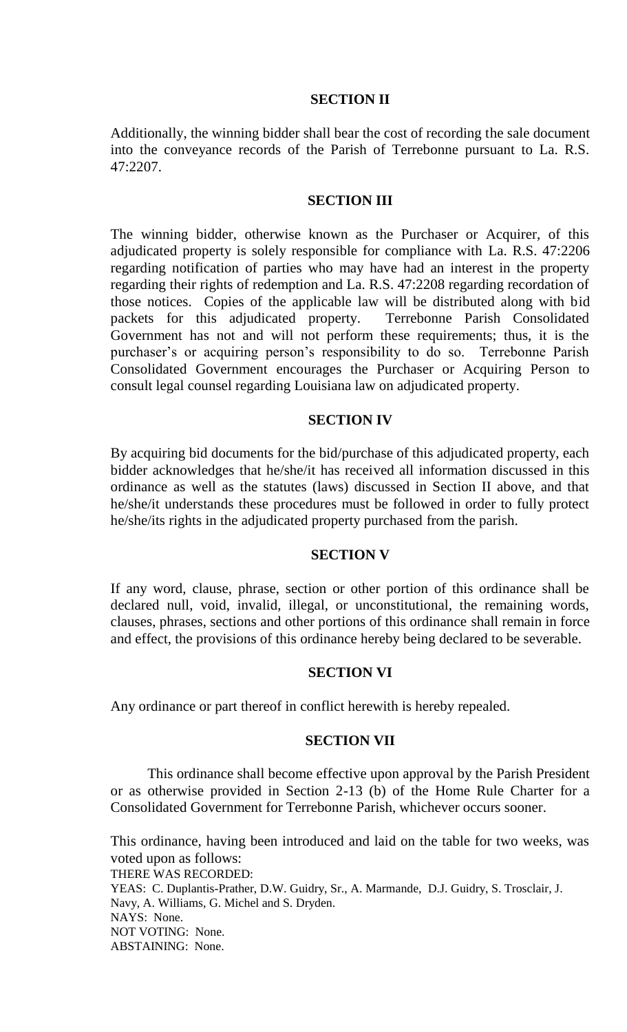# **SECTION II**

Additionally, the winning bidder shall bear the cost of recording the sale document into the conveyance records of the Parish of Terrebonne pursuant to La. R.S. 47:2207.

# **SECTION III**

The winning bidder, otherwise known as the Purchaser or Acquirer, of this adjudicated property is solely responsible for compliance with La. R.S. 47:2206 regarding notification of parties who may have had an interest in the property regarding their rights of redemption and La. R.S. 47:2208 regarding recordation of those notices. Copies of the applicable law will be distributed along with bid packets for this adjudicated property. Terrebonne Parish Consolidated Government has not and will not perform these requirements; thus, it is the purchaser's or acquiring person's responsibility to do so. Terrebonne Parish Consolidated Government encourages the Purchaser or Acquiring Person to consult legal counsel regarding Louisiana law on adjudicated property.

# **SECTION IV**

By acquiring bid documents for the bid/purchase of this adjudicated property, each bidder acknowledges that he/she/it has received all information discussed in this ordinance as well as the statutes (laws) discussed in Section II above, and that he/she/it understands these procedures must be followed in order to fully protect he/she/its rights in the adjudicated property purchased from the parish.

# **SECTION V**

If any word, clause, phrase, section or other portion of this ordinance shall be declared null, void, invalid, illegal, or unconstitutional, the remaining words, clauses, phrases, sections and other portions of this ordinance shall remain in force and effect, the provisions of this ordinance hereby being declared to be severable.

# **SECTION VI**

Any ordinance or part thereof in conflict herewith is hereby repealed.

# **SECTION VII**

This ordinance shall become effective upon approval by the Parish President or as otherwise provided in Section 2-13 (b) of the Home Rule Charter for a Consolidated Government for Terrebonne Parish, whichever occurs sooner.

This ordinance, having been introduced and laid on the table for two weeks, was voted upon as follows: THERE WAS RECORDED: YEAS: C. Duplantis-Prather, D.W. Guidry, Sr., A. Marmande, D.J. Guidry, S. Trosclair, J. Navy, A. Williams, G. Michel and S. Dryden. NAYS: None. NOT VOTING: None. ABSTAINING: None.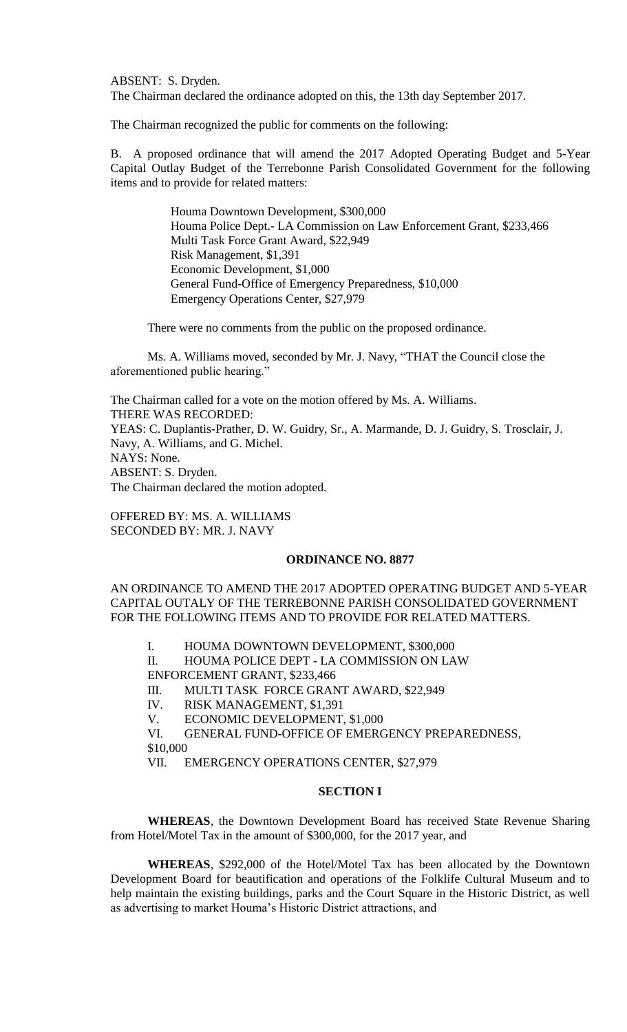ABSENT: S. Dryden. The Chairman declared the ordinance adopted on this, the 13th day September 2017.

The Chairman recognized the public for comments on the following:

B. A proposed ordinance that will amend the 2017 Adopted Operating Budget and 5-Year Capital Outlay Budget of the Terrebonne Parish Consolidated Government for the following items and to provide for related matters:

> Houma Downtown Development, \$300,000 Houma Police Dept.- LA Commission on Law Enforcement Grant, \$233,466 Multi Task Force Grant Award, \$22,949 Risk Management, \$1,391 Economic Development, \$1,000 General Fund-Office of Emergency Preparedness, \$10,000 Emergency Operations Center, \$27,979

There were no comments from the public on the proposed ordinance.

Ms. A. Williams moved, seconded by Mr. J. Navy, "THAT the Council close the aforementioned public hearing."

The Chairman called for a vote on the motion offered by Ms. A. Williams. THERE WAS RECORDED: YEAS: C. Duplantis-Prather, D. W. Guidry, Sr., A. Marmande, D. J. Guidry, S. Trosclair, J. Navy, A. Williams, and G. Michel. NAYS: None. ABSENT: S. Dryden. The Chairman declared the motion adopted.

OFFERED BY: MS. A. WILLIAMS SECONDED BY: MR. J. NAVY

#### **ORDINANCE NO. 8877**

AN ORDINANCE TO AMEND THE 2017 ADOPTED OPERATING BUDGET AND 5-YEAR CAPITAL OUTALY OF THE TERREBONNE PARISH CONSOLIDATED GOVERNMENT FOR THE FOLLOWING ITEMS AND TO PROVIDE FOR RELATED MATTERS.

I. HOUMA DOWNTOWN DEVELOPMENT, \$300,000

II. HOUMA POLICE DEPT - LA COMMISSION ON LAW ENFORCEMENT GRANT, \$233,466

III. MULTI TASK FORCE GRANT AWARD, \$22,949

IV. RISK MANAGEMENT, \$1,391

V. ECONOMIC DEVELOPMENT, \$1,000

VI. GENERAL FUND-OFFICE OF EMERGENCY PREPAREDNESS, \$10,000

VII. EMERGENCY OPERATIONS CENTER, \$27,979

### **SECTION I**

**WHEREAS**, the Downtown Development Board has received State Revenue Sharing from Hotel/Motel Tax in the amount of \$300,000, for the 2017 year, and

**WHEREAS**, \$292,000 of the Hotel/Motel Tax has been allocated by the Downtown Development Board for beautification and operations of the Folklife Cultural Museum and to help maintain the existing buildings, parks and the Court Square in the Historic District, as well as advertising to market Houma's Historic District attractions, and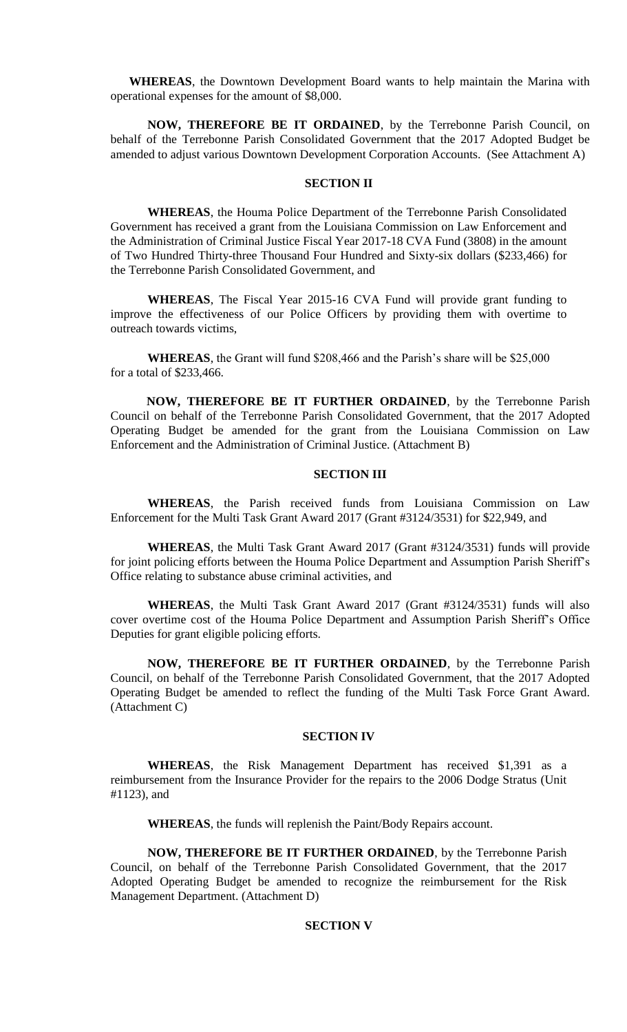**WHEREAS**, the Downtown Development Board wants to help maintain the Marina with operational expenses for the amount of \$8,000.

**NOW, THEREFORE BE IT ORDAINED**, by the Terrebonne Parish Council, on behalf of the Terrebonne Parish Consolidated Government that the 2017 Adopted Budget be amended to adjust various Downtown Development Corporation Accounts. (See Attachment A)

#### **SECTION II**

**WHEREAS**, the Houma Police Department of the Terrebonne Parish Consolidated Government has received a grant from the Louisiana Commission on Law Enforcement and the Administration of Criminal Justice Fiscal Year 2017-18 CVA Fund (3808) in the amount of Two Hundred Thirty-three Thousand Four Hundred and Sixty-six dollars (\$233,466) for the Terrebonne Parish Consolidated Government, and

**WHEREAS**, The Fiscal Year 2015-16 CVA Fund will provide grant funding to improve the effectiveness of our Police Officers by providing them with overtime to outreach towards victims,

**WHEREAS**, the Grant will fund \$208,466 and the Parish's share will be \$25,000 for a total of \$233,466.

**NOW, THEREFORE BE IT FURTHER ORDAINED**, by the Terrebonne Parish Council on behalf of the Terrebonne Parish Consolidated Government, that the 2017 Adopted Operating Budget be amended for the grant from the Louisiana Commission on Law Enforcement and the Administration of Criminal Justice. (Attachment B)

## **SECTION III**

**WHEREAS**, the Parish received funds from Louisiana Commission on Law Enforcement for the Multi Task Grant Award 2017 (Grant #3124/3531) for \$22,949, and

**WHEREAS**, the Multi Task Grant Award 2017 (Grant #3124/3531) funds will provide for joint policing efforts between the Houma Police Department and Assumption Parish Sheriff's Office relating to substance abuse criminal activities, and

**WHEREAS**, the Multi Task Grant Award 2017 (Grant #3124/3531) funds will also cover overtime cost of the Houma Police Department and Assumption Parish Sheriff's Office Deputies for grant eligible policing efforts.

**NOW, THEREFORE BE IT FURTHER ORDAINED**, by the Terrebonne Parish Council, on behalf of the Terrebonne Parish Consolidated Government, that the 2017 Adopted Operating Budget be amended to reflect the funding of the Multi Task Force Grant Award. (Attachment C)

#### **SECTION IV**

**WHEREAS**, the Risk Management Department has received \$1,391 as a reimbursement from the Insurance Provider for the repairs to the 2006 Dodge Stratus (Unit #1123), and

**WHEREAS**, the funds will replenish the Paint/Body Repairs account.

**NOW, THEREFORE BE IT FURTHER ORDAINED**, by the Terrebonne Parish Council, on behalf of the Terrebonne Parish Consolidated Government, that the 2017 Adopted Operating Budget be amended to recognize the reimbursement for the Risk Management Department. (Attachment D)

## **SECTION V**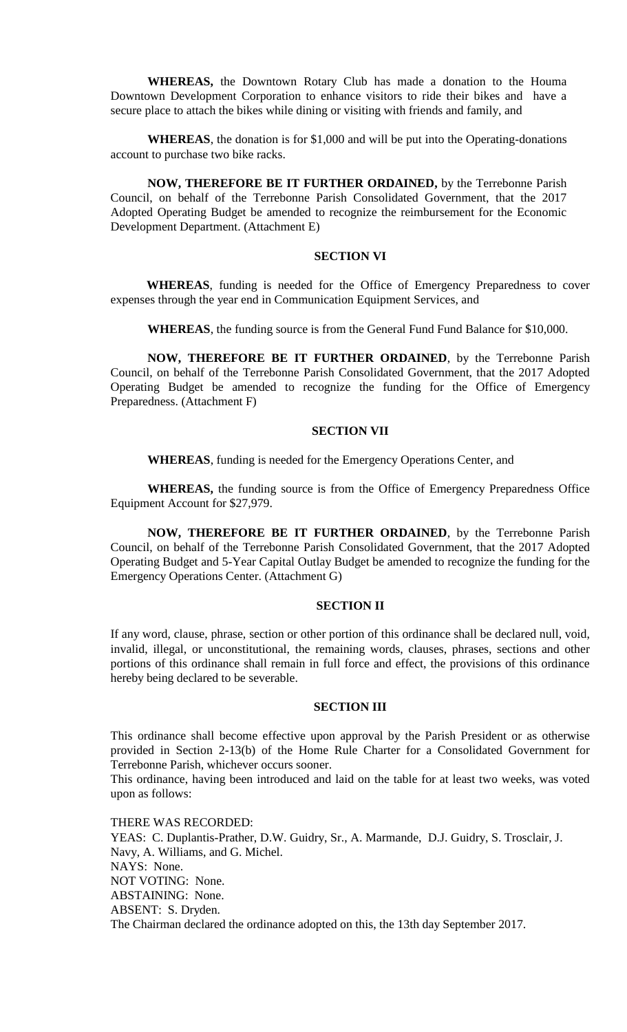**WHEREAS,** the Downtown Rotary Club has made a donation to the Houma Downtown Development Corporation to enhance visitors to ride their bikes and have a secure place to attach the bikes while dining or visiting with friends and family, and

**WHEREAS**, the donation is for \$1,000 and will be put into the Operating-donations account to purchase two bike racks.

**NOW, THEREFORE BE IT FURTHER ORDAINED,** by the Terrebonne Parish Council, on behalf of the Terrebonne Parish Consolidated Government, that the 2017 Adopted Operating Budget be amended to recognize the reimbursement for the Economic Development Department. (Attachment E)

## **SECTION VI**

**WHEREAS**, funding is needed for the Office of Emergency Preparedness to cover expenses through the year end in Communication Equipment Services, and

**WHEREAS**, the funding source is from the General Fund Fund Balance for \$10,000.

**NOW, THEREFORE BE IT FURTHER ORDAINED**, by the Terrebonne Parish Council, on behalf of the Terrebonne Parish Consolidated Government, that the 2017 Adopted Operating Budget be amended to recognize the funding for the Office of Emergency Preparedness. (Attachment F)

### **SECTION VII**

**WHEREAS**, funding is needed for the Emergency Operations Center, and

**WHEREAS,** the funding source is from the Office of Emergency Preparedness Office Equipment Account for \$27,979.

**NOW, THEREFORE BE IT FURTHER ORDAINED**, by the Terrebonne Parish Council, on behalf of the Terrebonne Parish Consolidated Government, that the 2017 Adopted Operating Budget and 5-Year Capital Outlay Budget be amended to recognize the funding for the Emergency Operations Center. (Attachment G)

### **SECTION II**

If any word, clause, phrase, section or other portion of this ordinance shall be declared null, void, invalid, illegal, or unconstitutional, the remaining words, clauses, phrases, sections and other portions of this ordinance shall remain in full force and effect, the provisions of this ordinance hereby being declared to be severable.

## **SECTION III**

This ordinance shall become effective upon approval by the Parish President or as otherwise provided in Section 2-13(b) of the Home Rule Charter for a Consolidated Government for Terrebonne Parish, whichever occurs sooner.

This ordinance, having been introduced and laid on the table for at least two weeks, was voted upon as follows:

THERE WAS RECORDED: YEAS: C. Duplantis-Prather, D.W. Guidry, Sr., A. Marmande, D.J. Guidry, S. Trosclair, J. Navy, A. Williams, and G. Michel. NAYS: None. NOT VOTING: None. ABSTAINING: None. ABSENT: S. Dryden. The Chairman declared the ordinance adopted on this, the 13th day September 2017.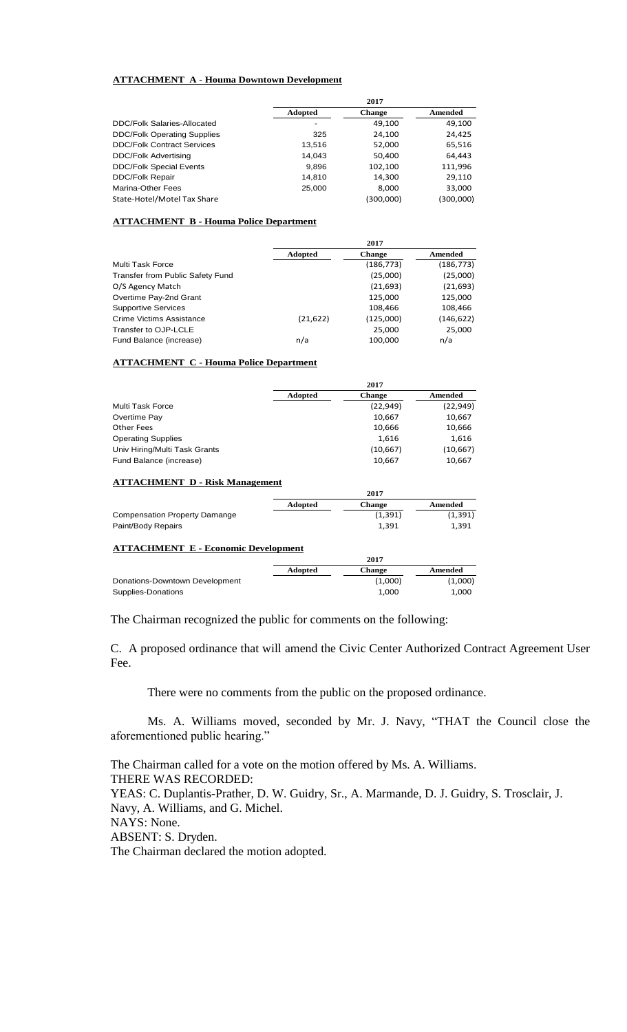#### **ATTACHMENT A - Houma Downtown Development**

|                                    |                | 2017          |           |
|------------------------------------|----------------|---------------|-----------|
|                                    | <b>Adopted</b> | <b>Change</b> | Amended   |
| <b>DDC/Folk Salaries-Allocated</b> |                | 49,100        | 49,100    |
| <b>DDC/Folk Operating Supplies</b> | 325            | 24.100        | 24,425    |
| <b>DDC/Folk Contract Services</b>  | 13,516         | 52,000        | 65,516    |
| <b>DDC/Folk Advertising</b>        | 14.043         | 50,400        | 64,443    |
| <b>DDC/Folk Special Events</b>     | 9,896          | 102,100       | 111,996   |
| <b>DDC/Folk Repair</b>             | 14,810         | 14,300        | 29,110    |
| Marina-Other Fees                  | 25,000         | 8.000         | 33,000    |
| State-Hotel/Motel Tax Share        |                | (300,000)     | (300,000) |

#### **ATTACHMENT B - Houma Police Department**

|                                  |                | 2017          |            |
|----------------------------------|----------------|---------------|------------|
|                                  | <b>Adopted</b> | <b>Change</b> | Amended    |
| Multi Task Force                 |                | (186, 773)    | (186, 773) |
| Transfer from Public Safety Fund |                | (25,000)      | (25,000)   |
| O/S Agency Match                 |                | (21,693)      | (21, 693)  |
| Overtime Pay-2nd Grant           |                | 125,000       | 125,000    |
| <b>Supportive Services</b>       |                | 108,466       | 108,466    |
| Crime Victims Assistance         | (21, 622)      | (125,000)     | (146, 622) |
| Transfer to OJP-LCLE             |                | 25,000        | 25,000     |
| Fund Balance (increase)          | n/a            | 100,000       | n/a        |

#### **ATTACHMENT C - Houma Police Department**

|                               |                | 2017          |           |
|-------------------------------|----------------|---------------|-----------|
|                               | <b>Adopted</b> | <b>Change</b> | Amended   |
| Multi Task Force              |                | (22, 949)     | (22, 949) |
| Overtime Pay                  |                | 10,667        | 10,667    |
| Other Fees                    |                | 10,666        | 10,666    |
| <b>Operating Supplies</b>     |                | 1,616         | 1,616     |
| Univ Hiring/Multi Task Grants |                | (10,667)      | (10, 667) |
| Fund Balance (increase)       |                | 10,667        | 10,667    |

#### **ATTACHMENT D - Risk Management**

|                                      | 20 F Z         |               |          |
|--------------------------------------|----------------|---------------|----------|
|                                      | <b>Adopted</b> | <b>Change</b> | Amended  |
| <b>Compensation Property Damange</b> |                | (1, 391)      | (1, 391) |
| Paint/Body Repairs                   |                | 1.391         | 1,391    |
|                                      |                |               |          |

### **ATTACHMENT E - Economic Development**

|                                |         | 2017          |         |
|--------------------------------|---------|---------------|---------|
|                                | Adopted | <b>Change</b> | Amended |
| Donations-Downtown Development |         | (1,000)       | (1,000) |
| Supplies-Donations             |         | 1,000         | 1.000   |

The Chairman recognized the public for comments on the following:

C. A proposed ordinance that will amend the Civic Center Authorized Contract Agreement User Fee.

**2017**

There were no comments from the public on the proposed ordinance.

Ms. A. Williams moved, seconded by Mr. J. Navy, "THAT the Council close the aforementioned public hearing."

The Chairman called for a vote on the motion offered by Ms. A. Williams. THERE WAS RECORDED: YEAS: C. Duplantis-Prather, D. W. Guidry, Sr., A. Marmande, D. J. Guidry, S. Trosclair, J. Navy, A. Williams, and G. Michel. NAYS: None. ABSENT: S. Dryden. The Chairman declared the motion adopted.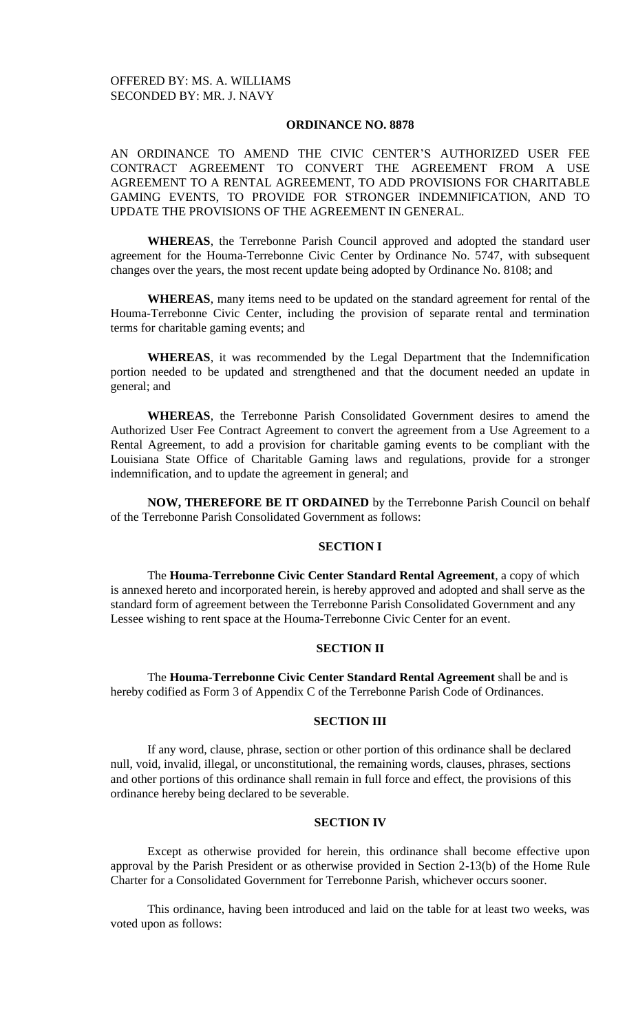### **ORDINANCE NO. 8878**

AN ORDINANCE TO AMEND THE CIVIC CENTER'S AUTHORIZED USER FEE CONTRACT AGREEMENT TO CONVERT THE AGREEMENT FROM A USE AGREEMENT TO A RENTAL AGREEMENT, TO ADD PROVISIONS FOR CHARITABLE GAMING EVENTS, TO PROVIDE FOR STRONGER INDEMNIFICATION, AND TO UPDATE THE PROVISIONS OF THE AGREEMENT IN GENERAL.

**WHEREAS**, the Terrebonne Parish Council approved and adopted the standard user agreement for the Houma-Terrebonne Civic Center by Ordinance No. 5747, with subsequent changes over the years, the most recent update being adopted by Ordinance No. 8108; and

**WHEREAS**, many items need to be updated on the standard agreement for rental of the Houma-Terrebonne Civic Center, including the provision of separate rental and termination terms for charitable gaming events; and

**WHEREAS**, it was recommended by the Legal Department that the Indemnification portion needed to be updated and strengthened and that the document needed an update in general; and

**WHEREAS**, the Terrebonne Parish Consolidated Government desires to amend the Authorized User Fee Contract Agreement to convert the agreement from a Use Agreement to a Rental Agreement, to add a provision for charitable gaming events to be compliant with the Louisiana State Office of Charitable Gaming laws and regulations, provide for a stronger indemnification, and to update the agreement in general; and

**NOW, THEREFORE BE IT ORDAINED** by the Terrebonne Parish Council on behalf of the Terrebonne Parish Consolidated Government as follows:

## **SECTION I**

The **Houma-Terrebonne Civic Center Standard Rental Agreement**, a copy of which is annexed hereto and incorporated herein, is hereby approved and adopted and shall serve as the standard form of agreement between the Terrebonne Parish Consolidated Government and any Lessee wishing to rent space at the Houma-Terrebonne Civic Center for an event.

## **SECTION II**

The **Houma-Terrebonne Civic Center Standard Rental Agreement** shall be and is hereby codified as Form 3 of Appendix C of the Terrebonne Parish Code of Ordinances.

#### **SECTION III**

If any word, clause, phrase, section or other portion of this ordinance shall be declared null, void, invalid, illegal, or unconstitutional, the remaining words, clauses, phrases, sections and other portions of this ordinance shall remain in full force and effect, the provisions of this ordinance hereby being declared to be severable.

### **SECTION IV**

Except as otherwise provided for herein, this ordinance shall become effective upon approval by the Parish President or as otherwise provided in Section 2-13(b) of the Home Rule Charter for a Consolidated Government for Terrebonne Parish, whichever occurs sooner.

This ordinance, having been introduced and laid on the table for at least two weeks, was voted upon as follows: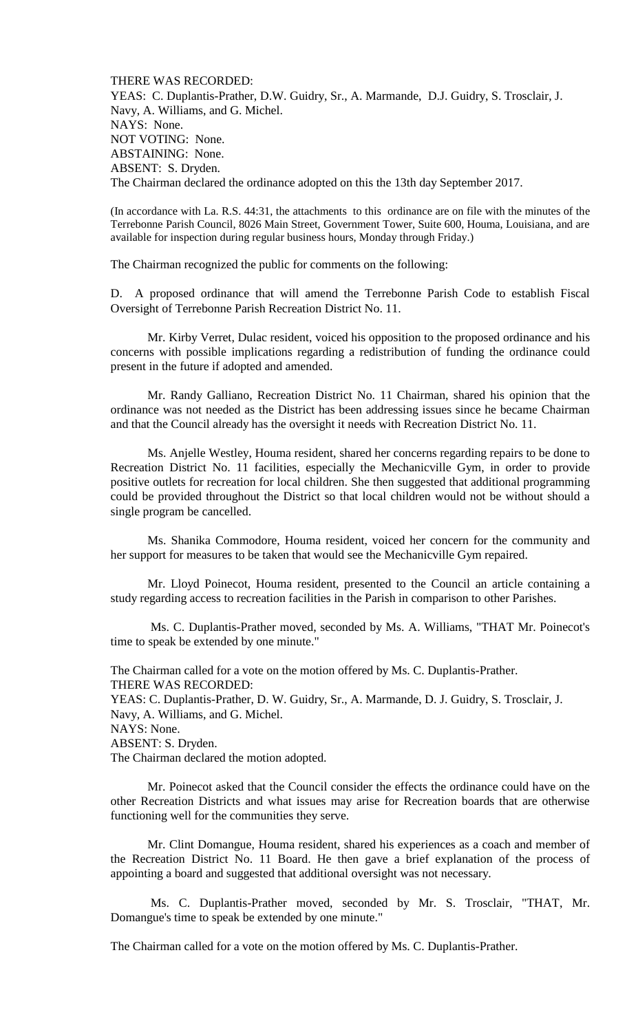THERE WAS RECORDED: YEAS: C. Duplantis-Prather, D.W. Guidry, Sr., A. Marmande, D.J. Guidry, S. Trosclair, J. Navy, A. Williams, and G. Michel. NAYS: None. NOT VOTING: None. ABSTAINING: None. ABSENT: S. Dryden. The Chairman declared the ordinance adopted on this the 13th day September 2017.

(In accordance with La. R.S. 44:31, the attachments to this ordinance are on file with the minutes of the Terrebonne Parish Council, 8026 Main Street, Government Tower, Suite 600, Houma, Louisiana, and are available for inspection during regular business hours, Monday through Friday.)

The Chairman recognized the public for comments on the following:

D. A proposed ordinance that will amend the Terrebonne Parish Code to establish Fiscal Oversight of Terrebonne Parish Recreation District No. 11.

Mr. Kirby Verret, Dulac resident, voiced his opposition to the proposed ordinance and his concerns with possible implications regarding a redistribution of funding the ordinance could present in the future if adopted and amended.

Mr. Randy Galliano, Recreation District No. 11 Chairman, shared his opinion that the ordinance was not needed as the District has been addressing issues since he became Chairman and that the Council already has the oversight it needs with Recreation District No. 11.

Ms. Anjelle Westley, Houma resident, shared her concerns regarding repairs to be done to Recreation District No. 11 facilities, especially the Mechanicville Gym, in order to provide positive outlets for recreation for local children. She then suggested that additional programming could be provided throughout the District so that local children would not be without should a single program be cancelled.

Ms. Shanika Commodore, Houma resident, voiced her concern for the community and her support for measures to be taken that would see the Mechanicville Gym repaired.

Mr. Lloyd Poinecot, Houma resident, presented to the Council an article containing a study regarding access to recreation facilities in the Parish in comparison to other Parishes.

Ms. C. Duplantis-Prather moved, seconded by Ms. A. Williams, "THAT Mr. Poinecot's time to speak be extended by one minute."

The Chairman called for a vote on the motion offered by Ms. C. Duplantis-Prather. THERE WAS RECORDED:

YEAS: C. Duplantis-Prather, D. W. Guidry, Sr., A. Marmande, D. J. Guidry, S. Trosclair, J. Navy, A. Williams, and G. Michel.

NAYS: None.

ABSENT: S. Dryden.

The Chairman declared the motion adopted.

Mr. Poinecot asked that the Council consider the effects the ordinance could have on the other Recreation Districts and what issues may arise for Recreation boards that are otherwise functioning well for the communities they serve.

Mr. Clint Domangue, Houma resident, shared his experiences as a coach and member of the Recreation District No. 11 Board. He then gave a brief explanation of the process of appointing a board and suggested that additional oversight was not necessary.

Ms. C. Duplantis-Prather moved, seconded by Mr. S. Trosclair, "THAT, Mr. Domangue's time to speak be extended by one minute."

The Chairman called for a vote on the motion offered by Ms. C. Duplantis-Prather.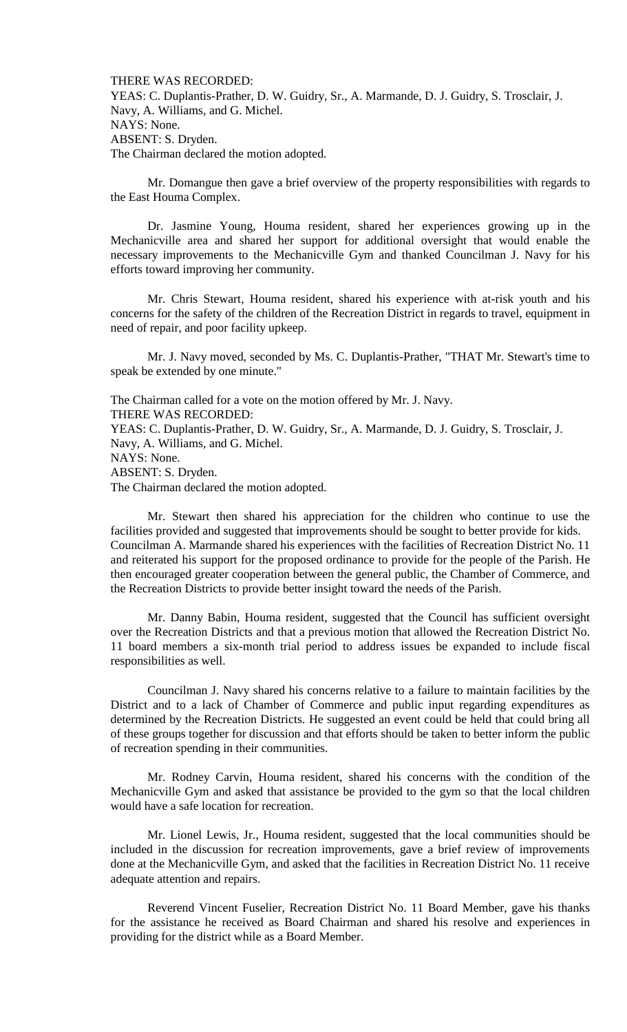THERE WAS RECORDED:

YEAS: C. Duplantis-Prather, D. W. Guidry, Sr., A. Marmande, D. J. Guidry, S. Trosclair, J. Navy, A. Williams, and G. Michel. NAYS: None. ABSENT: S. Dryden. The Chairman declared the motion adopted.

Mr. Domangue then gave a brief overview of the property responsibilities with regards to the East Houma Complex.

Dr. Jasmine Young, Houma resident, shared her experiences growing up in the Mechanicville area and shared her support for additional oversight that would enable the necessary improvements to the Mechanicville Gym and thanked Councilman J. Navy for his efforts toward improving her community.

Mr. Chris Stewart, Houma resident, shared his experience with at-risk youth and his concerns for the safety of the children of the Recreation District in regards to travel, equipment in need of repair, and poor facility upkeep.

Mr. J. Navy moved, seconded by Ms. C. Duplantis-Prather, "THAT Mr. Stewart's time to speak be extended by one minute."

The Chairman called for a vote on the motion offered by Mr. J. Navy. THERE WAS RECORDED: YEAS: C. Duplantis-Prather, D. W. Guidry, Sr., A. Marmande, D. J. Guidry, S. Trosclair, J. Navy, A. Williams, and G. Michel. NAYS: None. ABSENT: S. Dryden. The Chairman declared the motion adopted.

Mr. Stewart then shared his appreciation for the children who continue to use the facilities provided and suggested that improvements should be sought to better provide for kids. Councilman A. Marmande shared his experiences with the facilities of Recreation District No. 11 and reiterated his support for the proposed ordinance to provide for the people of the Parish. He then encouraged greater cooperation between the general public, the Chamber of Commerce, and the Recreation Districts to provide better insight toward the needs of the Parish.

Mr. Danny Babin, Houma resident, suggested that the Council has sufficient oversight over the Recreation Districts and that a previous motion that allowed the Recreation District No. 11 board members a six-month trial period to address issues be expanded to include fiscal responsibilities as well.

Councilman J. Navy shared his concerns relative to a failure to maintain facilities by the District and to a lack of Chamber of Commerce and public input regarding expenditures as determined by the Recreation Districts. He suggested an event could be held that could bring all of these groups together for discussion and that efforts should be taken to better inform the public of recreation spending in their communities.

Mr. Rodney Carvin, Houma resident, shared his concerns with the condition of the Mechanicville Gym and asked that assistance be provided to the gym so that the local children would have a safe location for recreation.

Mr. Lionel Lewis, Jr., Houma resident, suggested that the local communities should be included in the discussion for recreation improvements, gave a brief review of improvements done at the Mechanicville Gym, and asked that the facilities in Recreation District No. 11 receive adequate attention and repairs.

Reverend Vincent Fuselier, Recreation District No. 11 Board Member, gave his thanks for the assistance he received as Board Chairman and shared his resolve and experiences in providing for the district while as a Board Member.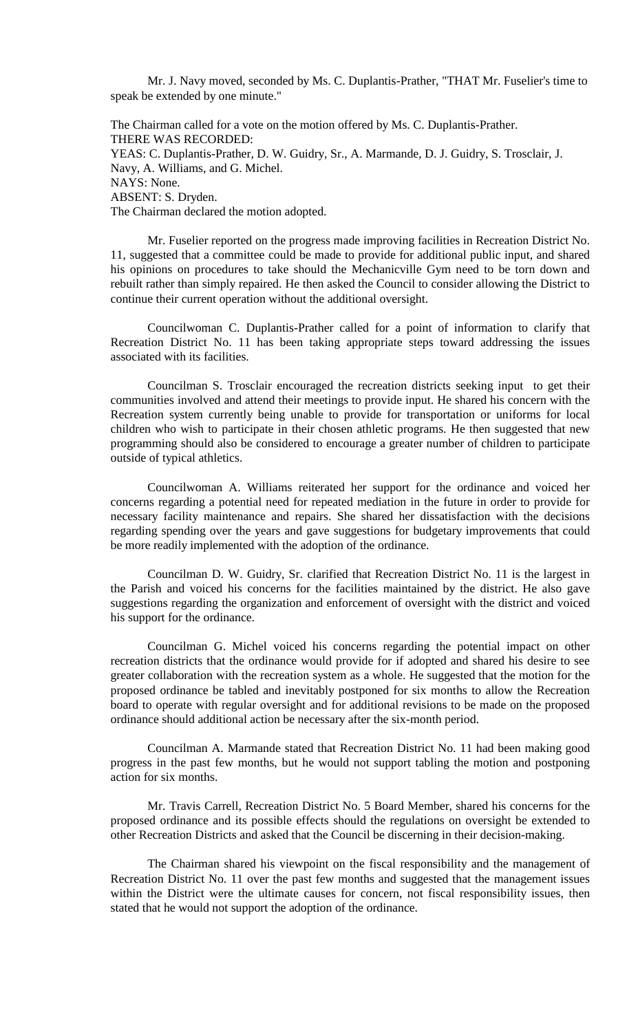Mr. J. Navy moved, seconded by Ms. C. Duplantis-Prather, "THAT Mr. Fuselier's time to speak be extended by one minute."

The Chairman called for a vote on the motion offered by Ms. C. Duplantis-Prather. THERE WAS RECORDED: YEAS: C. Duplantis-Prather, D. W. Guidry, Sr., A. Marmande, D. J. Guidry, S. Trosclair, J. Navy, A. Williams, and G. Michel. NAYS: None. ABSENT: S. Dryden. The Chairman declared the motion adopted.

Mr. Fuselier reported on the progress made improving facilities in Recreation District No. 11, suggested that a committee could be made to provide for additional public input, and shared his opinions on procedures to take should the Mechanicville Gym need to be torn down and rebuilt rather than simply repaired. He then asked the Council to consider allowing the District to continue their current operation without the additional oversight.

Councilwoman C. Duplantis-Prather called for a point of information to clarify that Recreation District No. 11 has been taking appropriate steps toward addressing the issues associated with its facilities.

Councilman S. Trosclair encouraged the recreation districts seeking input to get their communities involved and attend their meetings to provide input. He shared his concern with the Recreation system currently being unable to provide for transportation or uniforms for local children who wish to participate in their chosen athletic programs. He then suggested that new programming should also be considered to encourage a greater number of children to participate outside of typical athletics.

Councilwoman A. Williams reiterated her support for the ordinance and voiced her concerns regarding a potential need for repeated mediation in the future in order to provide for necessary facility maintenance and repairs. She shared her dissatisfaction with the decisions regarding spending over the years and gave suggestions for budgetary improvements that could be more readily implemented with the adoption of the ordinance.

Councilman D. W. Guidry, Sr. clarified that Recreation District No. 11 is the largest in the Parish and voiced his concerns for the facilities maintained by the district. He also gave suggestions regarding the organization and enforcement of oversight with the district and voiced his support for the ordinance.

Councilman G. Michel voiced his concerns regarding the potential impact on other recreation districts that the ordinance would provide for if adopted and shared his desire to see greater collaboration with the recreation system as a whole. He suggested that the motion for the proposed ordinance be tabled and inevitably postponed for six months to allow the Recreation board to operate with regular oversight and for additional revisions to be made on the proposed ordinance should additional action be necessary after the six-month period.

Councilman A. Marmande stated that Recreation District No. 11 had been making good progress in the past few months, but he would not support tabling the motion and postponing action for six months.

Mr. Travis Carrell, Recreation District No. 5 Board Member, shared his concerns for the proposed ordinance and its possible effects should the regulations on oversight be extended to other Recreation Districts and asked that the Council be discerning in their decision-making.

The Chairman shared his viewpoint on the fiscal responsibility and the management of Recreation District No. 11 over the past few months and suggested that the management issues within the District were the ultimate causes for concern, not fiscal responsibility issues, then stated that he would not support the adoption of the ordinance.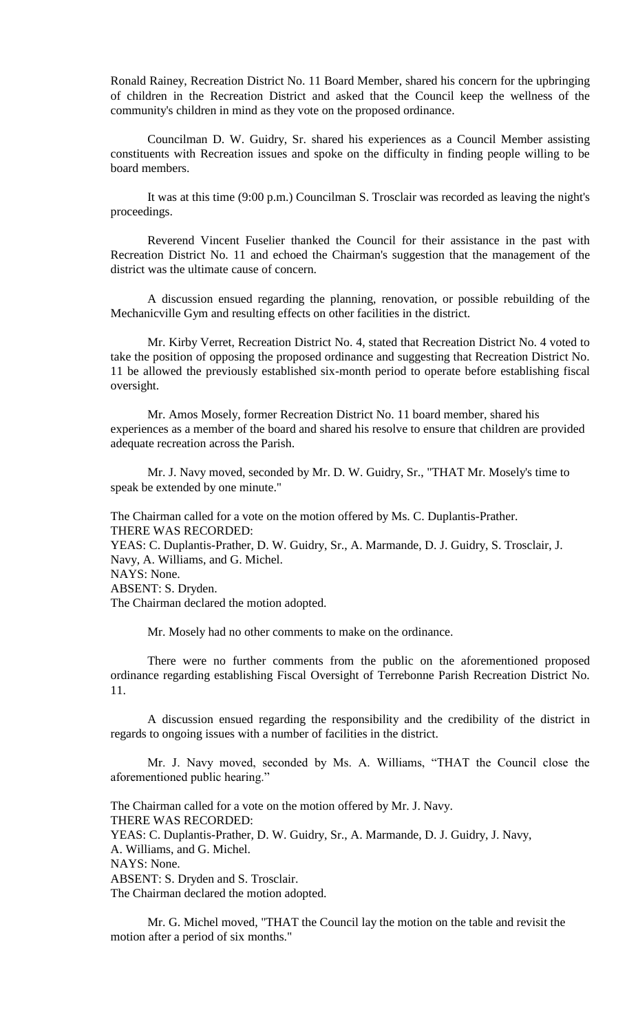Ronald Rainey, Recreation District No. 11 Board Member, shared his concern for the upbringing of children in the Recreation District and asked that the Council keep the wellness of the community's children in mind as they vote on the proposed ordinance.

Councilman D. W. Guidry, Sr. shared his experiences as a Council Member assisting constituents with Recreation issues and spoke on the difficulty in finding people willing to be board members.

It was at this time (9:00 p.m.) Councilman S. Trosclair was recorded as leaving the night's proceedings.

Reverend Vincent Fuselier thanked the Council for their assistance in the past with Recreation District No. 11 and echoed the Chairman's suggestion that the management of the district was the ultimate cause of concern.

A discussion ensued regarding the planning, renovation, or possible rebuilding of the Mechanicville Gym and resulting effects on other facilities in the district.

Mr. Kirby Verret, Recreation District No. 4, stated that Recreation District No. 4 voted to take the position of opposing the proposed ordinance and suggesting that Recreation District No. 11 be allowed the previously established six-month period to operate before establishing fiscal oversight.

Mr. Amos Mosely, former Recreation District No. 11 board member, shared his experiences as a member of the board and shared his resolve to ensure that children are provided adequate recreation across the Parish.

Mr. J. Navy moved, seconded by Mr. D. W. Guidry, Sr., "THAT Mr. Mosely's time to speak be extended by one minute."

The Chairman called for a vote on the motion offered by Ms. C. Duplantis-Prather. THERE WAS RECORDED: YEAS: C. Duplantis-Prather, D. W. Guidry, Sr., A. Marmande, D. J. Guidry, S. Trosclair, J. Navy, A. Williams, and G. Michel.

NAYS: None.

ABSENT: S. Dryden.

The Chairman declared the motion adopted.

Mr. Mosely had no other comments to make on the ordinance.

There were no further comments from the public on the aforementioned proposed ordinance regarding establishing Fiscal Oversight of Terrebonne Parish Recreation District No. 11.

A discussion ensued regarding the responsibility and the credibility of the district in regards to ongoing issues with a number of facilities in the district.

Mr. J. Navy moved, seconded by Ms. A. Williams, "THAT the Council close the aforementioned public hearing."

The Chairman called for a vote on the motion offered by Mr. J. Navy. THERE WAS RECORDED: YEAS: C. Duplantis-Prather, D. W. Guidry, Sr., A. Marmande, D. J. Guidry, J. Navy, A. Williams, and G. Michel. NAYS: None. ABSENT: S. Dryden and S. Trosclair. The Chairman declared the motion adopted.

Mr. G. Michel moved, "THAT the Council lay the motion on the table and revisit the motion after a period of six months."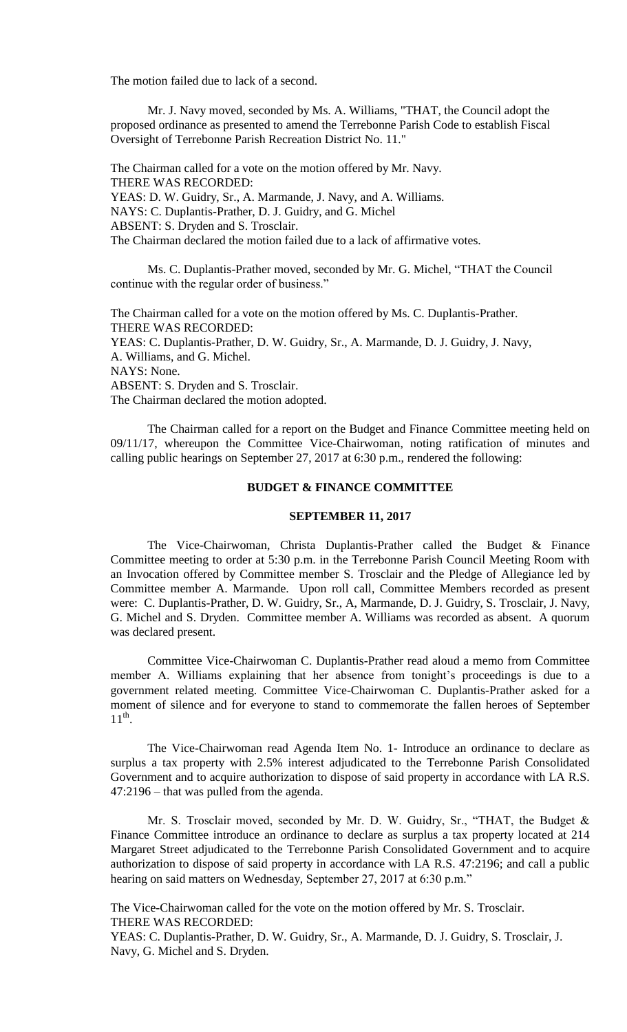The motion failed due to lack of a second.

Mr. J. Navy moved, seconded by Ms. A. Williams, "THAT, the Council adopt the proposed ordinance as presented to amend the Terrebonne Parish Code to establish Fiscal Oversight of Terrebonne Parish Recreation District No. 11."

The Chairman called for a vote on the motion offered by Mr. Navy. THERE WAS RECORDED: YEAS: D. W. Guidry, Sr., A. Marmande, J. Navy, and A. Williams. NAYS: C. Duplantis-Prather, D. J. Guidry, and G. Michel ABSENT: S. Dryden and S. Trosclair. The Chairman declared the motion failed due to a lack of affirmative votes.

Ms. C. Duplantis-Prather moved, seconded by Mr. G. Michel, "THAT the Council continue with the regular order of business."

The Chairman called for a vote on the motion offered by Ms. C. Duplantis-Prather. THERE WAS RECORDED: YEAS: C. Duplantis-Prather, D. W. Guidry, Sr., A. Marmande, D. J. Guidry, J. Navy, A. Williams, and G. Michel. NAYS: None. ABSENT: S. Dryden and S. Trosclair. The Chairman declared the motion adopted.

The Chairman called for a report on the Budget and Finance Committee meeting held on 09/11/17, whereupon the Committee Vice-Chairwoman, noting ratification of minutes and calling public hearings on September 27, 2017 at 6:30 p.m., rendered the following:

### **BUDGET & FINANCE COMMITTEE**

#### **SEPTEMBER 11, 2017**

The Vice-Chairwoman, Christa Duplantis-Prather called the Budget & Finance Committee meeting to order at 5:30 p.m. in the Terrebonne Parish Council Meeting Room with an Invocation offered by Committee member S. Trosclair and the Pledge of Allegiance led by Committee member A. Marmande. Upon roll call, Committee Members recorded as present were: C. Duplantis-Prather, D. W. Guidry, Sr., A, Marmande, D. J. Guidry, S. Trosclair, J. Navy, G. Michel and S. Dryden. Committee member A. Williams was recorded as absent. A quorum was declared present.

Committee Vice-Chairwoman C. Duplantis-Prather read aloud a memo from Committee member A. Williams explaining that her absence from tonight's proceedings is due to a government related meeting. Committee Vice-Chairwoman C. Duplantis-Prather asked for a moment of silence and for everyone to stand to commemorate the fallen heroes of September  $11<sup>th</sup>$ .

The Vice-Chairwoman read Agenda Item No. 1- Introduce an ordinance to declare as surplus a tax property with 2.5% interest adjudicated to the Terrebonne Parish Consolidated Government and to acquire authorization to dispose of said property in accordance with LA R.S. 47:2196 – that was pulled from the agenda.

Mr. S. Trosclair moved, seconded by Mr. D. W. Guidry, Sr., "THAT, the Budget & Finance Committee introduce an ordinance to declare as surplus a tax property located at 214 Margaret Street adjudicated to the Terrebonne Parish Consolidated Government and to acquire authorization to dispose of said property in accordance with LA R.S. 47:2196; and call a public hearing on said matters on Wednesday, September 27, 2017 at 6:30 p.m."

The Vice-Chairwoman called for the vote on the motion offered by Mr. S. Trosclair. THERE WAS RECORDED:

YEAS: C. Duplantis-Prather, D. W. Guidry, Sr., A. Marmande, D. J. Guidry, S. Trosclair, J. Navy, G. Michel and S. Dryden.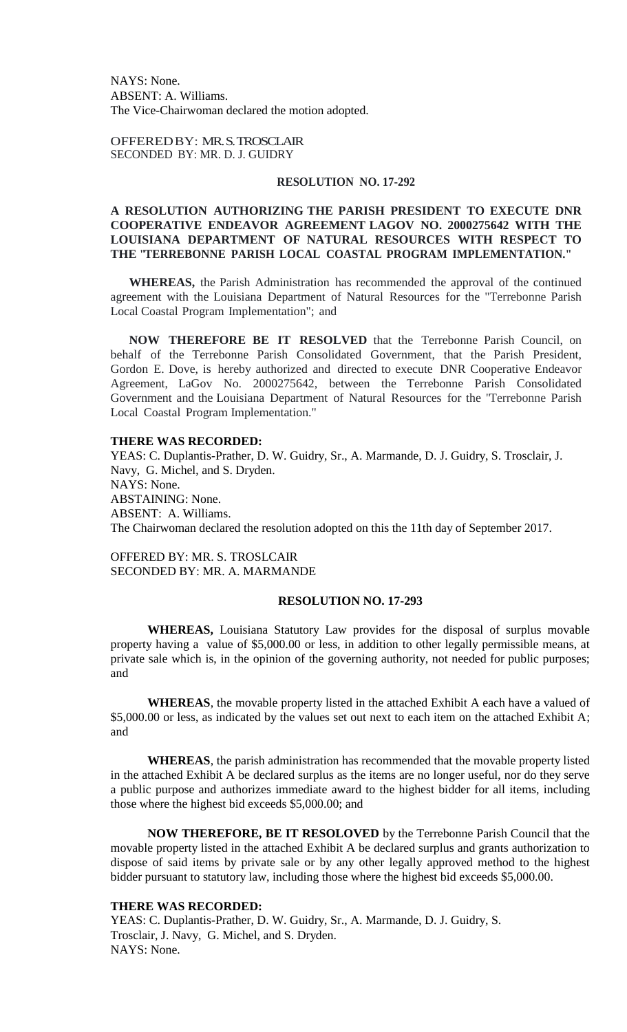NAYS: None. ABSENT: A. Williams. The Vice-Chairwoman declared the motion adopted.

OFFEREDBY: MR. S. TROSCLAIR SECONDED BY: MR. D. J. GUIDRY

### **RESOLUTION NO. 17-292**

## **A RESOLUTION AUTHORIZING THE PARISH PRESIDENT TO EXECUTE DNR COOPERATIVE ENDEAVOR AGREEMENT LAGOV NO. 2000275642 WITH THE LOUISIANA DEPARTMENT OF NATURAL RESOURCES WITH RESPECT TO THE "TERREBONNE PARISH LOCAL COASTAL PROGRAM IMPLEMENTATION."**

**WHEREAS,** the Parish Administration has recommended the approval of the continued agreement with the Louisiana Department of Natural Resources for the "Terrebonne Parish Local Coastal Program Implementation"; and

**NOW THEREFORE BE IT RESOLVED** that the Terrebonne Parish Council, on behalf of the Terrebonne Parish Consolidated Government, that the Parish President, Gordon E. Dove, is hereby authorized and directed to execute DNR Cooperative Endeavor Agreement, LaGov No. 2000275642, between the Terrebonne Parish Consolidated Government and the Louisiana Department of Natural Resources for the "Terrebonne Parish Local Coastal Program Implementation."

#### **THERE WAS RECORDED:**

YEAS: C. Duplantis-Prather, D. W. Guidry, Sr., A. Marmande, D. J. Guidry, S. Trosclair, J. Navy, G. Michel, and S. Dryden. NAYS: None. ABSTAINING: None. ABSENT: A. Williams. The Chairwoman declared the resolution adopted on this the 11th day of September 2017.

OFFERED BY: MR. S. TROSLCAIR SECONDED BY: MR. A. MARMANDE

## **RESOLUTION NO. 17-293**

**WHEREAS,** Louisiana Statutory Law provides for the disposal of surplus movable property having a value of \$5,000.00 or less, in addition to other legally permissible means, at private sale which is, in the opinion of the governing authority, not needed for public purposes; and

**WHEREAS**, the movable property listed in the attached Exhibit A each have a valued of \$5,000.00 or less, as indicated by the values set out next to each item on the attached Exhibit A; and

**WHEREAS**, the parish administration has recommended that the movable property listed in the attached Exhibit A be declared surplus as the items are no longer useful, nor do they serve a public purpose and authorizes immediate award to the highest bidder for all items, including those where the highest bid exceeds \$5,000.00; and

**NOW THEREFORE, BE IT RESOLOVED** by the Terrebonne Parish Council that the movable property listed in the attached Exhibit A be declared surplus and grants authorization to dispose of said items by private sale or by any other legally approved method to the highest bidder pursuant to statutory law, including those where the highest bid exceeds \$5,000.00.

### **THERE WAS RECORDED:**

YEAS: C. Duplantis-Prather, D. W. Guidry, Sr., A. Marmande, D. J. Guidry, S. Trosclair, J. Navy, G. Michel, and S. Dryden. NAYS: None.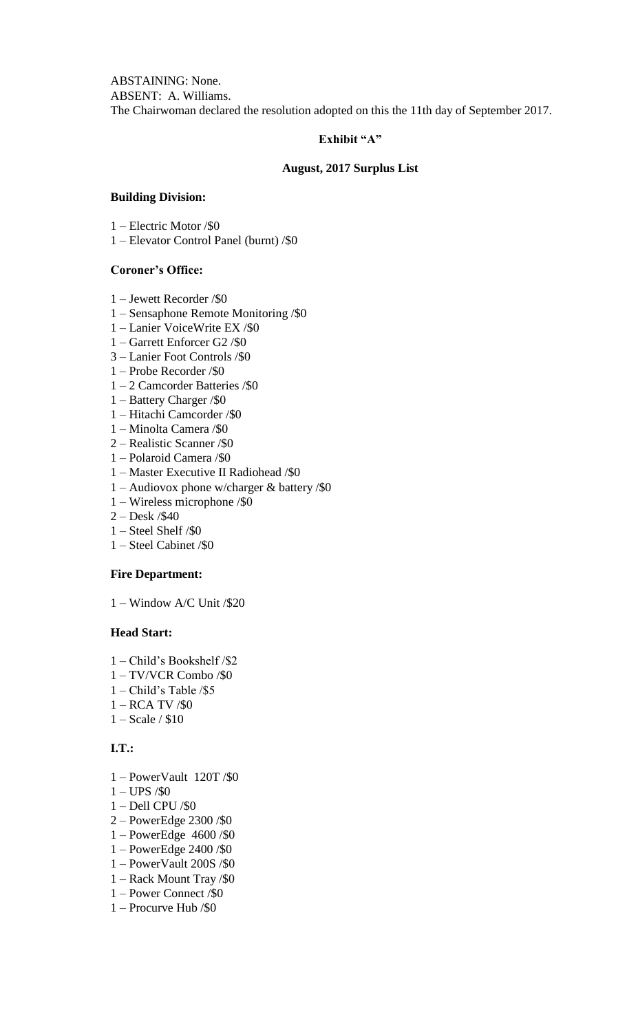ABSTAINING: None. ABSENT: A. Williams. The Chairwoman declared the resolution adopted on this the 11th day of September 2017.

# **Exhibit "A"**

## **August, 2017 Surplus List**

## **Building Division:**

1 – Electric Motor /\$0

1 – Elevator Control Panel (burnt) /\$0

# **Coroner's Office:**

- 1 Jewett Recorder /\$0
- 1 Sensaphone Remote Monitoring /\$0
- 1 Lanier VoiceWrite EX /\$0
- 1 Garrett Enforcer G2 /\$0
- 3 Lanier Foot Controls /\$0
- 1 Probe Recorder /\$0
- 1 2 Camcorder Batteries /\$0
- 1 Battery Charger /\$0
- 1 Hitachi Camcorder /\$0
- 1 Minolta Camera /\$0
- 2 Realistic Scanner /\$0
- 1 Polaroid Camera /\$0
- 1 Master Executive II Radiohead /\$0
- 1 Audiovox phone w/charger & battery /\$0
- 1 Wireless microphone /\$0
- 2 Desk /\$40
- 1 Steel Shelf /\$0
- 1 Steel Cabinet /\$0

## **Fire Department:**

1 – Window A/C Unit /\$20

# **Head Start:**

- 1 Child's Bookshelf /\$2
- 1 TV/VCR Combo /\$0
- 1 Child's Table /\$5
- 1 RCA TV /\$0
- 1 Scale / \$10

# **I.T.:**

- 1 PowerVault 120T /\$0
- 1 UPS /\$0
- 1 Dell CPU /\$0
- 2 PowerEdge 2300 /\$0
- 1 PowerEdge 4600 /\$0
- 1 PowerEdge 2400 /\$0
- 1 PowerVault 200S /\$0
- 1 Rack Mount Tray /\$0
- 1 Power Connect /\$0
- 1 Procurve Hub /\$0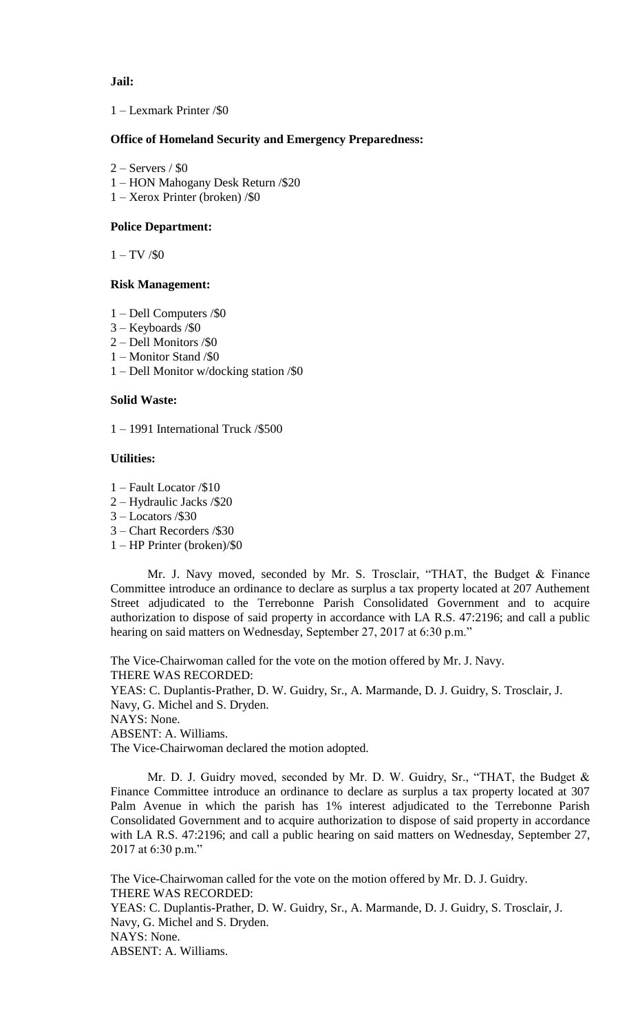## **Jail:**

## 1 – Lexmark Printer /\$0

## **Office of Homeland Security and Emergency Preparedness:**

- $2 -$  Servers / \$0
- 1 HON Mahogany Desk Return /\$20
- 1 Xerox Printer (broken) /\$0

## **Police Department:**

 $1 - TV / $0$ 

### **Risk Management:**

- 1 Dell Computers /\$0
- 3 Keyboards /\$0
- 2 Dell Monitors /\$0
- 1 Monitor Stand /\$0
- 1 Dell Monitor w/docking station /\$0

### **Solid Waste:**

1 – 1991 International Truck /\$500

## **Utilities:**

- 1 Fault Locator /\$10
- 2 Hydraulic Jacks /\$20
- 3 Locators /\$30
- 3 Chart Recorders /\$30
- 1 HP Printer (broken)/\$0

Mr. J. Navy moved, seconded by Mr. S. Trosclair, "THAT, the Budget & Finance Committee introduce an ordinance to declare as surplus a tax property located at 207 Authement Street adjudicated to the Terrebonne Parish Consolidated Government and to acquire authorization to dispose of said property in accordance with LA R.S. 47:2196; and call a public hearing on said matters on Wednesday, September 27, 2017 at 6:30 p.m."

The Vice-Chairwoman called for the vote on the motion offered by Mr. J. Navy. THERE WAS RECORDED: YEAS: C. Duplantis-Prather, D. W. Guidry, Sr., A. Marmande, D. J. Guidry, S. Trosclair, J. Navy, G. Michel and S. Dryden. NAYS: None. ABSENT: A. Williams. The Vice-Chairwoman declared the motion adopted.

Mr. D. J. Guidry moved, seconded by Mr. D. W. Guidry, Sr., "THAT, the Budget & Finance Committee introduce an ordinance to declare as surplus a tax property located at 307 Palm Avenue in which the parish has 1% interest adjudicated to the Terrebonne Parish Consolidated Government and to acquire authorization to dispose of said property in accordance with LA R.S. 47:2196; and call a public hearing on said matters on Wednesday, September 27, 2017 at 6:30 p.m."

The Vice-Chairwoman called for the vote on the motion offered by Mr. D. J. Guidry. THERE WAS RECORDED: YEAS: C. Duplantis-Prather, D. W. Guidry, Sr., A. Marmande, D. J. Guidry, S. Trosclair, J. Navy, G. Michel and S. Dryden. NAYS: None. ABSENT: A. Williams.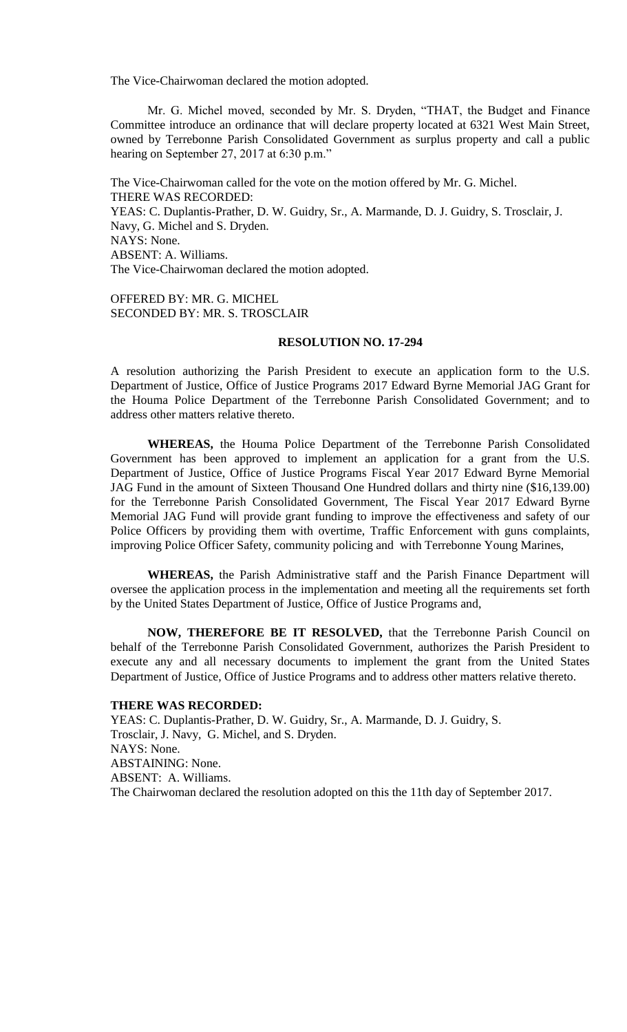The Vice-Chairwoman declared the motion adopted.

Mr. G. Michel moved, seconded by Mr. S. Dryden, "THAT, the Budget and Finance Committee introduce an ordinance that will declare property located at 6321 West Main Street, owned by Terrebonne Parish Consolidated Government as surplus property and call a public hearing on September 27, 2017 at 6:30 p.m."

The Vice-Chairwoman called for the vote on the motion offered by Mr. G. Michel. THERE WAS RECORDED: YEAS: C. Duplantis-Prather, D. W. Guidry, Sr., A. Marmande, D. J. Guidry, S. Trosclair, J. Navy, G. Michel and S. Dryden. NAYS: None. ABSENT: A. Williams. The Vice-Chairwoman declared the motion adopted.

OFFERED BY: MR. G. MICHEL SECONDED BY: MR. S. TROSCLAIR

## **RESOLUTION NO. 17-294**

A resolution authorizing the Parish President to execute an application form to the U.S. Department of Justice, Office of Justice Programs 2017 Edward Byrne Memorial JAG Grant for the Houma Police Department of the Terrebonne Parish Consolidated Government; and to address other matters relative thereto.

**WHEREAS,** the Houma Police Department of the Terrebonne Parish Consolidated Government has been approved to implement an application for a grant from the U.S. Department of Justice, Office of Justice Programs Fiscal Year 2017 Edward Byrne Memorial JAG Fund in the amount of Sixteen Thousand One Hundred dollars and thirty nine (\$16,139.00) for the Terrebonne Parish Consolidated Government, The Fiscal Year 2017 Edward Byrne Memorial JAG Fund will provide grant funding to improve the effectiveness and safety of our Police Officers by providing them with overtime, Traffic Enforcement with guns complaints, improving Police Officer Safety, community policing and with Terrebonne Young Marines,

**WHEREAS,** the Parish Administrative staff and the Parish Finance Department will oversee the application process in the implementation and meeting all the requirements set forth by the United States Department of Justice, Office of Justice Programs and,

**NOW, THEREFORE BE IT RESOLVED,** that the Terrebonne Parish Council on behalf of the Terrebonne Parish Consolidated Government, authorizes the Parish President to execute any and all necessary documents to implement the grant from the United States Department of Justice, Office of Justice Programs and to address other matters relative thereto.

### **THERE WAS RECORDED:**

YEAS: C. Duplantis-Prather, D. W. Guidry, Sr., A. Marmande, D. J. Guidry, S. Trosclair, J. Navy, G. Michel, and S. Dryden. NAYS: None. ABSTAINING: None. ABSENT: A. Williams. The Chairwoman declared the resolution adopted on this the 11th day of September 2017.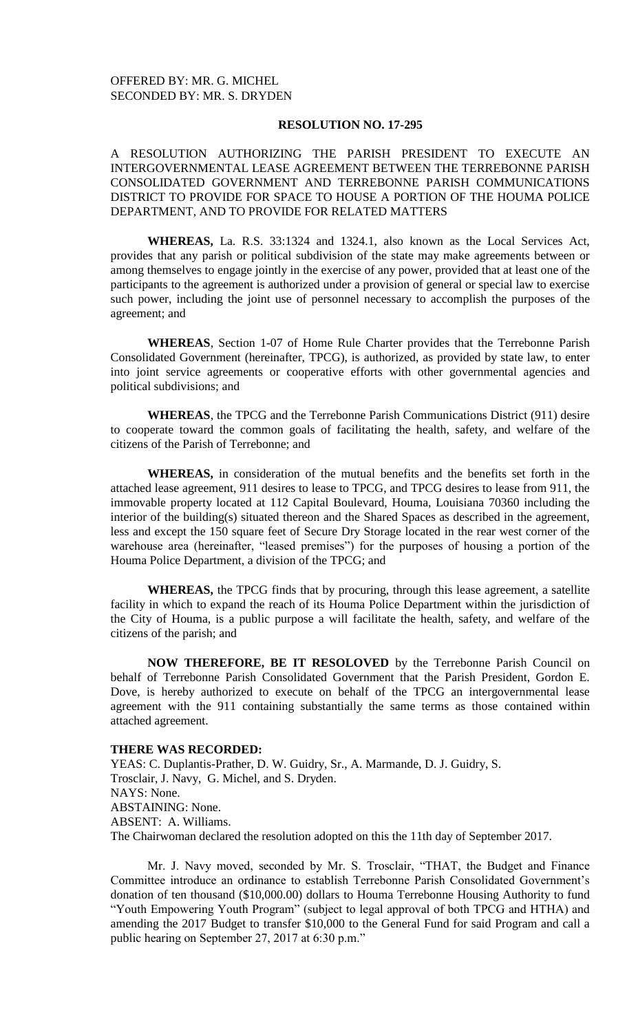### **RESOLUTION NO. 17-295**

A RESOLUTION AUTHORIZING THE PARISH PRESIDENT TO EXECUTE AN INTERGOVERNMENTAL LEASE AGREEMENT BETWEEN THE TERREBONNE PARISH CONSOLIDATED GOVERNMENT AND TERREBONNE PARISH COMMUNICATIONS DISTRICT TO PROVIDE FOR SPACE TO HOUSE A PORTION OF THE HOUMA POLICE DEPARTMENT, AND TO PROVIDE FOR RELATED MATTERS

**WHEREAS,** La. R.S. 33:1324 and 1324.1, also known as the Local Services Act, provides that any parish or political subdivision of the state may make agreements between or among themselves to engage jointly in the exercise of any power, provided that at least one of the participants to the agreement is authorized under a provision of general or special law to exercise such power, including the joint use of personnel necessary to accomplish the purposes of the agreement; and

**WHEREAS**, Section 1-07 of Home Rule Charter provides that the Terrebonne Parish Consolidated Government (hereinafter, TPCG), is authorized, as provided by state law, to enter into joint service agreements or cooperative efforts with other governmental agencies and political subdivisions; and

**WHEREAS**, the TPCG and the Terrebonne Parish Communications District (911) desire to cooperate toward the common goals of facilitating the health, safety, and welfare of the citizens of the Parish of Terrebonne; and

**WHEREAS,** in consideration of the mutual benefits and the benefits set forth in the attached lease agreement, 911 desires to lease to TPCG, and TPCG desires to lease from 911, the immovable property located at 112 Capital Boulevard, Houma, Louisiana 70360 including the interior of the building(s) situated thereon and the Shared Spaces as described in the agreement, less and except the 150 square feet of Secure Dry Storage located in the rear west corner of the warehouse area (hereinafter, "leased premises") for the purposes of housing a portion of the Houma Police Department, a division of the TPCG; and

**WHEREAS,** the TPCG finds that by procuring, through this lease agreement, a satellite facility in which to expand the reach of its Houma Police Department within the jurisdiction of the City of Houma, is a public purpose a will facilitate the health, safety, and welfare of the citizens of the parish; and

**NOW THEREFORE, BE IT RESOLOVED** by the Terrebonne Parish Council on behalf of Terrebonne Parish Consolidated Government that the Parish President, Gordon E. Dove, is hereby authorized to execute on behalf of the TPCG an intergovernmental lease agreement with the 911 containing substantially the same terms as those contained within attached agreement.

#### **THERE WAS RECORDED:**

YEAS: C. Duplantis-Prather, D. W. Guidry, Sr., A. Marmande, D. J. Guidry, S. Trosclair, J. Navy, G. Michel, and S. Dryden. NAYS: None. ABSTAINING: None. ABSENT: A. Williams. The Chairwoman declared the resolution adopted on this the 11th day of September 2017.

Mr. J. Navy moved, seconded by Mr. S. Trosclair, "THAT, the Budget and Finance Committee introduce an ordinance to establish Terrebonne Parish Consolidated Government's donation of ten thousand (\$10,000.00) dollars to Houma Terrebonne Housing Authority to fund "Youth Empowering Youth Program" (subject to legal approval of both TPCG and HTHA) and amending the 2017 Budget to transfer \$10,000 to the General Fund for said Program and call a public hearing on September 27, 2017 at 6:30 p.m."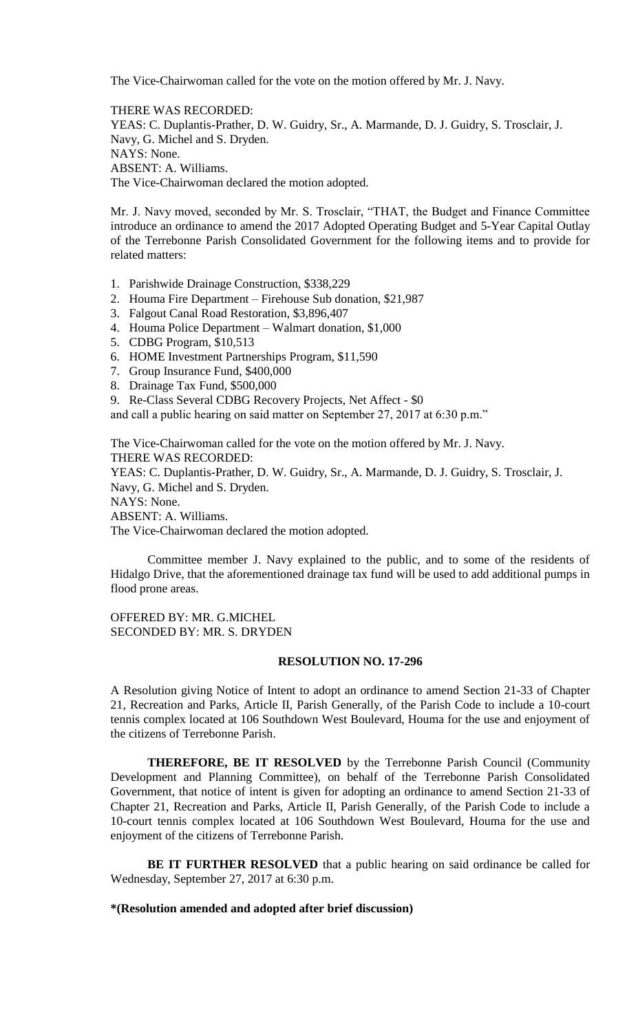The Vice-Chairwoman called for the vote on the motion offered by Mr. J. Navy.

THERE WAS RECORDED: YEAS: C. Duplantis-Prather, D. W. Guidry, Sr., A. Marmande, D. J. Guidry, S. Trosclair, J. Navy, G. Michel and S. Dryden. NAYS: None. ABSENT: A. Williams. The Vice-Chairwoman declared the motion adopted.

Mr. J. Navy moved, seconded by Mr. S. Trosclair, "THAT, the Budget and Finance Committee introduce an ordinance to amend the 2017 Adopted Operating Budget and 5-Year Capital Outlay of the Terrebonne Parish Consolidated Government for the following items and to provide for related matters:

- 1. Parishwide Drainage Construction, \$338,229
- 2. Houma Fire Department Firehouse Sub donation, \$21,987
- 3. Falgout Canal Road Restoration, \$3,896,407
- 4. Houma Police Department Walmart donation, \$1,000
- 5. CDBG Program, \$10,513
- 6. HOME Investment Partnerships Program, \$11,590
- 7. Group Insurance Fund, \$400,000
- 8. Drainage Tax Fund, \$500,000
- 9. Re-Class Several CDBG Recovery Projects, Net Affect \$0

and call a public hearing on said matter on September 27, 2017 at 6:30 p.m."

The Vice-Chairwoman called for the vote on the motion offered by Mr. J. Navy. THERE WAS RECORDED: YEAS: C. Duplantis-Prather, D. W. Guidry, Sr., A. Marmande, D. J. Guidry, S. Trosclair, J.

Navy, G. Michel and S. Dryden. NAYS: None.

ABSENT: A. Williams.

The Vice-Chairwoman declared the motion adopted.

Committee member J. Navy explained to the public, and to some of the residents of Hidalgo Drive, that the aforementioned drainage tax fund will be used to add additional pumps in flood prone areas.

OFFERED BY: MR. G.MICHEL SECONDED BY: MR. S. DRYDEN

### **RESOLUTION NO. 17-296**

A Resolution giving Notice of Intent to adopt an ordinance to amend Section 21-33 of Chapter 21, Recreation and Parks, Article II, Parish Generally, of the Parish Code to include a 10-court tennis complex located at 106 Southdown West Boulevard, Houma for the use and enjoyment of the citizens of Terrebonne Parish.

**THEREFORE, BE IT RESOLVED** by the Terrebonne Parish Council (Community Development and Planning Committee), on behalf of the Terrebonne Parish Consolidated Government, that notice of intent is given for adopting an ordinance to amend Section 21-33 of Chapter 21, Recreation and Parks, Article II, Parish Generally, of the Parish Code to include a 10-court tennis complex located at 106 Southdown West Boulevard, Houma for the use and enjoyment of the citizens of Terrebonne Parish.

**BE IT FURTHER RESOLVED** that a public hearing on said ordinance be called for Wednesday, September 27, 2017 at 6:30 p.m.

#### **\*(Resolution amended and adopted after brief discussion)**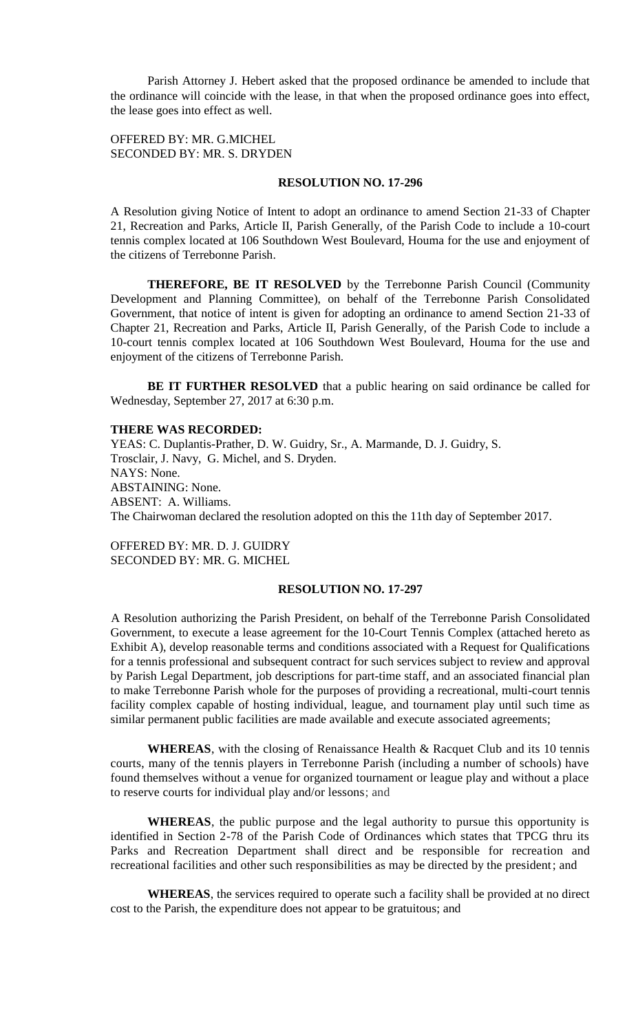Parish Attorney J. Hebert asked that the proposed ordinance be amended to include that the ordinance will coincide with the lease, in that when the proposed ordinance goes into effect, the lease goes into effect as well.

## OFFERED BY: MR. G.MICHEL SECONDED BY: MR. S. DRYDEN

### **RESOLUTION NO. 17-296**

A Resolution giving Notice of Intent to adopt an ordinance to amend Section 21-33 of Chapter 21, Recreation and Parks, Article II, Parish Generally, of the Parish Code to include a 10-court tennis complex located at 106 Southdown West Boulevard, Houma for the use and enjoyment of the citizens of Terrebonne Parish.

**THEREFORE, BE IT RESOLVED** by the Terrebonne Parish Council (Community Development and Planning Committee), on behalf of the Terrebonne Parish Consolidated Government, that notice of intent is given for adopting an ordinance to amend Section 21-33 of Chapter 21, Recreation and Parks, Article II, Parish Generally, of the Parish Code to include a 10-court tennis complex located at 106 Southdown West Boulevard, Houma for the use and enjoyment of the citizens of Terrebonne Parish.

**BE IT FURTHER RESOLVED** that a public hearing on said ordinance be called for Wednesday, September 27, 2017 at 6:30 p.m.

#### **THERE WAS RECORDED:**

YEAS: C. Duplantis-Prather, D. W. Guidry, Sr., A. Marmande, D. J. Guidry, S. Trosclair, J. Navy, G. Michel, and S. Dryden. NAYS: None. ABSTAINING: None. ABSENT: A. Williams. The Chairwoman declared the resolution adopted on this the 11th day of September 2017.

OFFERED BY: MR. D. J. GUIDRY SECONDED BY: MR. G. MICHEL

## **RESOLUTION NO. 17-297**

A Resolution authorizing the Parish President, on behalf of the Terrebonne Parish Consolidated Government, to execute a lease agreement for the 10-Court Tennis Complex (attached hereto as Exhibit A), develop reasonable terms and conditions associated with a Request for Qualifications for a tennis professional and subsequent contract for such services subject to review and approval by Parish Legal Department, job descriptions for part-time staff, and an associated financial plan to make Terrebonne Parish whole for the purposes of providing a recreational, multi-court tennis facility complex capable of hosting individual, league, and tournament play until such time as similar permanent public facilities are made available and execute associated agreements;

**WHEREAS**, with the closing of Renaissance Health & Racquet Club and its 10 tennis courts, many of the tennis players in Terrebonne Parish (including a number of schools) have found themselves without a venue for organized tournament or league play and without a place to reserve courts for individual play and/or lessons; and

**WHEREAS**, the public purpose and the legal authority to pursue this opportunity is identified in Section 2-78 of the Parish Code of Ordinances which states that TPCG thru its Parks and Recreation Department shall direct and be responsible for recreation and recreational facilities and other such responsibilities as may be directed by the president; and

**WHEREAS**, the services required to operate such a facility shall be provided at no direct cost to the Parish, the expenditure does not appear to be gratuitous; and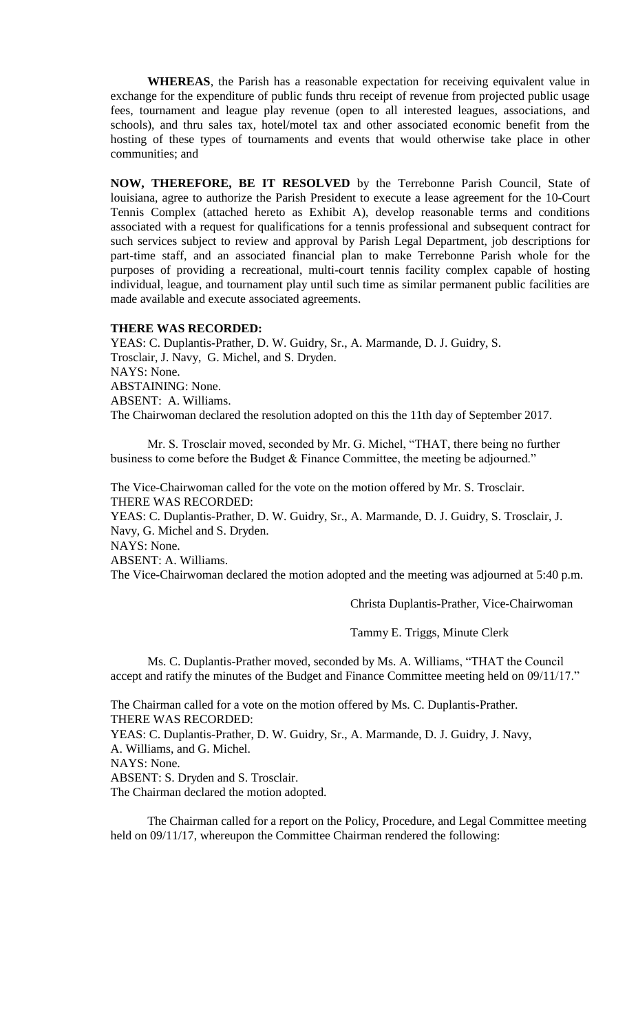**WHEREAS**, the Parish has a reasonable expectation for receiving equivalent value in exchange for the expenditure of public funds thru receipt of revenue from projected public usage fees, tournament and league play revenue (open to all interested leagues, associations, and schools), and thru sales tax, hotel/motel tax and other associated economic benefit from the hosting of these types of tournaments and events that would otherwise take place in other communities; and

**NOW, THEREFORE, BE IT RESOLVED** by the Terrebonne Parish Council, State of louisiana, agree to authorize the Parish President to execute a lease agreement for the 10-Court Tennis Complex (attached hereto as Exhibit A), develop reasonable terms and conditions associated with a request for qualifications for a tennis professional and subsequent contract for such services subject to review and approval by Parish Legal Department, job descriptions for part-time staff, and an associated financial plan to make Terrebonne Parish whole for the purposes of providing a recreational, multi-court tennis facility complex capable of hosting individual, league, and tournament play until such time as similar permanent public facilities are made available and execute associated agreements.

# **THERE WAS RECORDED:**

YEAS: C. Duplantis-Prather, D. W. Guidry, Sr., A. Marmande, D. J. Guidry, S. Trosclair, J. Navy, G. Michel, and S. Dryden. NAYS: None. ABSTAINING: None. ABSENT: A. Williams. The Chairwoman declared the resolution adopted on this the 11th day of September 2017.

Mr. S. Trosclair moved, seconded by Mr. G. Michel, "THAT, there being no further business to come before the Budget & Finance Committee, the meeting be adjourned."

The Vice-Chairwoman called for the vote on the motion offered by Mr. S. Trosclair. THERE WAS RECORDED:

YEAS: C. Duplantis-Prather, D. W. Guidry, Sr., A. Marmande, D. J. Guidry, S. Trosclair, J. Navy, G. Michel and S. Dryden.

NAYS: None.

ABSENT: A. Williams.

The Vice-Chairwoman declared the motion adopted and the meeting was adjourned at 5:40 p.m.

Christa Duplantis-Prather, Vice-Chairwoman

Tammy E. Triggs, Minute Clerk

Ms. C. Duplantis-Prather moved, seconded by Ms. A. Williams, "THAT the Council accept and ratify the minutes of the Budget and Finance Committee meeting held on 09/11/17."

The Chairman called for a vote on the motion offered by Ms. C. Duplantis-Prather. THERE WAS RECORDED:

YEAS: C. Duplantis-Prather, D. W. Guidry, Sr., A. Marmande, D. J. Guidry, J. Navy, A. Williams, and G. Michel.

NAYS: None.

ABSENT: S. Dryden and S. Trosclair.

The Chairman declared the motion adopted.

The Chairman called for a report on the Policy, Procedure, and Legal Committee meeting held on 09/11/17, whereupon the Committee Chairman rendered the following: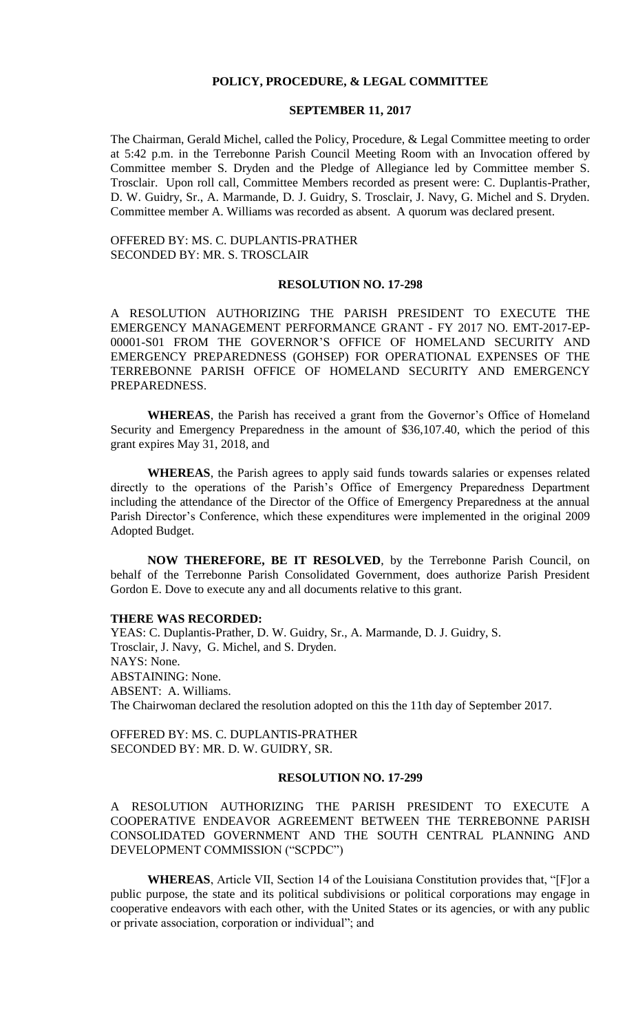#### **POLICY, PROCEDURE, & LEGAL COMMITTEE**

#### **SEPTEMBER 11, 2017**

The Chairman, Gerald Michel, called the Policy, Procedure, & Legal Committee meeting to order at 5:42 p.m. in the Terrebonne Parish Council Meeting Room with an Invocation offered by Committee member S. Dryden and the Pledge of Allegiance led by Committee member S. Trosclair. Upon roll call, Committee Members recorded as present were: C. Duplantis-Prather, D. W. Guidry, Sr., A. Marmande, D. J. Guidry, S. Trosclair, J. Navy, G. Michel and S. Dryden. Committee member A. Williams was recorded as absent. A quorum was declared present.

OFFERED BY: MS. C. DUPLANTIS-PRATHER SECONDED BY: MR. S. TROSCLAIR

#### **RESOLUTION NO. 17-298**

A RESOLUTION AUTHORIZING THE PARISH PRESIDENT TO EXECUTE THE EMERGENCY MANAGEMENT PERFORMANCE GRANT - FY 2017 NO. EMT-2017-EP-00001-S01 FROM THE GOVERNOR'S OFFICE OF HOMELAND SECURITY AND EMERGENCY PREPAREDNESS (GOHSEP) FOR OPERATIONAL EXPENSES OF THE TERREBONNE PARISH OFFICE OF HOMELAND SECURITY AND EMERGENCY PREPAREDNESS.

**WHEREAS**, the Parish has received a grant from the Governor's Office of Homeland Security and Emergency Preparedness in the amount of \$36,107.40, which the period of this grant expires May 31, 2018, and

**WHEREAS**, the Parish agrees to apply said funds towards salaries or expenses related directly to the operations of the Parish's Office of Emergency Preparedness Department including the attendance of the Director of the Office of Emergency Preparedness at the annual Parish Director's Conference, which these expenditures were implemented in the original 2009 Adopted Budget.

**NOW THEREFORE, BE IT RESOLVED**, by the Terrebonne Parish Council, on behalf of the Terrebonne Parish Consolidated Government, does authorize Parish President Gordon E. Dove to execute any and all documents relative to this grant.

### **THERE WAS RECORDED:**

YEAS: C. Duplantis-Prather, D. W. Guidry, Sr., A. Marmande, D. J. Guidry, S. Trosclair, J. Navy, G. Michel, and S. Dryden. NAYS: None. ABSTAINING: None. ABSENT: A. Williams. The Chairwoman declared the resolution adopted on this the 11th day of September 2017.

OFFERED BY: MS. C. DUPLANTIS-PRATHER SECONDED BY: MR. D. W. GUIDRY, SR.

## **RESOLUTION NO. 17-299**

A RESOLUTION AUTHORIZING THE PARISH PRESIDENT TO EXECUTE A COOPERATIVE ENDEAVOR AGREEMENT BETWEEN THE TERREBONNE PARISH CONSOLIDATED GOVERNMENT AND THE SOUTH CENTRAL PLANNING AND DEVELOPMENT COMMISSION ("SCPDC")

**WHEREAS**, Article VII, Section 14 of the Louisiana Constitution provides that, "[F]or a public purpose, the state and its political subdivisions or political corporations may engage in cooperative endeavors with each other, with the United States or its agencies, or with any public or private association, corporation or individual"; and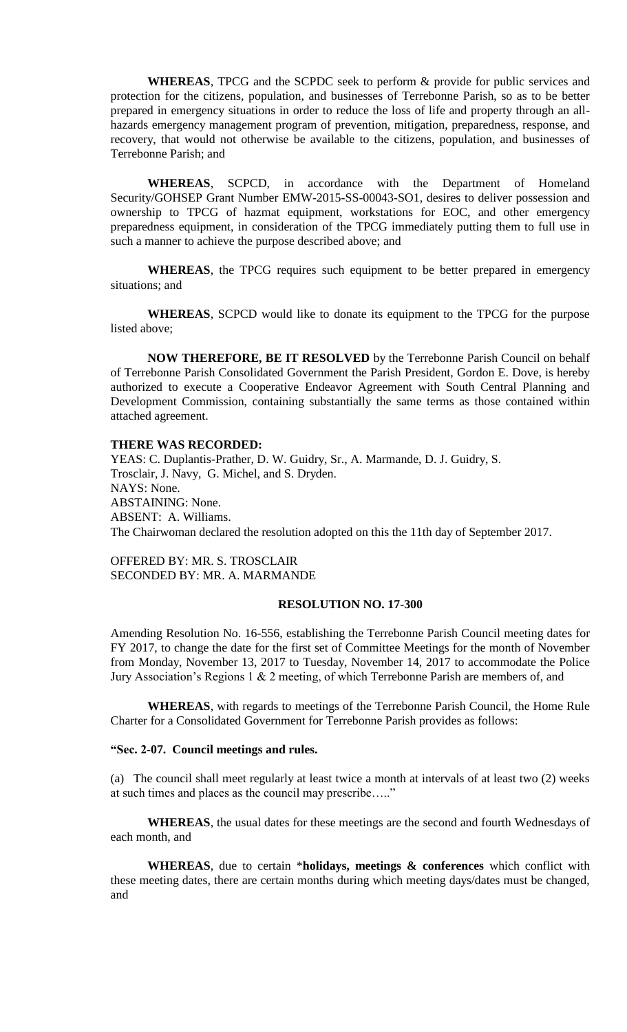**WHEREAS**, TPCG and the SCPDC seek to perform & provide for public services and protection for the citizens, population, and businesses of Terrebonne Parish, so as to be better prepared in emergency situations in order to reduce the loss of life and property through an allhazards emergency management program of prevention, mitigation, preparedness, response, and recovery, that would not otherwise be available to the citizens, population, and businesses of Terrebonne Parish; and

**WHEREAS**, SCPCD, in accordance with the Department of Homeland Security/GOHSEP Grant Number EMW-2015-SS-00043-SO1, desires to deliver possession and ownership to TPCG of hazmat equipment, workstations for EOC, and other emergency preparedness equipment, in consideration of the TPCG immediately putting them to full use in such a manner to achieve the purpose described above; and

**WHEREAS**, the TPCG requires such equipment to be better prepared in emergency situations; and

**WHEREAS**, SCPCD would like to donate its equipment to the TPCG for the purpose listed above;

**NOW THEREFORE, BE IT RESOLVED** by the Terrebonne Parish Council on behalf of Terrebonne Parish Consolidated Government the Parish President, Gordon E. Dove, is hereby authorized to execute a Cooperative Endeavor Agreement with South Central Planning and Development Commission, containing substantially the same terms as those contained within attached agreement.

#### **THERE WAS RECORDED:**

YEAS: C. Duplantis-Prather, D. W. Guidry, Sr., A. Marmande, D. J. Guidry, S. Trosclair, J. Navy, G. Michel, and S. Dryden. NAYS: None. ABSTAINING: None. ABSENT: A. Williams. The Chairwoman declared the resolution adopted on this the 11th day of September 2017.

OFFERED BY: MR. S. TROSCLAIR SECONDED BY: MR. A. MARMANDE

## **RESOLUTION NO. 17-300**

Amending Resolution No. 16-556, establishing the Terrebonne Parish Council meeting dates for FY 2017, to change the date for the first set of Committee Meetings for the month of November from Monday, November 13, 2017 to Tuesday, November 14, 2017 to accommodate the Police Jury Association's Regions 1 & 2 meeting, of which Terrebonne Parish are members of, and

**WHEREAS**, with regards to meetings of the Terrebonne Parish Council, the Home Rule Charter for a Consolidated Government for Terrebonne Parish provides as follows:

## **"Sec. 2-07. Council meetings and rules.**

(a) The council shall meet regularly at least twice a month at intervals of at least two (2) weeks at such times and places as the council may prescribe….."

**WHEREAS**, the usual dates for these meetings are the second and fourth Wednesdays of each month, and

**WHEREAS**, due to certain \***holidays, meetings & conferences** which conflict with these meeting dates, there are certain months during which meeting days/dates must be changed, and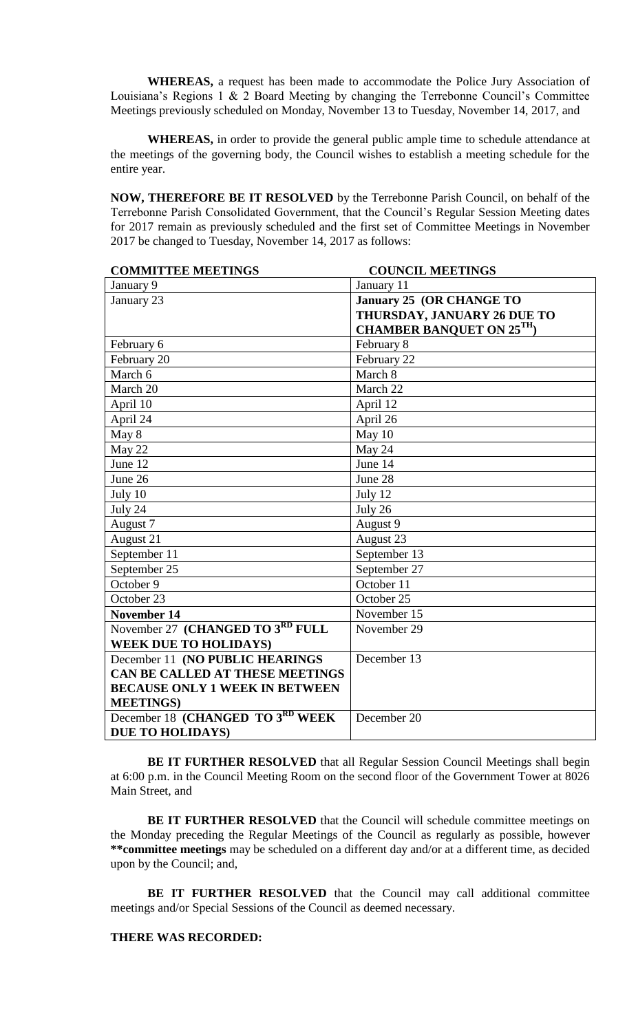**WHEREAS,** a request has been made to accommodate the Police Jury Association of Louisiana's Regions 1 & 2 Board Meeting by changing the Terrebonne Council's Committee Meetings previously scheduled on Monday, November 13 to Tuesday, November 14, 2017, and

**WHEREAS,** in order to provide the general public ample time to schedule attendance at the meetings of the governing body, the Council wishes to establish a meeting schedule for the entire year.

**NOW, THEREFORE BE IT RESOLVED** by the Terrebonne Parish Council, on behalf of the Terrebonne Parish Consolidated Government, that the Council's Regular Session Meeting dates for 2017 remain as previously scheduled and the first set of Committee Meetings in November 2017 be changed to Tuesday, November 14, 2017 as follows:

| <b>COMMITTEE MEETINGS</b>             | <b>COUNCIL MEETINGS</b>          |
|---------------------------------------|----------------------------------|
| January 9                             | January 11                       |
| January 23                            | January 25 (OR CHANGE TO         |
|                                       | THURSDAY, JANUARY 26 DUE TO      |
|                                       | <b>CHAMBER BANQUET ON 25TH</b> ) |
| February 6                            | February 8                       |
| February 20                           | February 22                      |
| March 6                               | March 8                          |
| March 20                              | March 22                         |
| April 10                              | April 12                         |
| April 24                              | April 26                         |
| May 8                                 | May 10                           |
| May 22                                | May 24                           |
| June 12                               | June 14                          |
| June 26                               | June 28                          |
| July 10                               | July 12                          |
| July 24                               | July 26                          |
| August 7                              | August 9                         |
| August 21                             | August 23                        |
| September 11                          | September 13                     |
| September 25                          | September 27                     |
| October 9                             | October 11                       |
| October 23                            | October 25                       |
| <b>November 14</b>                    | November 15                      |
| November 27 (CHANGED TO 3RD FULL      | November 29                      |
| <b>WEEK DUE TO HOLIDAYS)</b>          |                                  |
| December 11 (NO PUBLIC HEARINGS       | December 13                      |
| CAN BE CALLED AT THESE MEETINGS       |                                  |
| <b>BECAUSE ONLY 1 WEEK IN BETWEEN</b> |                                  |
| <b>MEETINGS</b> )                     |                                  |
| December 18 (CHANGED TO 3RD WEEK      | December 20                      |
| DUE TO HOLIDAYS)                      |                                  |

**BE IT FURTHER RESOLVED** that all Regular Session Council Meetings shall begin at 6:00 p.m. in the Council Meeting Room on the second floor of the Government Tower at 8026 Main Street, and

BE IT FURTHER RESOLVED that the Council will schedule committee meetings on the Monday preceding the Regular Meetings of the Council as regularly as possible, however **\*\*committee meetings** may be scheduled on a different day and/or at a different time, as decided upon by the Council; and,

**BE IT FURTHER RESOLVED** that the Council may call additional committee meetings and/or Special Sessions of the Council as deemed necessary.

# **THERE WAS RECORDED:**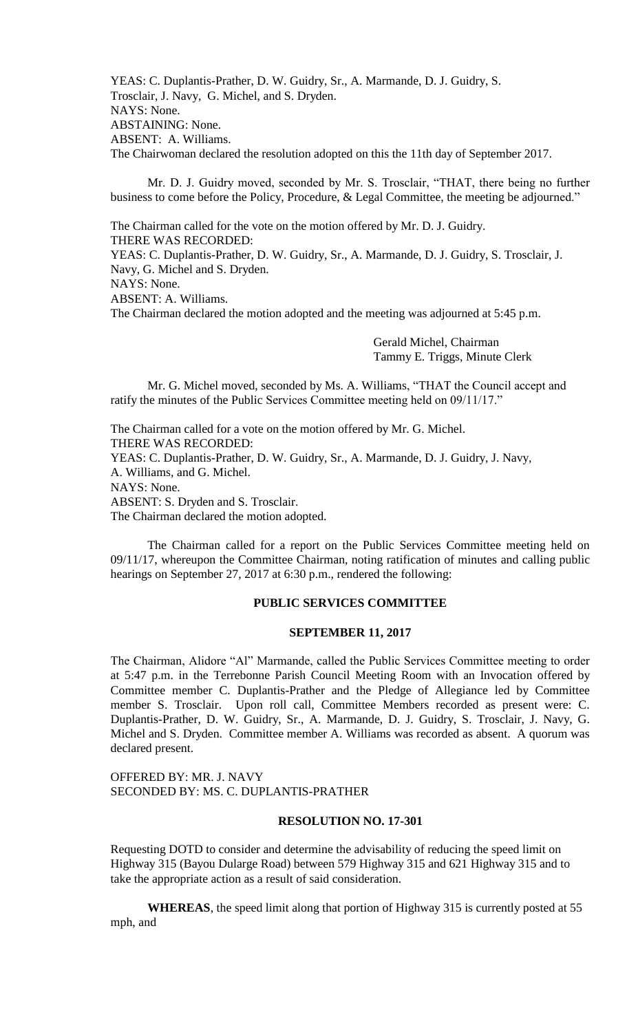YEAS: C. Duplantis-Prather, D. W. Guidry, Sr., A. Marmande, D. J. Guidry, S. Trosclair, J. Navy, G. Michel, and S. Dryden. NAYS: None. ABSTAINING: None. ABSENT: A. Williams. The Chairwoman declared the resolution adopted on this the 11th day of September 2017.

Mr. D. J. Guidry moved, seconded by Mr. S. Trosclair, "THAT, there being no further business to come before the Policy, Procedure, & Legal Committee, the meeting be adjourned."

The Chairman called for the vote on the motion offered by Mr. D. J. Guidry. THERE WAS RECORDED:

YEAS: C. Duplantis-Prather, D. W. Guidry, Sr., A. Marmande, D. J. Guidry, S. Trosclair, J. Navy, G. Michel and S. Dryden.

NAYS: None.

ABSENT: A. Williams.

The Chairman declared the motion adopted and the meeting was adjourned at 5:45 p.m.

Gerald Michel, Chairman Tammy E. Triggs, Minute Clerk

Mr. G. Michel moved, seconded by Ms. A. Williams, "THAT the Council accept and ratify the minutes of the Public Services Committee meeting held on 09/11/17."

The Chairman called for a vote on the motion offered by Mr. G. Michel. THERE WAS RECORDED: YEAS: C. Duplantis-Prather, D. W. Guidry, Sr., A. Marmande, D. J. Guidry, J. Navy, A. Williams, and G. Michel. NAYS: None. ABSENT: S. Dryden and S. Trosclair. The Chairman declared the motion adopted.

The Chairman called for a report on the Public Services Committee meeting held on 09/11/17, whereupon the Committee Chairman, noting ratification of minutes and calling public hearings on September 27, 2017 at 6:30 p.m., rendered the following:

## **PUBLIC SERVICES COMMITTEE**

#### **SEPTEMBER 11, 2017**

The Chairman, Alidore "Al" Marmande, called the Public Services Committee meeting to order at 5:47 p.m. in the Terrebonne Parish Council Meeting Room with an Invocation offered by Committee member C. Duplantis-Prather and the Pledge of Allegiance led by Committee member S. Trosclair. Upon roll call, Committee Members recorded as present were: C. Duplantis-Prather, D. W. Guidry, Sr., A. Marmande, D. J. Guidry, S. Trosclair, J. Navy, G. Michel and S. Dryden. Committee member A. Williams was recorded as absent. A quorum was declared present.

OFFERED BY: MR. J. NAVY SECONDED BY: MS. C. DUPLANTIS-PRATHER

## **RESOLUTION NO. 17-301**

Requesting DOTD to consider and determine the advisability of reducing the speed limit on Highway 315 (Bayou Dularge Road) between 579 Highway 315 and 621 Highway 315 and to take the appropriate action as a result of said consideration.

**WHEREAS**, the speed limit along that portion of Highway 315 is currently posted at 55 mph, and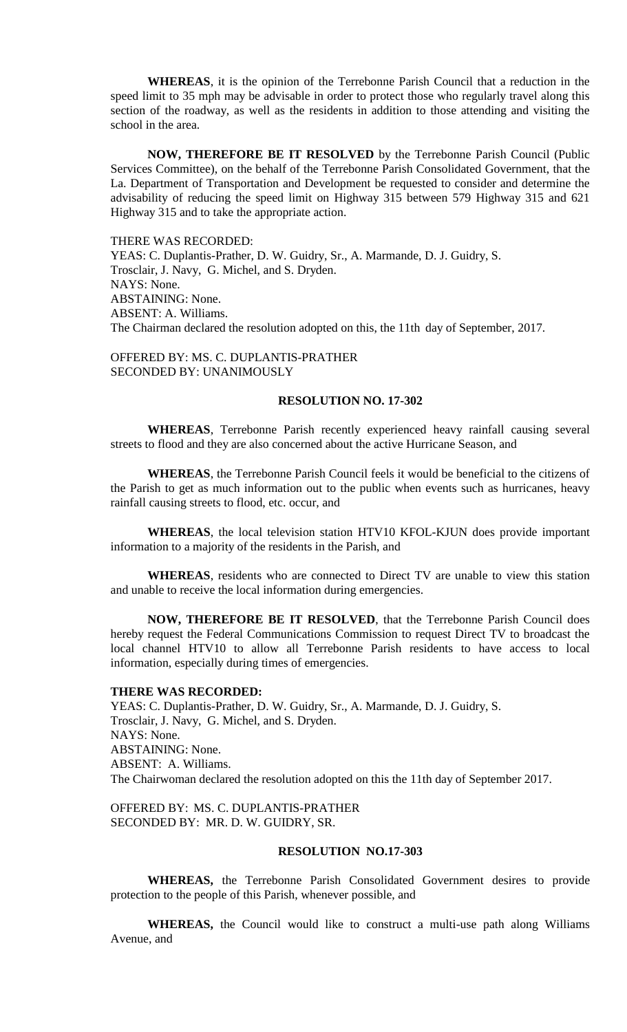**WHEREAS**, it is the opinion of the Terrebonne Parish Council that a reduction in the speed limit to 35 mph may be advisable in order to protect those who regularly travel along this section of the roadway, as well as the residents in addition to those attending and visiting the school in the area.

**NOW, THEREFORE BE IT RESOLVED** by the Terrebonne Parish Council (Public Services Committee), on the behalf of the Terrebonne Parish Consolidated Government, that the La. Department of Transportation and Development be requested to consider and determine the advisability of reducing the speed limit on Highway 315 between 579 Highway 315 and 621 Highway 315 and to take the appropriate action.

#### THERE WAS RECORDED:

YEAS: C. Duplantis-Prather, D. W. Guidry, Sr., A. Marmande, D. J. Guidry, S. Trosclair, J. Navy, G. Michel, and S. Dryden. NAYS: None. ABSTAINING: None. ABSENT: A. Williams. The Chairman declared the resolution adopted on this, the 11th day of September, 2017.

OFFERED BY: MS. C. DUPLANTIS-PRATHER SECONDED BY: UNANIMOUSLY

### **RESOLUTION NO. 17-302**

**WHEREAS**, Terrebonne Parish recently experienced heavy rainfall causing several streets to flood and they are also concerned about the active Hurricane Season, and

**WHEREAS**, the Terrebonne Parish Council feels it would be beneficial to the citizens of the Parish to get as much information out to the public when events such as hurricanes, heavy rainfall causing streets to flood, etc. occur, and

**WHEREAS**, the local television station HTV10 KFOL-KJUN does provide important information to a majority of the residents in the Parish, and

**WHEREAS**, residents who are connected to Direct TV are unable to view this station and unable to receive the local information during emergencies.

**NOW, THEREFORE BE IT RESOLVED**, that the Terrebonne Parish Council does hereby request the Federal Communications Commission to request Direct TV to broadcast the local channel HTV10 to allow all Terrebonne Parish residents to have access to local information, especially during times of emergencies.

#### **THERE WAS RECORDED:**

YEAS: C. Duplantis-Prather, D. W. Guidry, Sr., A. Marmande, D. J. Guidry, S. Trosclair, J. Navy, G. Michel, and S. Dryden. NAYS: None. ABSTAINING: None. ABSENT: A. Williams. The Chairwoman declared the resolution adopted on this the 11th day of September 2017.

OFFERED BY: MS. C. DUPLANTIS-PRATHER SECONDED BY: MR. D. W. GUIDRY, SR.

# **RESOLUTION NO.17-303**

**WHEREAS,** the Terrebonne Parish Consolidated Government desires to provide protection to the people of this Parish, whenever possible, and

**WHEREAS,** the Council would like to construct a multi-use path along Williams Avenue, and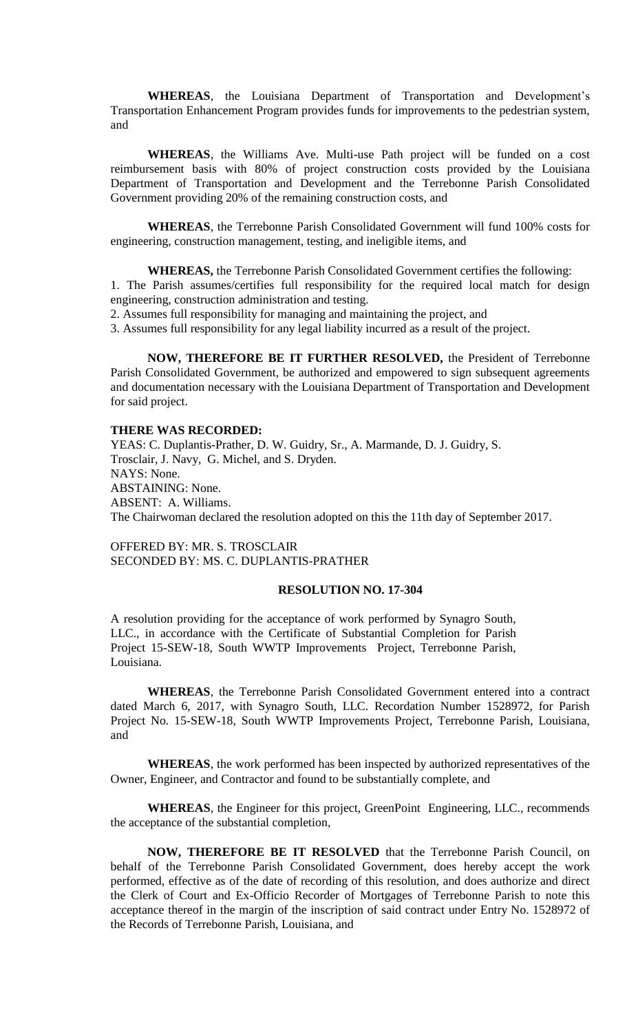**WHEREAS**, the Louisiana Department of Transportation and Development's Transportation Enhancement Program provides funds for improvements to the pedestrian system, and

**WHEREAS**, the Williams Ave. Multi-use Path project will be funded on a cost reimbursement basis with 80% of project construction costs provided by the Louisiana Department of Transportation and Development and the Terrebonne Parish Consolidated Government providing 20% of the remaining construction costs, and

**WHEREAS**, the Terrebonne Parish Consolidated Government will fund 100% costs for engineering, construction management, testing, and ineligible items, and

**WHEREAS,** the Terrebonne Parish Consolidated Government certifies the following:

1. The Parish assumes/certifies full responsibility for the required local match for design engineering, construction administration and testing.

2. Assumes full responsibility for managing and maintaining the project, and

3. Assumes full responsibility for any legal liability incurred as a result of the project.

**NOW, THEREFORE BE IT FURTHER RESOLVED,** the President of Terrebonne Parish Consolidated Government, be authorized and empowered to sign subsequent agreements and documentation necessary with the Louisiana Department of Transportation and Development for said project.

### **THERE WAS RECORDED:**

YEAS: C. Duplantis-Prather, D. W. Guidry, Sr., A. Marmande, D. J. Guidry, S. Trosclair, J. Navy, G. Michel, and S. Dryden. NAYS: None. ABSTAINING: None. ABSENT: A. Williams. The Chairwoman declared the resolution adopted on this the 11th day of September 2017.

OFFERED BY: MR. S. TROSCLAIR SECONDED BY: MS. C. DUPLANTIS-PRATHER

## **RESOLUTION NO. 17-304**

A resolution providing for the acceptance of work performed by Synagro South, LLC., in accordance with the Certificate of Substantial Completion for Parish Project 15-SEW-18, South WWTP Improvements Project, Terrebonne Parish, Louisiana.

**WHEREAS**, the Terrebonne Parish Consolidated Government entered into a contract dated March 6, 2017, with Synagro South, LLC. Recordation Number 1528972, for Parish Project No. 15-SEW-18, South WWTP Improvements Project, Terrebonne Parish, Louisiana, and

**WHEREAS**, the work performed has been inspected by authorized representatives of the Owner, Engineer, and Contractor and found to be substantially complete, and

**WHEREAS**, the Engineer for this project, GreenPoint Engineering, LLC., recommends the acceptance of the substantial completion,

**NOW, THEREFORE BE IT RESOLVED** that the Terrebonne Parish Council, on behalf of the Terrebonne Parish Consolidated Government, does hereby accept the work performed, effective as of the date of recording of this resolution, and does authorize and direct the Clerk of Court and Ex-Officio Recorder of Mortgages of Terrebonne Parish to note this acceptance thereof in the margin of the inscription of said contract under Entry No. 1528972 of the Records of Terrebonne Parish, Louisiana, and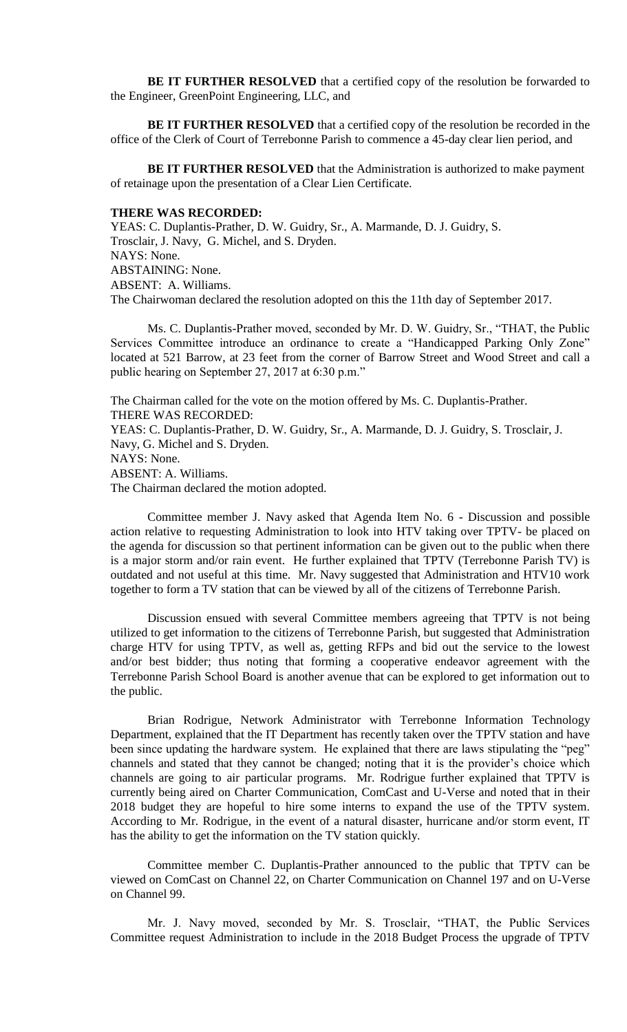**BE IT FURTHER RESOLVED** that a certified copy of the resolution be forwarded to the Engineer, GreenPoint Engineering, LLC, and

**BE IT FURTHER RESOLVED** that a certified copy of the resolution be recorded in the office of the Clerk of Court of Terrebonne Parish to commence a 45-day clear lien period, and

**BE IT FURTHER RESOLVED** that the Administration is authorized to make payment of retainage upon the presentation of a Clear Lien Certificate.

#### **THERE WAS RECORDED:**

YEAS: C. Duplantis-Prather, D. W. Guidry, Sr., A. Marmande, D. J. Guidry, S. Trosclair, J. Navy, G. Michel, and S. Dryden. NAYS: None. ABSTAINING: None. ABSENT: A. Williams. The Chairwoman declared the resolution adopted on this the 11th day of September 2017.

Ms. C. Duplantis-Prather moved, seconded by Mr. D. W. Guidry, Sr., "THAT, the Public Services Committee introduce an ordinance to create a "Handicapped Parking Only Zone" located at 521 Barrow, at 23 feet from the corner of Barrow Street and Wood Street and call a public hearing on September 27, 2017 at 6:30 p.m."

The Chairman called for the vote on the motion offered by Ms. C. Duplantis-Prather. THERE WAS RECORDED: YEAS: C. Duplantis-Prather, D. W. Guidry, Sr., A. Marmande, D. J. Guidry, S. Trosclair, J. Navy, G. Michel and S. Dryden. NAYS: None. ABSENT: A. Williams. The Chairman declared the motion adopted.

Committee member J. Navy asked that Agenda Item No. 6 - Discussion and possible action relative to requesting Administration to look into HTV taking over TPTV- be placed on the agenda for discussion so that pertinent information can be given out to the public when there is a major storm and/or rain event. He further explained that TPTV (Terrebonne Parish TV) is outdated and not useful at this time. Mr. Navy suggested that Administration and HTV10 work together to form a TV station that can be viewed by all of the citizens of Terrebonne Parish.

Discussion ensued with several Committee members agreeing that TPTV is not being utilized to get information to the citizens of Terrebonne Parish, but suggested that Administration charge HTV for using TPTV, as well as, getting RFPs and bid out the service to the lowest and/or best bidder; thus noting that forming a cooperative endeavor agreement with the Terrebonne Parish School Board is another avenue that can be explored to get information out to the public.

Brian Rodrigue, Network Administrator with Terrebonne Information Technology Department, explained that the IT Department has recently taken over the TPTV station and have been since updating the hardware system. He explained that there are laws stipulating the "peg" channels and stated that they cannot be changed; noting that it is the provider's choice which channels are going to air particular programs. Mr. Rodrigue further explained that TPTV is currently being aired on Charter Communication, ComCast and U-Verse and noted that in their 2018 budget they are hopeful to hire some interns to expand the use of the TPTV system. According to Mr. Rodrigue, in the event of a natural disaster, hurricane and/or storm event, IT has the ability to get the information on the TV station quickly.

Committee member C. Duplantis-Prather announced to the public that TPTV can be viewed on ComCast on Channel 22, on Charter Communication on Channel 197 and on U-Verse on Channel 99.

Mr. J. Navy moved, seconded by Mr. S. Trosclair, "THAT, the Public Services Committee request Administration to include in the 2018 Budget Process the upgrade of TPTV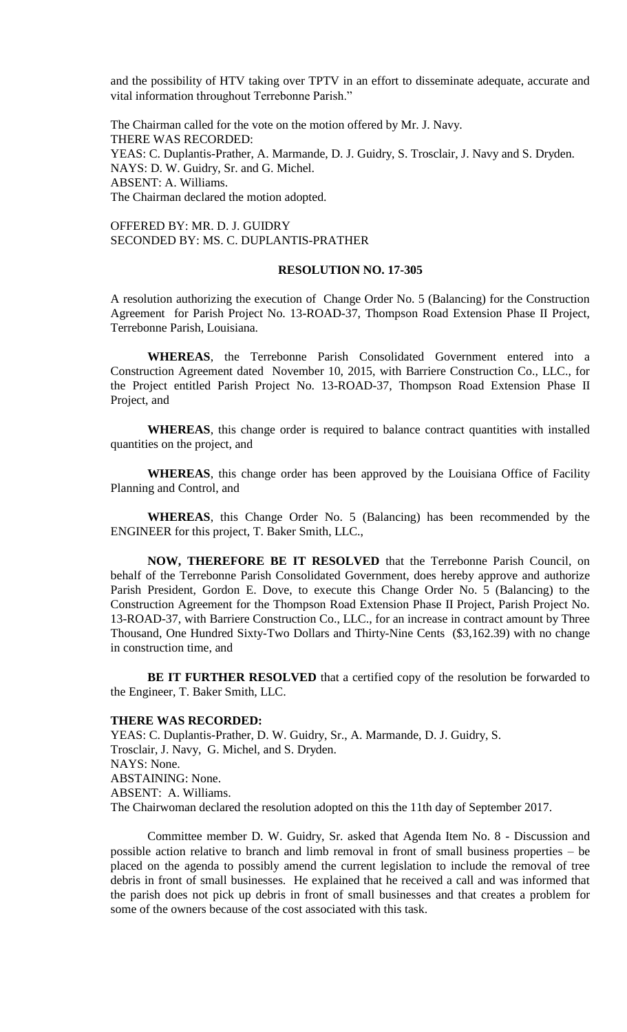and the possibility of HTV taking over TPTV in an effort to disseminate adequate, accurate and vital information throughout Terrebonne Parish."

The Chairman called for the vote on the motion offered by Mr. J. Navy. THERE WAS RECORDED: YEAS: C. Duplantis-Prather, A. Marmande, D. J. Guidry, S. Trosclair, J. Navy and S. Dryden. NAYS: D. W. Guidry, Sr. and G. Michel. ABSENT: A. Williams. The Chairman declared the motion adopted.

OFFERED BY: MR. D. J. GUIDRY SECONDED BY: MS. C. DUPLANTIS-PRATHER

### **RESOLUTION NO. 17-305**

A resolution authorizing the execution of Change Order No. 5 (Balancing) for the Construction Agreement for Parish Project No. 13-ROAD-37, Thompson Road Extension Phase II Project, Terrebonne Parish, Louisiana.

**WHEREAS**, the Terrebonne Parish Consolidated Government entered into a Construction Agreement dated November 10, 2015, with Barriere Construction Co., LLC., for the Project entitled Parish Project No. 13-ROAD-37, Thompson Road Extension Phase II Project, and

**WHEREAS**, this change order is required to balance contract quantities with installed quantities on the project, and

**WHEREAS**, this change order has been approved by the Louisiana Office of Facility Planning and Control, and

**WHEREAS**, this Change Order No. 5 (Balancing) has been recommended by the ENGINEER for this project, T. Baker Smith, LLC.,

**NOW, THEREFORE BE IT RESOLVED** that the Terrebonne Parish Council, on behalf of the Terrebonne Parish Consolidated Government, does hereby approve and authorize Parish President, Gordon E. Dove, to execute this Change Order No. 5 (Balancing) to the Construction Agreement for the Thompson Road Extension Phase II Project, Parish Project No. 13-ROAD-37, with Barriere Construction Co., LLC., for an increase in contract amount by Three Thousand, One Hundred Sixty-Two Dollars and Thirty-Nine Cents (\$3,162.39) with no change in construction time, and

**BE IT FURTHER RESOLVED** that a certified copy of the resolution be forwarded to the Engineer, T. Baker Smith, LLC.

# **THERE WAS RECORDED:**

YEAS: C. Duplantis-Prather, D. W. Guidry, Sr., A. Marmande, D. J. Guidry, S. Trosclair, J. Navy, G. Michel, and S. Dryden. NAYS: None. ABSTAINING: None. ABSENT: A. Williams. The Chairwoman declared the resolution adopted on this the 11th day of September 2017.

Committee member D. W. Guidry, Sr. asked that Agenda Item No. 8 - Discussion and possible action relative to branch and limb removal in front of small business properties – be placed on the agenda to possibly amend the current legislation to include the removal of tree debris in front of small businesses. He explained that he received a call and was informed that the parish does not pick up debris in front of small businesses and that creates a problem for some of the owners because of the cost associated with this task.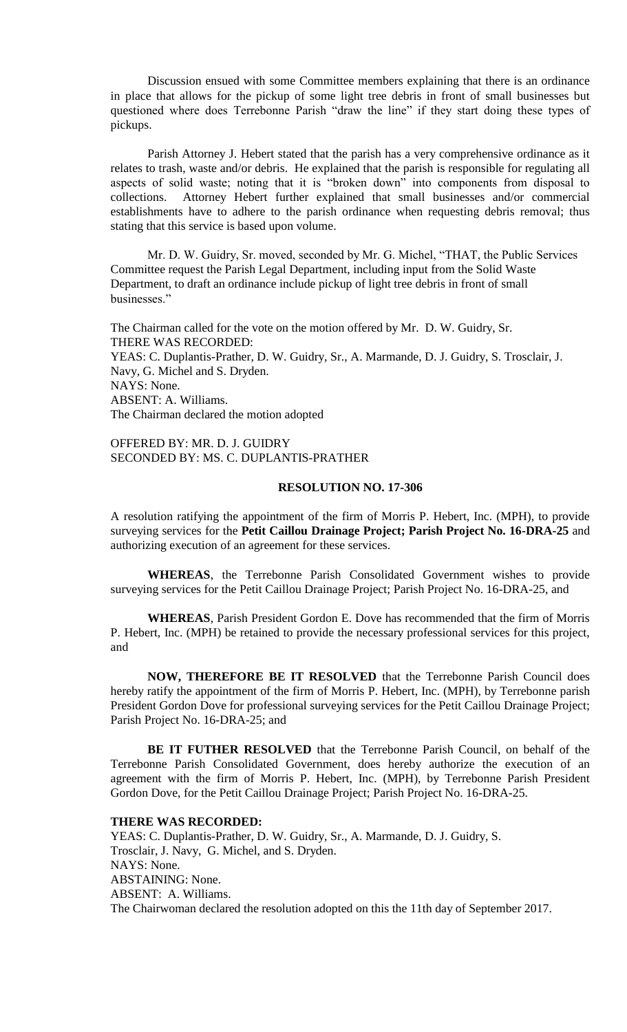Discussion ensued with some Committee members explaining that there is an ordinance in place that allows for the pickup of some light tree debris in front of small businesses but questioned where does Terrebonne Parish "draw the line" if they start doing these types of pickups.

Parish Attorney J. Hebert stated that the parish has a very comprehensive ordinance as it relates to trash, waste and/or debris. He explained that the parish is responsible for regulating all aspects of solid waste; noting that it is "broken down" into components from disposal to collections. Attorney Hebert further explained that small businesses and/or commercial establishments have to adhere to the parish ordinance when requesting debris removal; thus stating that this service is based upon volume.

Mr. D. W. Guidry, Sr. moved, seconded by Mr. G. Michel, "THAT, the Public Services Committee request the Parish Legal Department, including input from the Solid Waste Department, to draft an ordinance include pickup of light tree debris in front of small businesses."

The Chairman called for the vote on the motion offered by Mr. D. W. Guidry, Sr. THERE WAS RECORDED: YEAS: C. Duplantis-Prather, D. W. Guidry, Sr., A. Marmande, D. J. Guidry, S. Trosclair, J. Navy, G. Michel and S. Dryden. NAYS: None. ABSENT: A. Williams. The Chairman declared the motion adopted

## OFFERED BY: MR. D. J. GUIDRY SECONDED BY: MS. C. DUPLANTIS-PRATHER

## **RESOLUTION NO. 17-306**

A resolution ratifying the appointment of the firm of Morris P. Hebert, Inc. (MPH), to provide surveying services for the **Petit Caillou Drainage Project; Parish Project No. 16-DRA-25** and authorizing execution of an agreement for these services.

**WHEREAS**, the Terrebonne Parish Consolidated Government wishes to provide surveying services for the Petit Caillou Drainage Project; Parish Project No. 16-DRA-25, and

**WHEREAS**, Parish President Gordon E. Dove has recommended that the firm of Morris P. Hebert, Inc. (MPH) be retained to provide the necessary professional services for this project, and

**NOW, THEREFORE BE IT RESOLVED** that the Terrebonne Parish Council does hereby ratify the appointment of the firm of Morris P. Hebert, Inc. (MPH), by Terrebonne parish President Gordon Dove for professional surveying services for the Petit Caillou Drainage Project; Parish Project No. 16-DRA-25; and

**BE IT FUTHER RESOLVED** that the Terrebonne Parish Council, on behalf of the Terrebonne Parish Consolidated Government, does hereby authorize the execution of an agreement with the firm of Morris P. Hebert, Inc. (MPH), by Terrebonne Parish President Gordon Dove, for the Petit Caillou Drainage Project; Parish Project No. 16-DRA-25.

#### **THERE WAS RECORDED:**

YEAS: C. Duplantis-Prather, D. W. Guidry, Sr., A. Marmande, D. J. Guidry, S. Trosclair, J. Navy, G. Michel, and S. Dryden. NAYS: None. ABSTAINING: None. ABSENT: A. Williams. The Chairwoman declared the resolution adopted on this the 11th day of September 2017.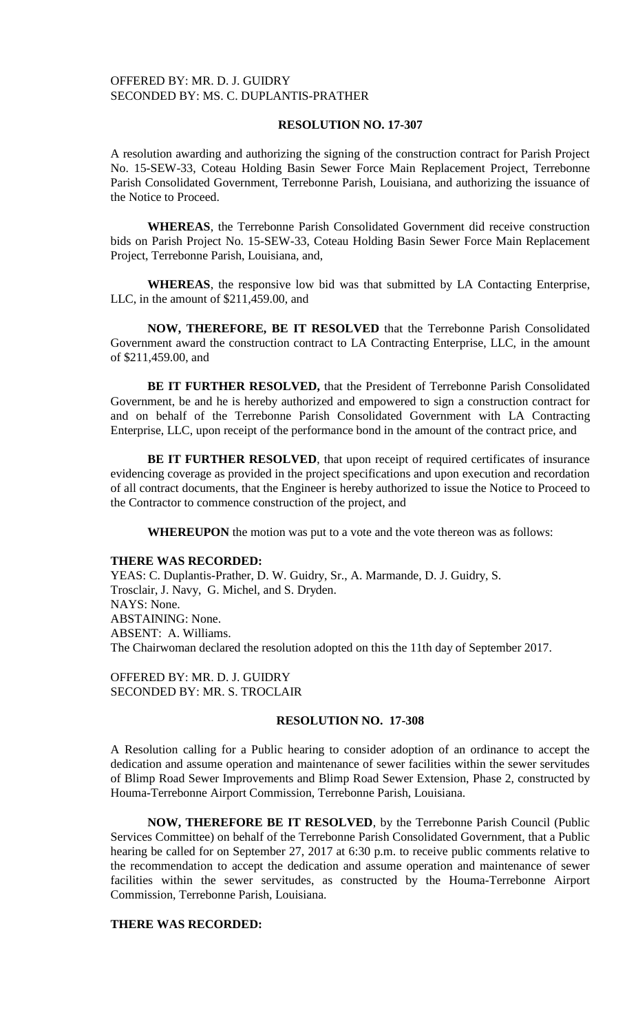## OFFERED BY: MR. D. J. GUIDRY SECONDED BY: MS. C. DUPLANTIS-PRATHER

## **RESOLUTION NO. 17-307**

A resolution awarding and authorizing the signing of the construction contract for Parish Project No. 15-SEW-33, Coteau Holding Basin Sewer Force Main Replacement Project, Terrebonne Parish Consolidated Government, Terrebonne Parish, Louisiana, and authorizing the issuance of the Notice to Proceed.

**WHEREAS**, the Terrebonne Parish Consolidated Government did receive construction bids on Parish Project No. 15-SEW-33, Coteau Holding Basin Sewer Force Main Replacement Project, Terrebonne Parish, Louisiana, and,

**WHEREAS**, the responsive low bid was that submitted by LA Contacting Enterprise, LLC, in the amount of \$211,459.00, and

**NOW, THEREFORE, BE IT RESOLVED** that the Terrebonne Parish Consolidated Government award the construction contract to LA Contracting Enterprise, LLC, in the amount of \$211,459.00, and

**BE IT FURTHER RESOLVED,** that the President of Terrebonne Parish Consolidated Government, be and he is hereby authorized and empowered to sign a construction contract for and on behalf of the Terrebonne Parish Consolidated Government with LA Contracting Enterprise, LLC, upon receipt of the performance bond in the amount of the contract price, and

BE IT FURTHER RESOLVED, that upon receipt of required certificates of insurance evidencing coverage as provided in the project specifications and upon execution and recordation of all contract documents, that the Engineer is hereby authorized to issue the Notice to Proceed to the Contractor to commence construction of the project, and

**WHEREUPON** the motion was put to a vote and the vote thereon was as follows:

#### **THERE WAS RECORDED:**

YEAS: C. Duplantis-Prather, D. W. Guidry, Sr., A. Marmande, D. J. Guidry, S. Trosclair, J. Navy, G. Michel, and S. Dryden. NAYS: None. ABSTAINING: None. ABSENT: A. Williams. The Chairwoman declared the resolution adopted on this the 11th day of September 2017.

OFFERED BY: MR. D. J. GUIDRY SECONDED BY: MR. S. TROCLAIR

## **RESOLUTION NO. 17-308**

A Resolution calling for a Public hearing to consider adoption of an ordinance to accept the dedication and assume operation and maintenance of sewer facilities within the sewer servitudes of Blimp Road Sewer Improvements and Blimp Road Sewer Extension, Phase 2, constructed by Houma-Terrebonne Airport Commission, Terrebonne Parish, Louisiana.

**NOW, THEREFORE BE IT RESOLVED**, by the Terrebonne Parish Council (Public Services Committee) on behalf of the Terrebonne Parish Consolidated Government, that a Public hearing be called for on September 27, 2017 at 6:30 p.m. to receive public comments relative to the recommendation to accept the dedication and assume operation and maintenance of sewer facilities within the sewer servitudes, as constructed by the Houma-Terrebonne Airport Commission, Terrebonne Parish, Louisiana.

# **THERE WAS RECORDED:**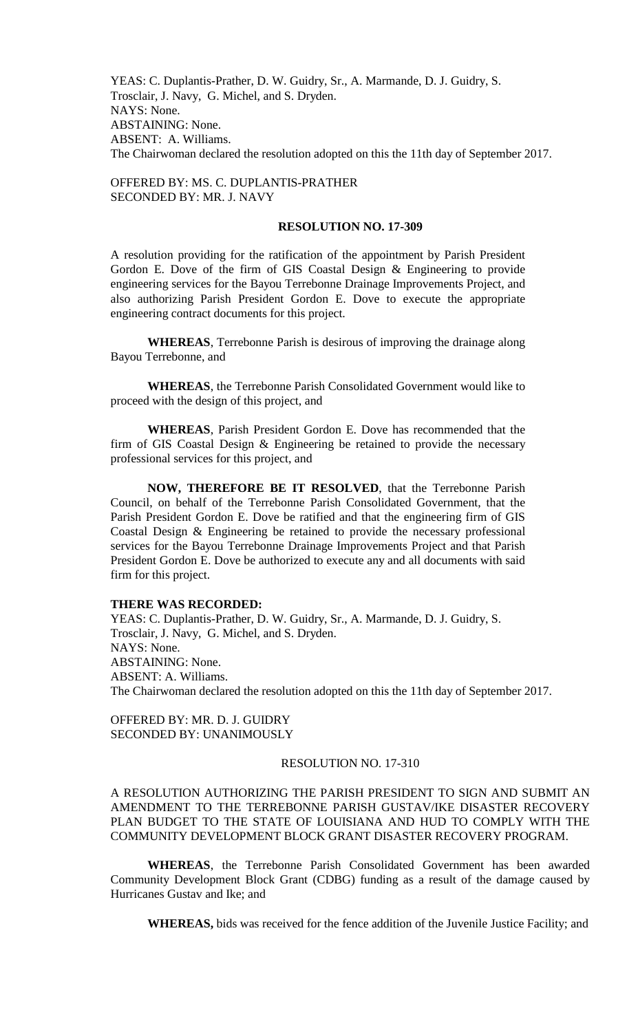YEAS: C. Duplantis-Prather, D. W. Guidry, Sr., A. Marmande, D. J. Guidry, S. Trosclair, J. Navy, G. Michel, and S. Dryden. NAYS: None. ABSTAINING: None. ABSENT: A. Williams. The Chairwoman declared the resolution adopted on this the 11th day of September 2017.

# OFFERED BY: MS. C. DUPLANTIS-PRATHER SECONDED BY: MR. J. NAVY

### **RESOLUTION NO. 17-309**

A resolution providing for the ratification of the appointment by Parish President Gordon E. Dove of the firm of GIS Coastal Design & Engineering to provide engineering services for the Bayou Terrebonne Drainage Improvements Project, and also authorizing Parish President Gordon E. Dove to execute the appropriate engineering contract documents for this project.

**WHEREAS**, Terrebonne Parish is desirous of improving the drainage along Bayou Terrebonne, and

**WHEREAS**, the Terrebonne Parish Consolidated Government would like to proceed with the design of this project, and

**WHEREAS**, Parish President Gordon E. Dove has recommended that the firm of GIS Coastal Design & Engineering be retained to provide the necessary professional services for this project, and

**NOW, THEREFORE BE IT RESOLVED**, that the Terrebonne Parish Council, on behalf of the Terrebonne Parish Consolidated Government, that the Parish President Gordon E. Dove be ratified and that the engineering firm of GIS Coastal Design & Engineering be retained to provide the necessary professional services for the Bayou Terrebonne Drainage Improvements Project and that Parish President Gordon E. Dove be authorized to execute any and all documents with said firm for this project.

### **THERE WAS RECORDED:**

YEAS: C. Duplantis-Prather, D. W. Guidry, Sr., A. Marmande, D. J. Guidry, S. Trosclair, J. Navy, G. Michel, and S. Dryden. NAYS: None. ABSTAINING: None. ABSENT: A. Williams. The Chairwoman declared the resolution adopted on this the 11th day of September 2017.

OFFERED BY: MR. D. J. GUIDRY SECONDED BY: UNANIMOUSLY

## RESOLUTION NO. 17-310

A RESOLUTION AUTHORIZING THE PARISH PRESIDENT TO SIGN AND SUBMIT AN AMENDMENT TO THE TERREBONNE PARISH GUSTAV/IKE DISASTER RECOVERY PLAN BUDGET TO THE STATE OF LOUISIANA AND HUD TO COMPLY WITH THE COMMUNITY DEVELOPMENT BLOCK GRANT DISASTER RECOVERY PROGRAM.

**WHEREAS**, the Terrebonne Parish Consolidated Government has been awarded Community Development Block Grant (CDBG) funding as a result of the damage caused by Hurricanes Gustav and Ike; and

**WHEREAS,** bids was received for the fence addition of the Juvenile Justice Facility; and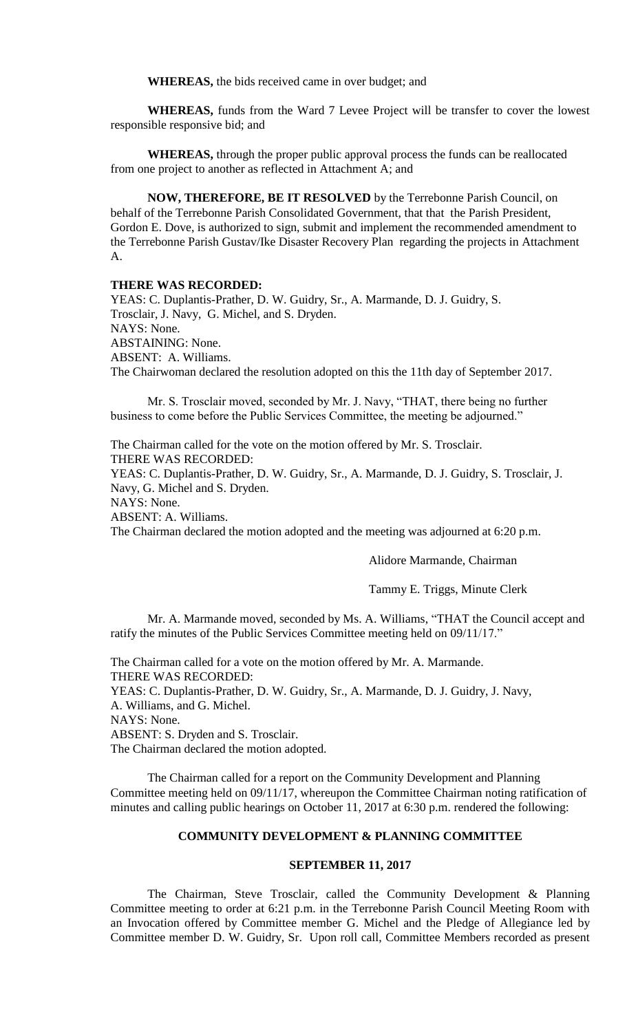**WHEREAS,** the bids received came in over budget; and

**WHEREAS,** funds from the Ward 7 Levee Project will be transfer to cover the lowest responsible responsive bid; and

**WHEREAS,** through the proper public approval process the funds can be reallocated from one project to another as reflected in Attachment A; and

**NOW, THEREFORE, BE IT RESOLVED** by the Terrebonne Parish Council, on behalf of the Terrebonne Parish Consolidated Government, that that the Parish President, Gordon E. Dove, is authorized to sign, submit and implement the recommended amendment to the Terrebonne Parish Gustav/Ike Disaster Recovery Plan regarding the projects in Attachment A.

#### **THERE WAS RECORDED:**

YEAS: C. Duplantis-Prather, D. W. Guidry, Sr., A. Marmande, D. J. Guidry, S. Trosclair, J. Navy, G. Michel, and S. Dryden. NAYS: None. ABSTAINING: None. ABSENT: A. Williams. The Chairwoman declared the resolution adopted on this the 11th day of September 2017.

Mr. S. Trosclair moved, seconded by Mr. J. Navy, "THAT, there being no further business to come before the Public Services Committee, the meeting be adjourned."

The Chairman called for the vote on the motion offered by Mr. S. Trosclair. THERE WAS RECORDED:

YEAS: C. Duplantis-Prather, D. W. Guidry, Sr., A. Marmande, D. J. Guidry, S. Trosclair, J. Navy, G. Michel and S. Dryden.

NAYS: None.

ABSENT: A. Williams.

The Chairman declared the motion adopted and the meeting was adjourned at 6:20 p.m.

Alidore Marmande, Chairman

Tammy E. Triggs, Minute Clerk

Mr. A. Marmande moved, seconded by Ms. A. Williams, "THAT the Council accept and ratify the minutes of the Public Services Committee meeting held on 09/11/17."

The Chairman called for a vote on the motion offered by Mr. A. Marmande. THERE WAS RECORDED: YEAS: C. Duplantis-Prather, D. W. Guidry, Sr., A. Marmande, D. J. Guidry, J. Navy, A. Williams, and G. Michel. NAYS: None. ABSENT: S. Dryden and S. Trosclair. The Chairman declared the motion adopted.

The Chairman called for a report on the Community Development and Planning Committee meeting held on 09/11/17, whereupon the Committee Chairman noting ratification of minutes and calling public hearings on October 11, 2017 at 6:30 p.m. rendered the following:

# **COMMUNITY DEVELOPMENT & PLANNING COMMITTEE**

## **SEPTEMBER 11, 2017**

The Chairman, Steve Trosclair, called the Community Development & Planning Committee meeting to order at 6:21 p.m. in the Terrebonne Parish Council Meeting Room with an Invocation offered by Committee member G. Michel and the Pledge of Allegiance led by Committee member D. W. Guidry, Sr. Upon roll call, Committee Members recorded as present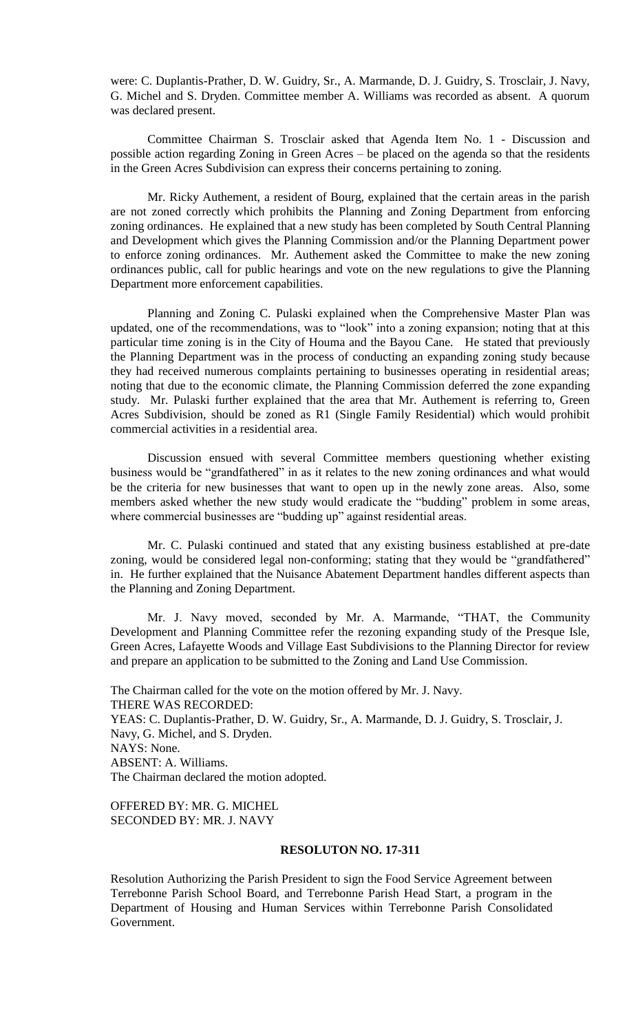were: C. Duplantis-Prather, D. W. Guidry, Sr., A. Marmande, D. J. Guidry, S. Trosclair, J. Navy, G. Michel and S. Dryden. Committee member A. Williams was recorded as absent. A quorum was declared present.

Committee Chairman S. Trosclair asked that Agenda Item No. 1 - Discussion and possible action regarding Zoning in Green Acres – be placed on the agenda so that the residents in the Green Acres Subdivision can express their concerns pertaining to zoning.

Mr. Ricky Authement, a resident of Bourg, explained that the certain areas in the parish are not zoned correctly which prohibits the Planning and Zoning Department from enforcing zoning ordinances. He explained that a new study has been completed by South Central Planning and Development which gives the Planning Commission and/or the Planning Department power to enforce zoning ordinances. Mr. Authement asked the Committee to make the new zoning ordinances public, call for public hearings and vote on the new regulations to give the Planning Department more enforcement capabilities.

Planning and Zoning C. Pulaski explained when the Comprehensive Master Plan was updated, one of the recommendations, was to "look" into a zoning expansion; noting that at this particular time zoning is in the City of Houma and the Bayou Cane. He stated that previously the Planning Department was in the process of conducting an expanding zoning study because they had received numerous complaints pertaining to businesses operating in residential areas; noting that due to the economic climate, the Planning Commission deferred the zone expanding study. Mr. Pulaski further explained that the area that Mr. Authement is referring to, Green Acres Subdivision, should be zoned as R1 (Single Family Residential) which would prohibit commercial activities in a residential area.

Discussion ensued with several Committee members questioning whether existing business would be "grandfathered" in as it relates to the new zoning ordinances and what would be the criteria for new businesses that want to open up in the newly zone areas. Also, some members asked whether the new study would eradicate the "budding" problem in some areas, where commercial businesses are "budding up" against residential areas.

Mr. C. Pulaski continued and stated that any existing business established at pre-date zoning, would be considered legal non-conforming; stating that they would be "grandfathered" in. He further explained that the Nuisance Abatement Department handles different aspects than the Planning and Zoning Department.

Mr. J. Navy moved, seconded by Mr. A. Marmande, "THAT, the Community Development and Planning Committee refer the rezoning expanding study of the Presque Isle, Green Acres, Lafayette Woods and Village East Subdivisions to the Planning Director for review and prepare an application to be submitted to the Zoning and Land Use Commission.

The Chairman called for the vote on the motion offered by Mr. J. Navy. THERE WAS RECORDED: YEAS: C. Duplantis-Prather, D. W. Guidry, Sr., A. Marmande, D. J. Guidry, S. Trosclair, J. Navy, G. Michel, and S. Dryden. NAYS: None. ABSENT: A. Williams. The Chairman declared the motion adopted.

OFFERED BY: MR. G. MICHEL SECONDED BY: MR. J. NAVY

## **RESOLUTON NO. 17-311**

Resolution Authorizing the Parish President to sign the Food Service Agreement between Terrebonne Parish School Board, and Terrebonne Parish Head Start, a program in the Department of Housing and Human Services within Terrebonne Parish Consolidated Government.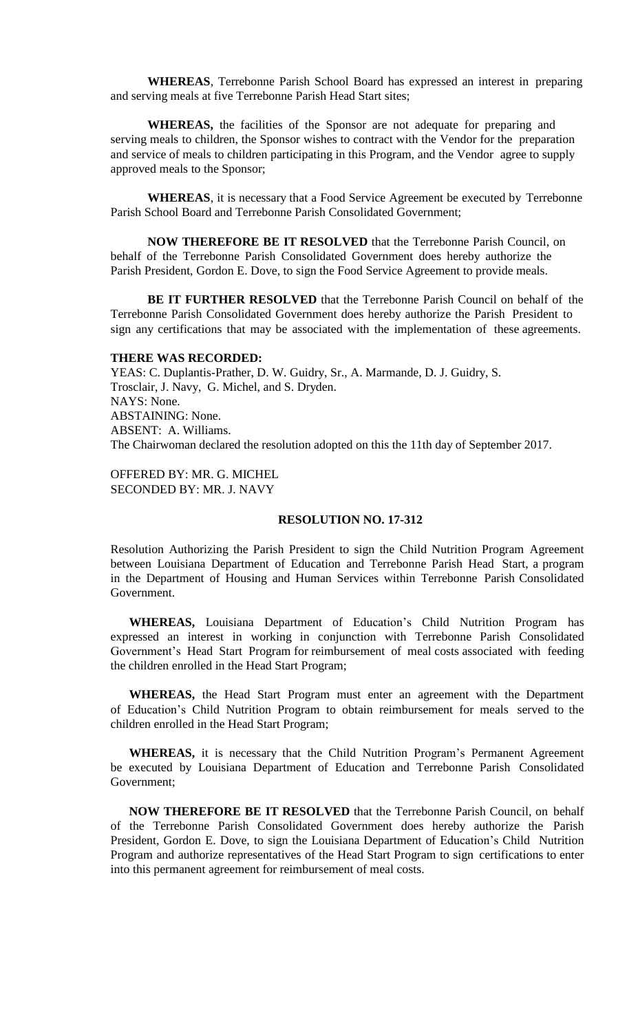**WHEREAS**, Terrebonne Parish School Board has expressed an interest in preparing and serving meals at five Terrebonne Parish Head Start sites;

**WHEREAS,** the facilities of the Sponsor are not adequate for preparing and serving meals to children, the Sponsor wishes to contract with the Vendor for the preparation and service of meals to children participating in this Program, and the Vendor agree to supply approved meals to the Sponsor;

**WHEREAS**, it is necessary that a Food Service Agreement be executed by Terrebonne Parish School Board and Terrebonne Parish Consolidated Government;

**NOW THEREFORE BE IT RESOLVED** that the Terrebonne Parish Council, on behalf of the Terrebonne Parish Consolidated Government does hereby authorize the Parish President, Gordon E. Dove, to sign the Food Service Agreement to provide meals.

**BE IT FURTHER RESOLVED** that the Terrebonne Parish Council on behalf of the Terrebonne Parish Consolidated Government does hereby authorize the Parish President to sign any certifications that may be associated with the implementation of these agreements.

#### **THERE WAS RECORDED:**

YEAS: C. Duplantis-Prather, D. W. Guidry, Sr., A. Marmande, D. J. Guidry, S. Trosclair, J. Navy, G. Michel, and S. Dryden. NAYS: None. ABSTAINING: None. ABSENT: A. Williams. The Chairwoman declared the resolution adopted on this the 11th day of September 2017.

OFFERED BY: MR. G. MICHEL SECONDED BY: MR. J. NAVY

#### **RESOLUTION NO. 17-312**

Resolution Authorizing the Parish President to sign the Child Nutrition Program Agreement between Louisiana Department of Education and Terrebonne Parish Head Start, a program in the Department of Housing and Human Services within Terrebonne Parish Consolidated Government.

**WHEREAS,** Louisiana Department of Education's Child Nutrition Program has expressed an interest in working in conjunction with Terrebonne Parish Consolidated Government's Head Start Program for reimbursement of meal costs associated with feeding the children enrolled in the Head Start Program;

**WHEREAS,** the Head Start Program must enter an agreement with the Department of Education's Child Nutrition Program to obtain reimbursement for meals served to the children enrolled in the Head Start Program;

**WHEREAS,** it is necessary that the Child Nutrition Program's Permanent Agreement be executed by Louisiana Department of Education and Terrebonne Parish Consolidated Government;

**NOW THEREFORE BE IT RESOLVED** that the Terrebonne Parish Council, on behalf of the Terrebonne Parish Consolidated Government does hereby authorize the Parish President, Gordon E. Dove, to sign the Louisiana Department of Education's Child Nutrition Program and authorize representatives of the Head Start Program to sign certifications to enter into this permanent agreement for reimbursement of meal costs.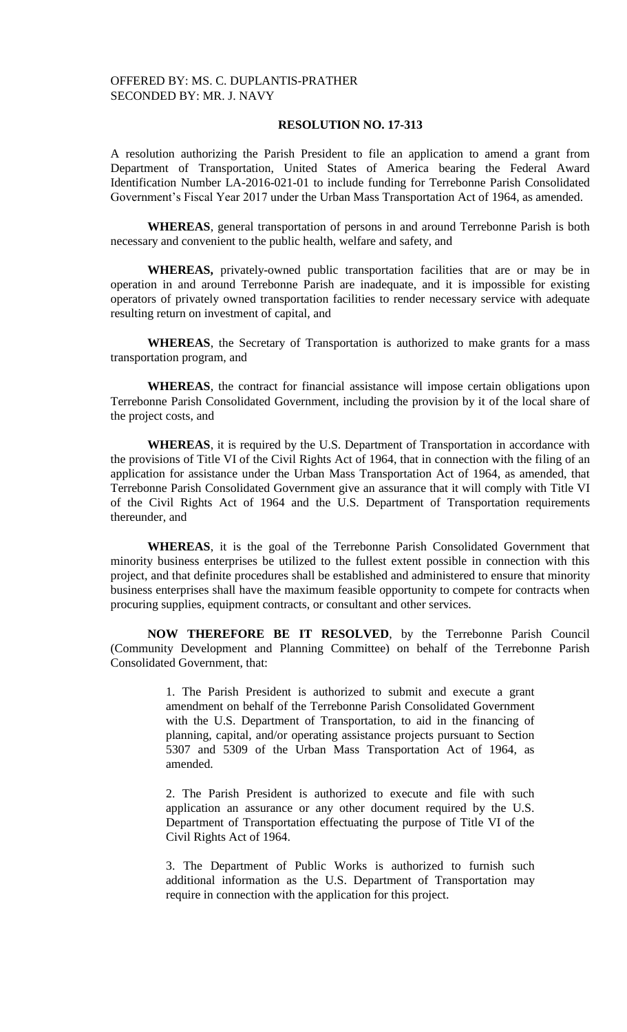## **RESOLUTION NO. 17-313**

A resolution authorizing the Parish President to file an application to amend a grant from Department of Transportation, United States of America bearing the Federal Award Identification Number LA-2016-021-01 to include funding for Terrebonne Parish Consolidated Government's Fiscal Year 2017 under the Urban Mass Transportation Act of 1964, as amended.

**WHEREAS**, general transportation of persons in and around Terrebonne Parish is both necessary and convenient to the public health, welfare and safety, and

**WHEREAS,** privately-owned public transportation facilities that are or may be in operation in and around Terrebonne Parish are inadequate, and it is impossible for existing operators of privately owned transportation facilities to render necessary service with adequate resulting return on investment of capital, and

**WHEREAS**, the Secretary of Transportation is authorized to make grants for a mass transportation program, and

**WHEREAS**, the contract for financial assistance will impose certain obligations upon Terrebonne Parish Consolidated Government, including the provision by it of the local share of the project costs, and

**WHEREAS**, it is required by the U.S. Department of Transportation in accordance with the provisions of Title VI of the Civil Rights Act of 1964, that in connection with the filing of an application for assistance under the Urban Mass Transportation Act of 1964, as amended, that Terrebonne Parish Consolidated Government give an assurance that it will comply with Title VI of the Civil Rights Act of 1964 and the U.S. Department of Transportation requirements thereunder, and

**WHEREAS**, it is the goal of the Terrebonne Parish Consolidated Government that minority business enterprises be utilized to the fullest extent possible in connection with this project, and that definite procedures shall be established and administered to ensure that minority business enterprises shall have the maximum feasible opportunity to compete for contracts when procuring supplies, equipment contracts, or consultant and other services.

**NOW THEREFORE BE IT RESOLVED**, by the Terrebonne Parish Council (Community Development and Planning Committee) on behalf of the Terrebonne Parish Consolidated Government, that:

> 1. The Parish President is authorized to submit and execute a grant amendment on behalf of the Terrebonne Parish Consolidated Government with the U.S. Department of Transportation, to aid in the financing of planning, capital, and/or operating assistance projects pursuant to Section 5307 and 5309 of the Urban Mass Transportation Act of 1964, as amended.

> 2. The Parish President is authorized to execute and file with such application an assurance or any other document required by the U.S. Department of Transportation effectuating the purpose of Title VI of the Civil Rights Act of 1964.

> 3. The Department of Public Works is authorized to furnish such additional information as the U.S. Department of Transportation may require in connection with the application for this project.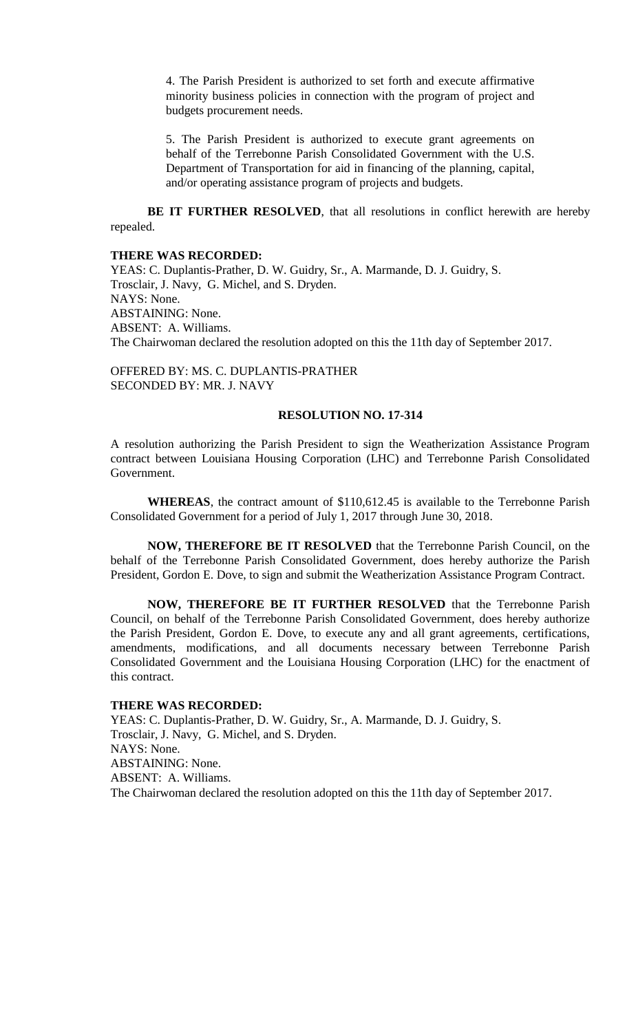4. The Parish President is authorized to set forth and execute affirmative minority business policies in connection with the program of project and budgets procurement needs.

5. The Parish President is authorized to execute grant agreements on behalf of the Terrebonne Parish Consolidated Government with the U.S. Department of Transportation for aid in financing of the planning, capital, and/or operating assistance program of projects and budgets.

**BE IT FURTHER RESOLVED**, that all resolutions in conflict herewith are hereby repealed.

#### **THERE WAS RECORDED:**

YEAS: C. Duplantis-Prather, D. W. Guidry, Sr., A. Marmande, D. J. Guidry, S. Trosclair, J. Navy, G. Michel, and S. Dryden. NAYS: None. ABSTAINING: None. ABSENT: A. Williams. The Chairwoman declared the resolution adopted on this the 11th day of September 2017.

OFFERED BY: MS. C. DUPLANTIS-PRATHER SECONDED BY: MR. J. NAVY

### **RESOLUTION NO. 17-314**

A resolution authorizing the Parish President to sign the Weatherization Assistance Program contract between Louisiana Housing Corporation (LHC) and Terrebonne Parish Consolidated Government.

**WHEREAS**, the contract amount of \$110,612.45 is available to the Terrebonne Parish Consolidated Government for a period of July 1, 2017 through June 30, 2018.

**NOW, THEREFORE BE IT RESOLVED** that the Terrebonne Parish Council, on the behalf of the Terrebonne Parish Consolidated Government, does hereby authorize the Parish President, Gordon E. Dove, to sign and submit the Weatherization Assistance Program Contract.

**NOW, THEREFORE BE IT FURTHER RESOLVED** that the Terrebonne Parish Council, on behalf of the Terrebonne Parish Consolidated Government, does hereby authorize the Parish President, Gordon E. Dove, to execute any and all grant agreements, certifications, amendments, modifications, and all documents necessary between Terrebonne Parish Consolidated Government and the Louisiana Housing Corporation (LHC) for the enactment of this contract.

## **THERE WAS RECORDED:**

YEAS: C. Duplantis-Prather, D. W. Guidry, Sr., A. Marmande, D. J. Guidry, S. Trosclair, J. Navy, G. Michel, and S. Dryden. NAYS: None. ABSTAINING: None. ABSENT: A. Williams. The Chairwoman declared the resolution adopted on this the 11th day of September 2017.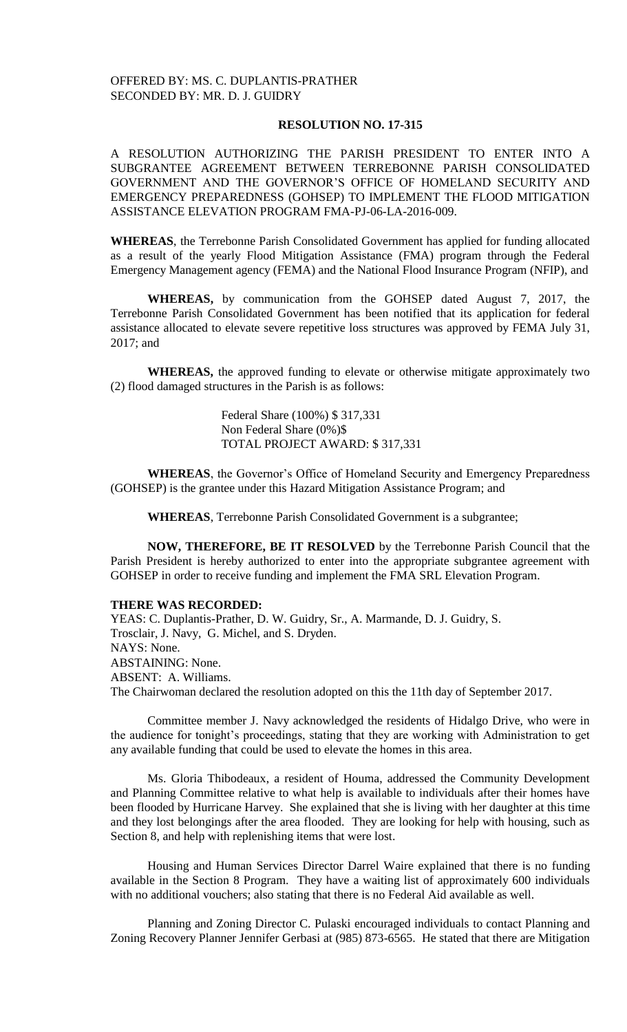## **RESOLUTION NO. 17-315**

A RESOLUTION AUTHORIZING THE PARISH PRESIDENT TO ENTER INTO A SUBGRANTEE AGREEMENT BETWEEN TERREBONNE PARISH CONSOLIDATED GOVERNMENT AND THE GOVERNOR'S OFFICE OF HOMELAND SECURITY AND EMERGENCY PREPAREDNESS (GOHSEP) TO IMPLEMENT THE FLOOD MITIGATION ASSISTANCE ELEVATION PROGRAM FMA-PJ-06-LA-2016-009.

**WHEREAS**, the Terrebonne Parish Consolidated Government has applied for funding allocated as a result of the yearly Flood Mitigation Assistance (FMA) program through the Federal Emergency Management agency (FEMA) and the National Flood Insurance Program (NFIP), and

**WHEREAS,** by communication from the GOHSEP dated August 7, 2017, the Terrebonne Parish Consolidated Government has been notified that its application for federal assistance allocated to elevate severe repetitive loss structures was approved by FEMA July 31, 2017; and

**WHEREAS,** the approved funding to elevate or otherwise mitigate approximately two (2) flood damaged structures in the Parish is as follows:

> Federal Share (100%) \$ 317,331 Non Federal Share (0%)\$ TOTAL PROJECT AWARD: \$ 317,331

**WHEREAS**, the Governor's Office of Homeland Security and Emergency Preparedness (GOHSEP) is the grantee under this Hazard Mitigation Assistance Program; and

**WHEREAS**, Terrebonne Parish Consolidated Government is a subgrantee;

**NOW, THEREFORE, BE IT RESOLVED** by the Terrebonne Parish Council that the Parish President is hereby authorized to enter into the appropriate subgrantee agreement with GOHSEP in order to receive funding and implement the FMA SRL Elevation Program.

#### **THERE WAS RECORDED:**

YEAS: C. Duplantis-Prather, D. W. Guidry, Sr., A. Marmande, D. J. Guidry, S. Trosclair, J. Navy, G. Michel, and S. Dryden. NAYS: None. ABSTAINING: None. ABSENT: A. Williams. The Chairwoman declared the resolution adopted on this the 11th day of September 2017.

Committee member J. Navy acknowledged the residents of Hidalgo Drive, who were in the audience for tonight's proceedings, stating that they are working with Administration to get any available funding that could be used to elevate the homes in this area.

Ms. Gloria Thibodeaux, a resident of Houma, addressed the Community Development and Planning Committee relative to what help is available to individuals after their homes have been flooded by Hurricane Harvey. She explained that she is living with her daughter at this time and they lost belongings after the area flooded. They are looking for help with housing, such as Section 8, and help with replenishing items that were lost.

Housing and Human Services Director Darrel Waire explained that there is no funding available in the Section 8 Program. They have a waiting list of approximately 600 individuals with no additional vouchers; also stating that there is no Federal Aid available as well.

Planning and Zoning Director C. Pulaski encouraged individuals to contact Planning and Zoning Recovery Planner Jennifer Gerbasi at (985) 873-6565. He stated that there are Mitigation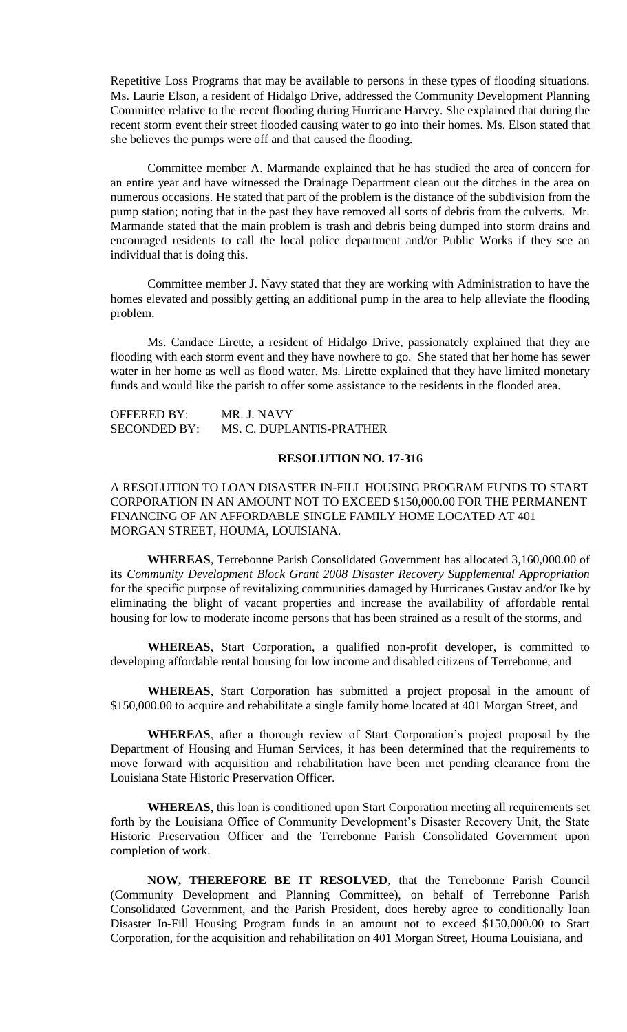Repetitive Loss Programs that may be available to persons in these types of flooding situations. Ms. Laurie Elson, a resident of Hidalgo Drive, addressed the Community Development Planning Committee relative to the recent flooding during Hurricane Harvey. She explained that during the recent storm event their street flooded causing water to go into their homes. Ms. Elson stated that she believes the pumps were off and that caused the flooding.

Committee member A. Marmande explained that he has studied the area of concern for an entire year and have witnessed the Drainage Department clean out the ditches in the area on numerous occasions. He stated that part of the problem is the distance of the subdivision from the pump station; noting that in the past they have removed all sorts of debris from the culverts. Mr. Marmande stated that the main problem is trash and debris being dumped into storm drains and encouraged residents to call the local police department and/or Public Works if they see an individual that is doing this.

Committee member J. Navy stated that they are working with Administration to have the homes elevated and possibly getting an additional pump in the area to help alleviate the flooding problem.

Ms. Candace Lirette, a resident of Hidalgo Drive, passionately explained that they are flooding with each storm event and they have nowhere to go. She stated that her home has sewer water in her home as well as flood water. Ms. Lirette explained that they have limited monetary funds and would like the parish to offer some assistance to the residents in the flooded area.

| <b>OFFERED BY:</b>  | MR. J. NAVY              |
|---------------------|--------------------------|
| <b>SECONDED BY:</b> | MS. C. DUPLANTIS-PRATHER |

### **RESOLUTION NO. 17-316**

## A RESOLUTION TO LOAN DISASTER IN-FILL HOUSING PROGRAM FUNDS TO START CORPORATION IN AN AMOUNT NOT TO EXCEED \$150,000.00 FOR THE PERMANENT FINANCING OF AN AFFORDABLE SINGLE FAMILY HOME LOCATED AT 401 MORGAN STREET, HOUMA, LOUISIANA.

**WHEREAS**, Terrebonne Parish Consolidated Government has allocated 3,160,000.00 of its *Community Development Block Grant 2008 Disaster Recovery Supplemental Appropriation* for the specific purpose of revitalizing communities damaged by Hurricanes Gustav and/or Ike by eliminating the blight of vacant properties and increase the availability of affordable rental housing for low to moderate income persons that has been strained as a result of the storms, and

**WHEREAS**, Start Corporation, a qualified non-profit developer, is committed to developing affordable rental housing for low income and disabled citizens of Terrebonne, and

**WHEREAS**, Start Corporation has submitted a project proposal in the amount of \$150,000.00 to acquire and rehabilitate a single family home located at 401 Morgan Street, and

**WHEREAS**, after a thorough review of Start Corporation's project proposal by the Department of Housing and Human Services, it has been determined that the requirements to move forward with acquisition and rehabilitation have been met pending clearance from the Louisiana State Historic Preservation Officer.

**WHEREAS**, this loan is conditioned upon Start Corporation meeting all requirements set forth by the Louisiana Office of Community Development's Disaster Recovery Unit, the State Historic Preservation Officer and the Terrebonne Parish Consolidated Government upon completion of work.

**NOW, THEREFORE BE IT RESOLVED**, that the Terrebonne Parish Council (Community Development and Planning Committee), on behalf of Terrebonne Parish Consolidated Government, and the Parish President, does hereby agree to conditionally loan Disaster In-Fill Housing Program funds in an amount not to exceed \$150,000.00 to Start Corporation, for the acquisition and rehabilitation on 401 Morgan Street, Houma Louisiana, and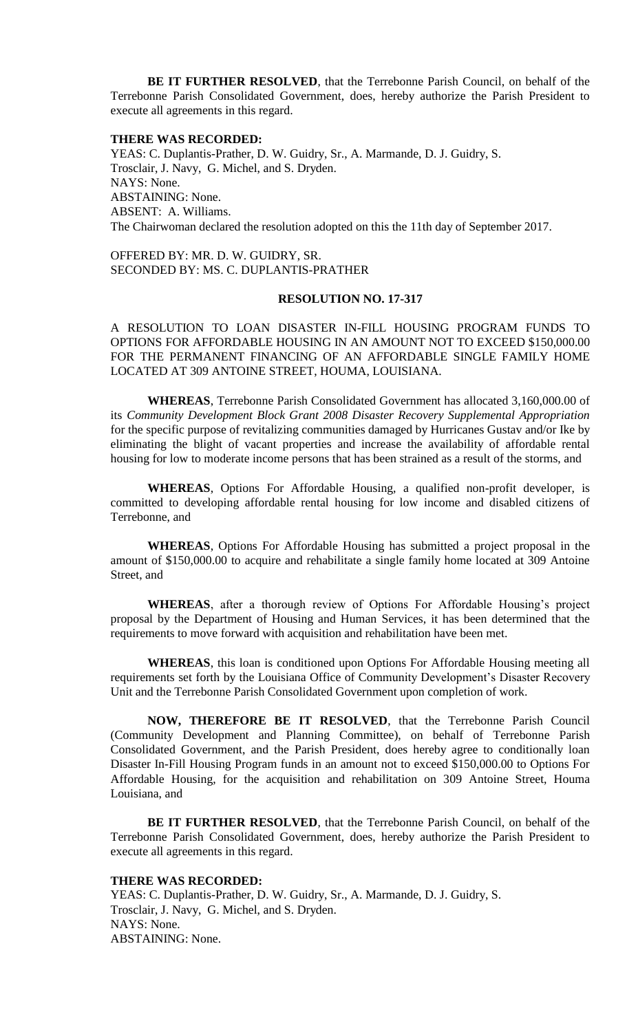**BE IT FURTHER RESOLVED**, that the Terrebonne Parish Council, on behalf of the Terrebonne Parish Consolidated Government, does, hereby authorize the Parish President to execute all agreements in this regard.

#### **THERE WAS RECORDED:**

YEAS: C. Duplantis-Prather, D. W. Guidry, Sr., A. Marmande, D. J. Guidry, S. Trosclair, J. Navy, G. Michel, and S. Dryden. NAYS: None. ABSTAINING: None. ABSENT: A. Williams. The Chairwoman declared the resolution adopted on this the 11th day of September 2017.

OFFERED BY: MR. D. W. GUIDRY, SR. SECONDED BY: MS. C. DUPLANTIS-PRATHER

#### **RESOLUTION NO. 17-317**

A RESOLUTION TO LOAN DISASTER IN-FILL HOUSING PROGRAM FUNDS TO OPTIONS FOR AFFORDABLE HOUSING IN AN AMOUNT NOT TO EXCEED \$150,000.00 FOR THE PERMANENT FINANCING OF AN AFFORDABLE SINGLE FAMILY HOME LOCATED AT 309 ANTOINE STREET, HOUMA, LOUISIANA.

**WHEREAS**, Terrebonne Parish Consolidated Government has allocated 3,160,000.00 of its *Community Development Block Grant 2008 Disaster Recovery Supplemental Appropriation* for the specific purpose of revitalizing communities damaged by Hurricanes Gustav and/or Ike by eliminating the blight of vacant properties and increase the availability of affordable rental housing for low to moderate income persons that has been strained as a result of the storms, and

**WHEREAS**, Options For Affordable Housing, a qualified non-profit developer, is committed to developing affordable rental housing for low income and disabled citizens of Terrebonne, and

**WHEREAS**, Options For Affordable Housing has submitted a project proposal in the amount of \$150,000.00 to acquire and rehabilitate a single family home located at 309 Antoine Street, and

**WHEREAS**, after a thorough review of Options For Affordable Housing's project proposal by the Department of Housing and Human Services, it has been determined that the requirements to move forward with acquisition and rehabilitation have been met.

**WHEREAS**, this loan is conditioned upon Options For Affordable Housing meeting all requirements set forth by the Louisiana Office of Community Development's Disaster Recovery Unit and the Terrebonne Parish Consolidated Government upon completion of work.

**NOW, THEREFORE BE IT RESOLVED**, that the Terrebonne Parish Council (Community Development and Planning Committee), on behalf of Terrebonne Parish Consolidated Government, and the Parish President, does hereby agree to conditionally loan Disaster In-Fill Housing Program funds in an amount not to exceed \$150,000.00 to Options For Affordable Housing, for the acquisition and rehabilitation on 309 Antoine Street, Houma Louisiana, and

**BE IT FURTHER RESOLVED**, that the Terrebonne Parish Council, on behalf of the Terrebonne Parish Consolidated Government, does, hereby authorize the Parish President to execute all agreements in this regard.

#### **THERE WAS RECORDED:**

YEAS: C. Duplantis-Prather, D. W. Guidry, Sr., A. Marmande, D. J. Guidry, S. Trosclair, J. Navy, G. Michel, and S. Dryden. NAYS: None. ABSTAINING: None.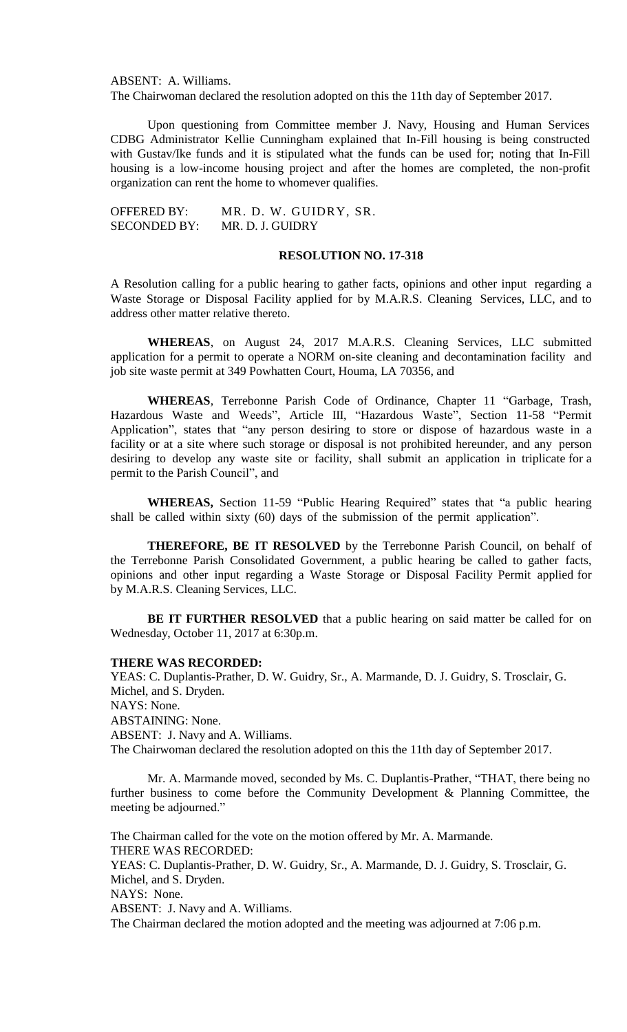ABSENT: A. Williams.

The Chairwoman declared the resolution adopted on this the 11th day of September 2017.

Upon questioning from Committee member J. Navy, Housing and Human Services CDBG Administrator Kellie Cunningham explained that In-Fill housing is being constructed with Gustav/Ike funds and it is stipulated what the funds can be used for; noting that In-Fill housing is a low-income housing project and after the homes are completed, the non-profit organization can rent the home to whomever qualifies.

OFFERED BY: MR. D. W. GUIDRY, SR. SECONDED BY: MR. D. J. GUIDRY

## **RESOLUTION NO. 17-318**

A Resolution calling for a public hearing to gather facts, opinions and other input regarding a Waste Storage or Disposal Facility applied for by M.A.R.S. Cleaning Services, LLC, and to address other matter relative thereto.

**WHEREAS**, on August 24, 2017 M.A.R.S. Cleaning Services, LLC submitted application for a permit to operate a NORM on-site cleaning and decontamination facility and job site waste permit at 349 Powhatten Court, Houma, LA 70356, and

**WHEREAS**, Terrebonne Parish Code of Ordinance, Chapter 11 "Garbage, Trash, Hazardous Waste and Weeds", Article III, "Hazardous Waste", Section 11-58 "Permit Application", states that "any person desiring to store or dispose of hazardous waste in a facility or at a site where such storage or disposal is not prohibited hereunder, and any person desiring to develop any waste site or facility, shall submit an application in triplicate for a permit to the Parish Council", and

**WHEREAS,** Section 11-59 "Public Hearing Required" states that "a public hearing shall be called within sixty (60) days of the submission of the permit application".

**THEREFORE, BE IT RESOLVED** by the Terrebonne Parish Council, on behalf of the Terrebonne Parish Consolidated Government, a public hearing be called to gather facts, opinions and other input regarding a Waste Storage or Disposal Facility Permit applied for by M.A.R.S. Cleaning Services, LLC.

**BE IT FURTHER RESOLVED** that a public hearing on said matter be called for on Wednesday, October 11, 2017 at 6:30p.m.

## **THERE WAS RECORDED:**

YEAS: C. Duplantis-Prather, D. W. Guidry, Sr., A. Marmande, D. J. Guidry, S. Trosclair, G. Michel, and S. Dryden. NAYS: None. ABSTAINING: None. ABSENT: J. Navy and A. Williams. The Chairwoman declared the resolution adopted on this the 11th day of September 2017.

Mr. A. Marmande moved, seconded by Ms. C. Duplantis-Prather, "THAT, there being no further business to come before the Community Development & Planning Committee, the meeting be adjourned."

The Chairman called for the vote on the motion offered by Mr. A. Marmande. THERE WAS RECORDED: YEAS: C. Duplantis-Prather, D. W. Guidry, Sr., A. Marmande, D. J. Guidry, S. Trosclair, G. Michel, and S. Dryden. NAYS: None. ABSENT: J. Navy and A. Williams. The Chairman declared the motion adopted and the meeting was adjourned at 7:06 p.m.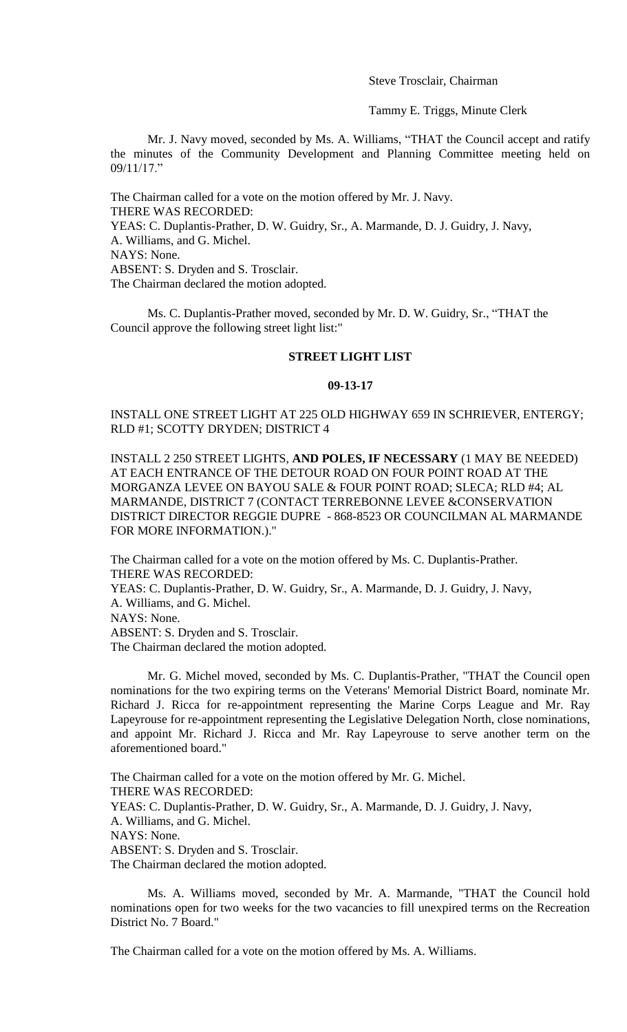Steve Trosclair, Chairman

Tammy E. Triggs, Minute Clerk

Mr. J. Navy moved, seconded by Ms. A. Williams, "THAT the Council accept and ratify the minutes of the Community Development and Planning Committee meeting held on 09/11/17."

The Chairman called for a vote on the motion offered by Mr. J. Navy. THERE WAS RECORDED: YEAS: C. Duplantis-Prather, D. W. Guidry, Sr., A. Marmande, D. J. Guidry, J. Navy, A. Williams, and G. Michel. NAYS: None. ABSENT: S. Dryden and S. Trosclair. The Chairman declared the motion adopted.

Ms. C. Duplantis-Prather moved, seconded by Mr. D. W. Guidry, Sr., "THAT the Council approve the following street light list:"

## **STREET LIGHT LIST**

#### **09-13-17**

INSTALL ONE STREET LIGHT AT 225 OLD HIGHWAY 659 IN SCHRIEVER, ENTERGY; RLD #1; SCOTTY DRYDEN; DISTRICT 4

INSTALL 2 250 STREET LIGHTS, **AND POLES, IF NECESSARY** (1 MAY BE NEEDED) AT EACH ENTRANCE OF THE DETOUR ROAD ON FOUR POINT ROAD AT THE MORGANZA LEVEE ON BAYOU SALE & FOUR POINT ROAD; SLECA; RLD #4; AL MARMANDE, DISTRICT 7 (CONTACT TERREBONNE LEVEE &CONSERVATION DISTRICT DIRECTOR REGGIE DUPRE - 868-8523 OR COUNCILMAN AL MARMANDE FOR MORE INFORMATION.)."

The Chairman called for a vote on the motion offered by Ms. C. Duplantis-Prather. THERE WAS RECORDED: YEAS: C. Duplantis-Prather, D. W. Guidry, Sr., A. Marmande, D. J. Guidry, J. Navy, A. Williams, and G. Michel. NAYS: None. ABSENT: S. Dryden and S. Trosclair. The Chairman declared the motion adopted.

Mr. G. Michel moved, seconded by Ms. C. Duplantis-Prather, "THAT the Council open nominations for the two expiring terms on the Veterans' Memorial District Board, nominate Mr. Richard J. Ricca for re-appointment representing the Marine Corps League and Mr. Ray Lapeyrouse for re-appointment representing the Legislative Delegation North, close nominations, and appoint Mr. Richard J. Ricca and Mr. Ray Lapeyrouse to serve another term on the aforementioned board."

The Chairman called for a vote on the motion offered by Mr. G. Michel. THERE WAS RECORDED: YEAS: C. Duplantis-Prather, D. W. Guidry, Sr., A. Marmande, D. J. Guidry, J. Navy, A. Williams, and G. Michel. NAYS: None. ABSENT: S. Dryden and S. Trosclair. The Chairman declared the motion adopted.

Ms. A. Williams moved, seconded by Mr. A. Marmande, "THAT the Council hold nominations open for two weeks for the two vacancies to fill unexpired terms on the Recreation District No. 7 Board."

The Chairman called for a vote on the motion offered by Ms. A. Williams.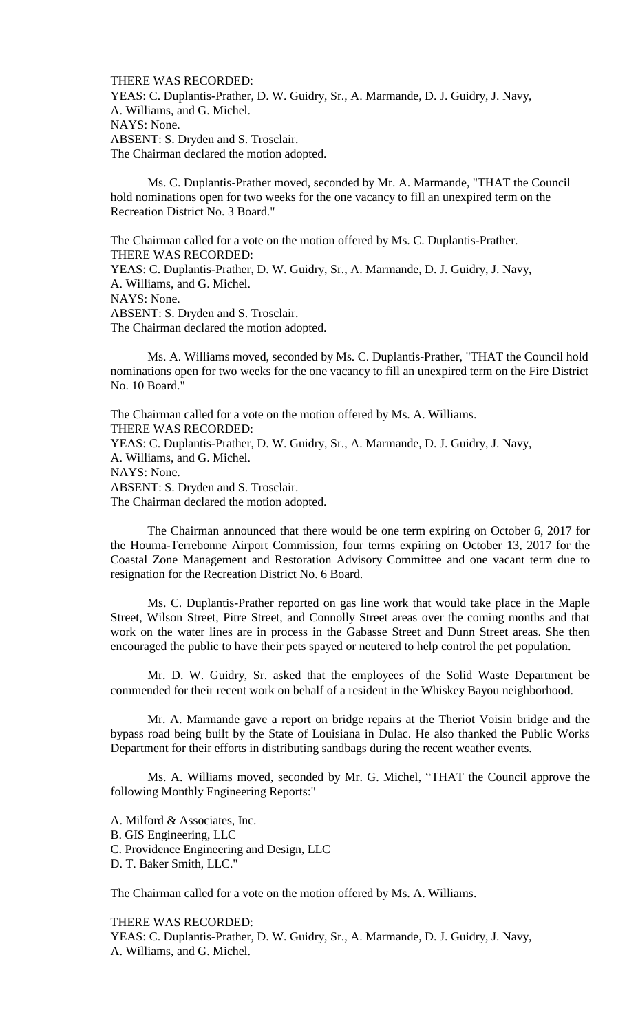THERE WAS RECORDED: YEAS: C. Duplantis-Prather, D. W. Guidry, Sr., A. Marmande, D. J. Guidry, J. Navy, A. Williams, and G. Michel. NAYS: None. ABSENT: S. Dryden and S. Trosclair. The Chairman declared the motion adopted.

Ms. C. Duplantis-Prather moved, seconded by Mr. A. Marmande, "THAT the Council hold nominations open for two weeks for the one vacancy to fill an unexpired term on the Recreation District No. 3 Board."

The Chairman called for a vote on the motion offered by Ms. C. Duplantis-Prather. THERE WAS RECORDED: YEAS: C. Duplantis-Prather, D. W. Guidry, Sr., A. Marmande, D. J. Guidry, J. Navy, A. Williams, and G. Michel. NAYS: None. ABSENT: S. Dryden and S. Trosclair. The Chairman declared the motion adopted.

Ms. A. Williams moved, seconded by Ms. C. Duplantis-Prather, "THAT the Council hold nominations open for two weeks for the one vacancy to fill an unexpired term on the Fire District No. 10 Board."

The Chairman called for a vote on the motion offered by Ms. A. Williams. THERE WAS RECORDED: YEAS: C. Duplantis-Prather, D. W. Guidry, Sr., A. Marmande, D. J. Guidry, J. Navy, A. Williams, and G. Michel. NAYS: None. ABSENT: S. Dryden and S. Trosclair. The Chairman declared the motion adopted.

The Chairman announced that there would be one term expiring on October 6, 2017 for the Houma-Terrebonne Airport Commission, four terms expiring on October 13, 2017 for the Coastal Zone Management and Restoration Advisory Committee and one vacant term due to resignation for the Recreation District No. 6 Board.

Ms. C. Duplantis-Prather reported on gas line work that would take place in the Maple Street, Wilson Street, Pitre Street, and Connolly Street areas over the coming months and that work on the water lines are in process in the Gabasse Street and Dunn Street areas. She then encouraged the public to have their pets spayed or neutered to help control the pet population.

Mr. D. W. Guidry, Sr. asked that the employees of the Solid Waste Department be commended for their recent work on behalf of a resident in the Whiskey Bayou neighborhood.

Mr. A. Marmande gave a report on bridge repairs at the Theriot Voisin bridge and the bypass road being built by the State of Louisiana in Dulac. He also thanked the Public Works Department for their efforts in distributing sandbags during the recent weather events.

Ms. A. Williams moved, seconded by Mr. G. Michel, "THAT the Council approve the following Monthly Engineering Reports:"

A. Milford & Associates, Inc. B. GIS Engineering, LLC C. Providence Engineering and Design, LLC D. T. Baker Smith, LLC."

The Chairman called for a vote on the motion offered by Ms. A. Williams.

THERE WAS RECORDED:

YEAS: C. Duplantis-Prather, D. W. Guidry, Sr., A. Marmande, D. J. Guidry, J. Navy, A. Williams, and G. Michel.